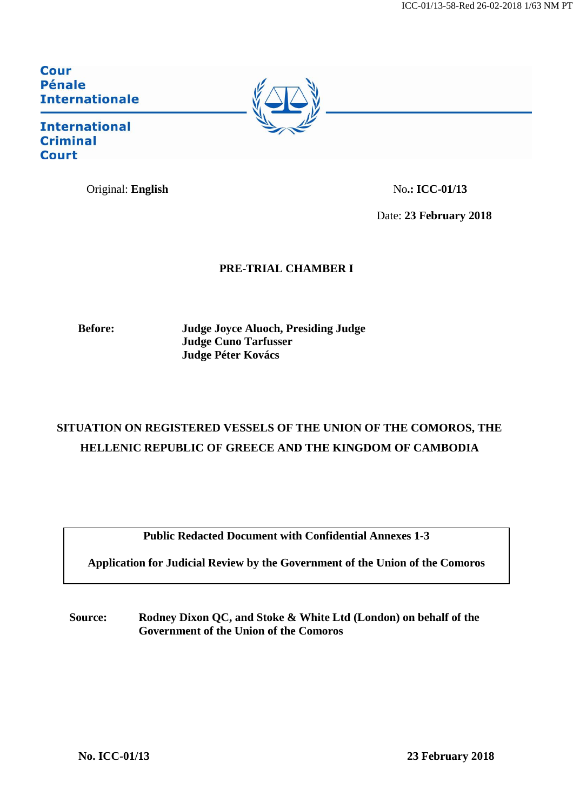**Cour Pénale Internationale** 

# **International Criminal Court**

Original: **English** No.: ICC-01/13

Date: **23 February 2018**

# **PRE-TRIAL CHAMBER I**

**Before: Judge Joyce Aluoch, Presiding Judge Judge Cuno Tarfusser Judge Péter Kovács**

# **SITUATION ON REGISTERED VESSELS OF THE UNION OF THE COMOROS, THE HELLENIC REPUBLIC OF GREECE AND THE KINGDOM OF CAMBODIA**

**Public Redacted Document with Confidential Annexes 1-3**

**Application for Judicial Review by the Government of the Union of the Comoros**

**Source: Rodney Dixon QC, and Stoke & White Ltd (London) on behalf of the Government of the Union of the Comoros**

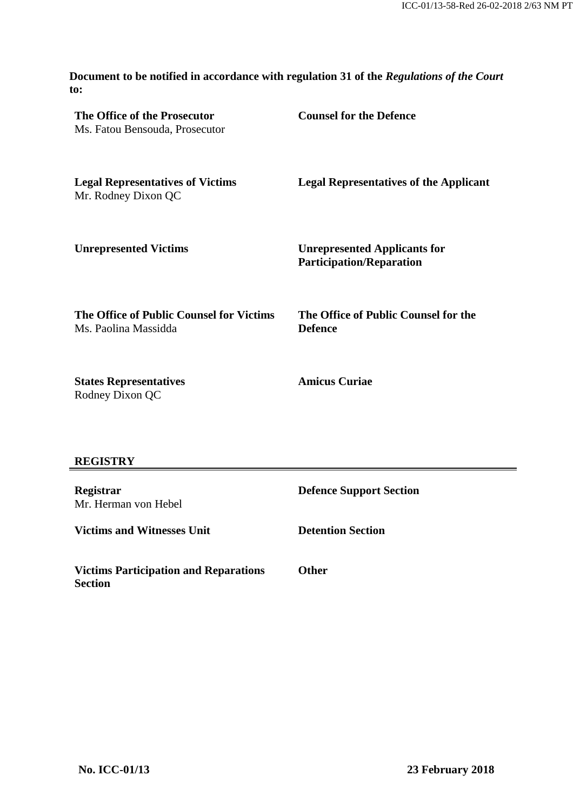**Document to be notified in accordance with regulation 31 of the** *Regulations of the Court*  **to:**

| The Office of the Prosecutor<br>Ms. Fatou Bensouda, Prosecutor   | <b>Counsel for the Defence</b>                                         |
|------------------------------------------------------------------|------------------------------------------------------------------------|
| <b>Legal Representatives of Victims</b><br>Mr. Rodney Dixon QC   | <b>Legal Representatives of the Applicant</b>                          |
| <b>Unrepresented Victims</b>                                     | <b>Unrepresented Applicants for</b><br><b>Participation/Reparation</b> |
| The Office of Public Counsel for Victims<br>Ms. Paolina Massidda | The Office of Public Counsel for the<br><b>Defence</b>                 |
| <b>States Representatives</b><br>Rodney Dixon QC                 | <b>Amicus Curiae</b>                                                   |

# **REGISTRY**

| <b>Registrar</b><br>Mr. Herman von Hebel                | <b>Defence Support Section</b> |
|---------------------------------------------------------|--------------------------------|
| <b>Victims and Witnesses Unit</b>                       | <b>Detention Section</b>       |
| <b>Victims Participation and Reparations</b><br>Section | <b>Other</b>                   |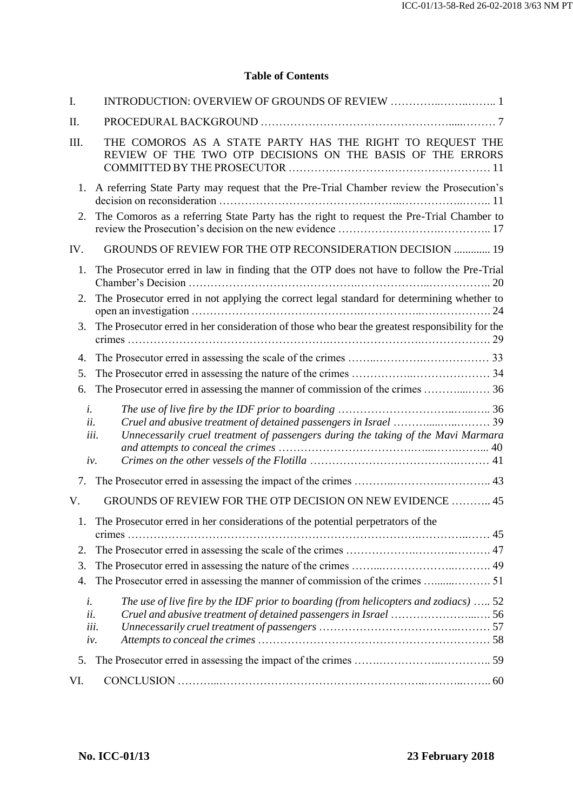# **Table of Contents**

| I.               |                                                                                                                                                                        |  |
|------------------|------------------------------------------------------------------------------------------------------------------------------------------------------------------------|--|
| II.              |                                                                                                                                                                        |  |
| III.             | THE COMOROS AS A STATE PARTY HAS THE RIGHT TO REQUEST THE<br>REVIEW OF THE TWO OTP DECISIONS ON THE BASIS OF THE ERRORS                                                |  |
| 1.               | A referring State Party may request that the Pre-Trial Chamber review the Prosecution's                                                                                |  |
| 2.               | The Comoros as a referring State Party has the right to request the Pre-Trial Chamber to                                                                               |  |
| IV.              | GROUNDS OF REVIEW FOR THE OTP RECONSIDERATION DECISION  19                                                                                                             |  |
| 1.               | The Prosecutor erred in law in finding that the OTP does not have to follow the Pre-Trial                                                                              |  |
| 2.               | The Prosecutor erred in not applying the correct legal standard for determining whether to                                                                             |  |
| 3.               | The Prosecutor erred in her consideration of those who bear the greatest responsibility for the                                                                        |  |
| 4.               |                                                                                                                                                                        |  |
| 5.               |                                                                                                                                                                        |  |
| 6.               |                                                                                                                                                                        |  |
| i.<br>ii.<br>iv. | Unnecessarily cruel treatment of passengers during the taking of the Mavi Marmara<br>iii.                                                                              |  |
| 7.               |                                                                                                                                                                        |  |
| V.               | GROUNDS OF REVIEW FOR THE OTP DECISION ON NEW EVIDENCE  45                                                                                                             |  |
| 1                | The Prosecutor erred in her considerations of the potential perpetrators of the                                                                                        |  |
| 2.               |                                                                                                                                                                        |  |
| 3.               |                                                                                                                                                                        |  |
| 4.               |                                                                                                                                                                        |  |
| i.<br>ii.        | The use of live fire by the IDF prior to boarding (from helicopters and zodiacs)  52<br>Cruel and abusive treatment of detained passengers in Israel 56<br>iii.<br>iv. |  |
| 5.               |                                                                                                                                                                        |  |
| VI.              |                                                                                                                                                                        |  |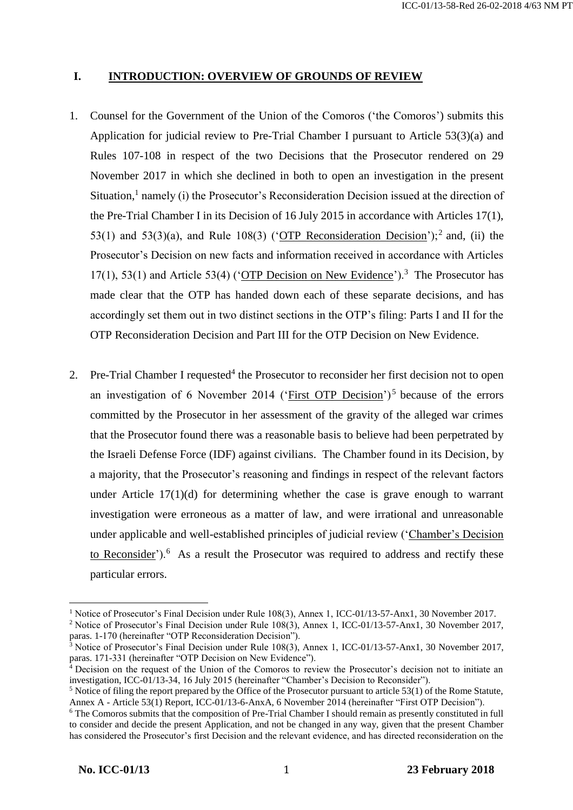### **I. INTRODUCTION: OVERVIEW OF GROUNDS OF REVIEW**

- 1. Counsel for the Government of the Union of the Comoros ('the Comoros') submits this Application for judicial review to Pre-Trial Chamber I pursuant to Article 53(3)(a) and Rules 107-108 in respect of the two Decisions that the Prosecutor rendered on 29 November 2017 in which she declined in both to open an investigation in the present Situation,<sup>1</sup> namely (i) the Prosecutor's Reconsideration Decision issued at the direction of the Pre-Trial Chamber I in its Decision of 16 July 2015 in accordance with Articles 17(1), 53(1) and 53(3)(a), and Rule 108(3) ('OTP Reconsideration Decision');<sup>2</sup> and, (ii) the Prosecutor's Decision on new facts and information received in accordance with Articles 17(1), 53(1) and Article 53(4) ('OTP Decision on New Evidence').<sup>3</sup> The Prosecutor has made clear that the OTP has handed down each of these separate decisions, and has accordingly set them out in two distinct sections in the OTP's filing: Parts I and II for the OTP Reconsideration Decision and Part III for the OTP Decision on New Evidence.
- 2. Pre-Trial Chamber I requested<sup>4</sup> the Prosecutor to reconsider her first decision not to open an investigation of 6 November 2014 ('First OTP Decision')<sup>5</sup> because of the errors committed by the Prosecutor in her assessment of the gravity of the alleged war crimes that the Prosecutor found there was a reasonable basis to believe had been perpetrated by the Israeli Defense Force (IDF) against civilians. The Chamber found in its Decision, by a majority, that the Prosecutor's reasoning and findings in respect of the relevant factors under Article  $17(1)(d)$  for determining whether the case is grave enough to warrant investigation were erroneous as a matter of law, and were irrational and unreasonable under applicable and well-established principles of judicial review ('Chamber's Decision to Reconsider'). $6$  As a result the Prosecutor was required to address and rectify these particular errors.

<sup>&</sup>lt;sup>1</sup> Notice of Prosecutor's Final Decision under Rule 108(3), Annex 1, ICC-01/13-57-Anx1, 30 November 2017.

<sup>2</sup> Notice of Prosecutor's Final Decision under Rule 108(3), Annex 1, ICC-01/13-57-Anx1, 30 November 2017, paras. 1-170 (hereinafter "OTP Reconsideration Decision").

 $3$  Notice of Prosecutor's Final Decision under Rule 108(3), Annex 1, ICC-01/13-57-Anx1, 30 November 2017, paras. 171-331 (hereinafter "OTP Decision on New Evidence").

<sup>&</sup>lt;sup>4</sup> Decision on the request of the Union of the Comoros to review the Prosecutor's decision not to initiate an investigation, ICC-01/13-34, 16 July 2015 (hereinafter "Chamber's Decision to Reconsider").

<sup>5</sup> Notice of filing the report prepared by the Office of the Prosecutor pursuant to article 53(1) of the Rome Statute, Annex A - Article 53(1) Report, ICC-01/13-6-AnxA, 6 November 2014 (hereinafter "First OTP Decision").

<sup>6</sup> The Comoros submits that the composition of Pre-Trial Chamber I should remain as presently constituted in full to consider and decide the present Application, and not be changed in any way, given that the present Chamber has considered the Prosecutor's first Decision and the relevant evidence, and has directed reconsideration on the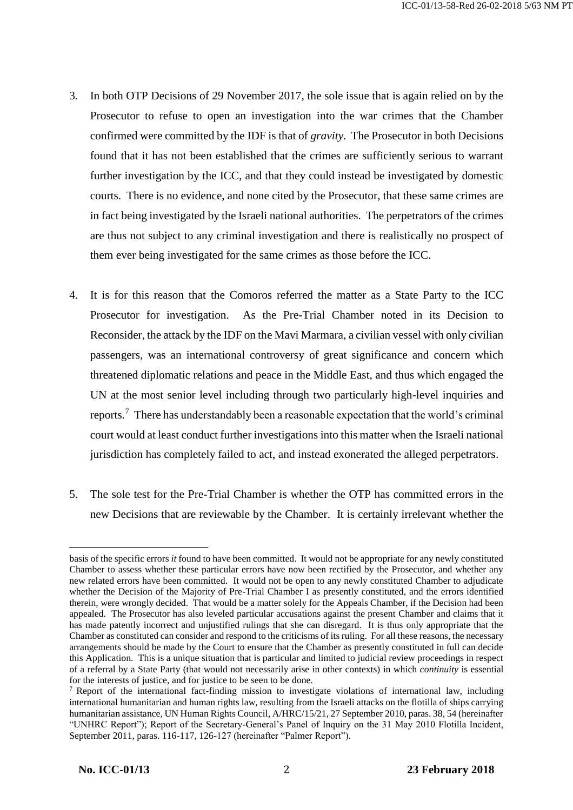- 3. In both OTP Decisions of 29 November 2017, the sole issue that is again relied on by the Prosecutor to refuse to open an investigation into the war crimes that the Chamber confirmed were committed by the IDF is that of *gravity*. The Prosecutor in both Decisions found that it has not been established that the crimes are sufficiently serious to warrant further investigation by the ICC, and that they could instead be investigated by domestic courts. There is no evidence, and none cited by the Prosecutor, that these same crimes are in fact being investigated by the Israeli national authorities. The perpetrators of the crimes are thus not subject to any criminal investigation and there is realistically no prospect of them ever being investigated for the same crimes as those before the ICC.
- 4. It is for this reason that the Comoros referred the matter as a State Party to the ICC Prosecutor for investigation. As the Pre-Trial Chamber noted in its Decision to Reconsider, the attack by the IDF on the Mavi Marmara, a civilian vessel with only civilian passengers, was an international controversy of great significance and concern which threatened diplomatic relations and peace in the Middle East, and thus which engaged the UN at the most senior level including through two particularly high-level inquiries and reports.<sup>7</sup> There has understandably been a reasonable expectation that the world's criminal court would at least conduct further investigations into this matter when the Israeli national jurisdiction has completely failed to act, and instead exonerated the alleged perpetrators.
- 5. The sole test for the Pre-Trial Chamber is whether the OTP has committed errors in the new Decisions that are reviewable by the Chamber. It is certainly irrelevant whether the

basis of the specific errors *it* found to have been committed. It would not be appropriate for any newly constituted Chamber to assess whether these particular errors have now been rectified by the Prosecutor, and whether any new related errors have been committed. It would not be open to any newly constituted Chamber to adjudicate whether the Decision of the Majority of Pre-Trial Chamber I as presently constituted, and the errors identified therein, were wrongly decided. That would be a matter solely for the Appeals Chamber, if the Decision had been appealed. The Prosecutor has also leveled particular accusations against the present Chamber and claims that it has made patently incorrect and unjustified rulings that she can disregard. It is thus only appropriate that the Chamber as constituted can consider and respond to the criticisms of its ruling. For all these reasons, the necessary arrangements should be made by the Court to ensure that the Chamber as presently constituted in full can decide this Application. This is a unique situation that is particular and limited to judicial review proceedings in respect of a referral by a State Party (that would not necessarily arise in other contexts) in which *continuity* is essential for the interests of justice, and for justice to be seen to be done.

<sup>7</sup> Report of the international fact-finding mission to investigate violations of international law, including international humanitarian and human rights law, resulting from the Israeli attacks on the flotilla of ships carrying humanitarian assistance, UN Human Rights Council, A/HRC/15/21, 27 September 2010, paras. 38, 54 (hereinafter "UNHRC Report"); Report of the Secretary-General's Panel of Inquiry on the 31 May 2010 Flotilla Incident, September 2011, paras. 116-117, 126-127 (hereinafter "Palmer Report").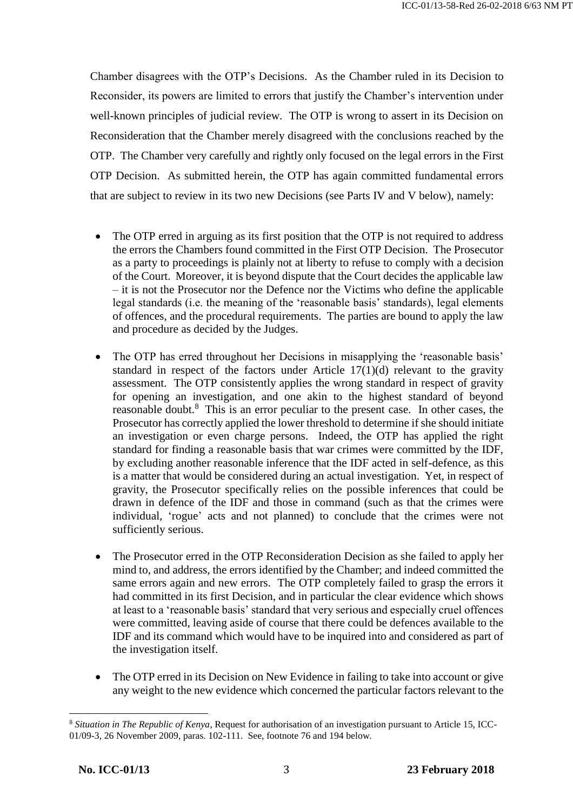Chamber disagrees with the OTP's Decisions. As the Chamber ruled in its Decision to Reconsider, its powers are limited to errors that justify the Chamber's intervention under well-known principles of judicial review. The OTP is wrong to assert in its Decision on Reconsideration that the Chamber merely disagreed with the conclusions reached by the OTP. The Chamber very carefully and rightly only focused on the legal errors in the First OTP Decision. As submitted herein, the OTP has again committed fundamental errors that are subject to review in its two new Decisions (see Parts IV and V below), namely:

- The OTP erred in arguing as its first position that the OTP is not required to address the errors the Chambers found committed in the First OTP Decision. The Prosecutor as a party to proceedings is plainly not at liberty to refuse to comply with a decision of the Court. Moreover, it is beyond dispute that the Court decides the applicable law – it is not the Prosecutor nor the Defence nor the Victims who define the applicable legal standards (i.e. the meaning of the 'reasonable basis' standards), legal elements of offences, and the procedural requirements. The parties are bound to apply the law and procedure as decided by the Judges.
- The OTP has erred throughout her Decisions in misapplying the 'reasonable basis' standard in respect of the factors under Article 17(1)(d) relevant to the gravity assessment. The OTP consistently applies the wrong standard in respect of gravity for opening an investigation, and one akin to the highest standard of beyond reasonable doubt.<sup>8</sup> This is an error peculiar to the present case. In other cases, the Prosecutor has correctly applied the lower threshold to determine if she should initiate an investigation or even charge persons. Indeed, the OTP has applied the right standard for finding a reasonable basis that war crimes were committed by the IDF, by excluding another reasonable inference that the IDF acted in self-defence, as this is a matter that would be considered during an actual investigation. Yet, in respect of gravity, the Prosecutor specifically relies on the possible inferences that could be drawn in defence of the IDF and those in command (such as that the crimes were individual, 'rogue' acts and not planned) to conclude that the crimes were not sufficiently serious.
- The Prosecutor erred in the OTP Reconsideration Decision as she failed to apply her mind to, and address, the errors identified by the Chamber; and indeed committed the same errors again and new errors. The OTP completely failed to grasp the errors it had committed in its first Decision, and in particular the clear evidence which shows at least to a 'reasonable basis' standard that very serious and especially cruel offences were committed, leaving aside of course that there could be defences available to the IDF and its command which would have to be inquired into and considered as part of the investigation itself.
- The OTP erred in its Decision on New Evidence in failing to take into account or give any weight to the new evidence which concerned the particular factors relevant to the

<sup>8</sup> *Situation in The Republic of Kenya*, Request for authorisation of an investigation pursuant to Article 15, ICC-01/09-3, 26 November 2009, paras. 102-111. See, footnote 76 and 194 below.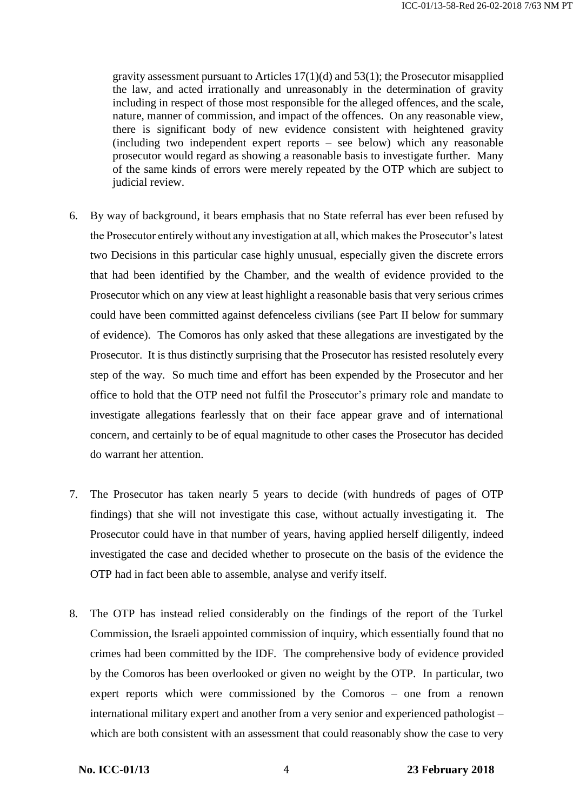gravity assessment pursuant to Articles 17(1)(d) and 53(1); the Prosecutor misapplied the law, and acted irrationally and unreasonably in the determination of gravity including in respect of those most responsible for the alleged offences, and the scale, nature, manner of commission, and impact of the offences. On any reasonable view, there is significant body of new evidence consistent with heightened gravity (including two independent expert reports – see below) which any reasonable prosecutor would regard as showing a reasonable basis to investigate further. Many of the same kinds of errors were merely repeated by the OTP which are subject to judicial review.

- 6. By way of background, it bears emphasis that no State referral has ever been refused by the Prosecutor entirely without any investigation at all, which makes the Prosecutor's latest two Decisions in this particular case highly unusual, especially given the discrete errors that had been identified by the Chamber, and the wealth of evidence provided to the Prosecutor which on any view at least highlight a reasonable basis that very serious crimes could have been committed against defenceless civilians (see Part II below for summary of evidence). The Comoros has only asked that these allegations are investigated by the Prosecutor. It is thus distinctly surprising that the Prosecutor has resisted resolutely every step of the way. So much time and effort has been expended by the Prosecutor and her office to hold that the OTP need not fulfil the Prosecutor's primary role and mandate to investigate allegations fearlessly that on their face appear grave and of international concern, and certainly to be of equal magnitude to other cases the Prosecutor has decided do warrant her attention.
- 7. The Prosecutor has taken nearly 5 years to decide (with hundreds of pages of OTP findings) that she will not investigate this case, without actually investigating it. The Prosecutor could have in that number of years, having applied herself diligently, indeed investigated the case and decided whether to prosecute on the basis of the evidence the OTP had in fact been able to assemble, analyse and verify itself.
- 8. The OTP has instead relied considerably on the findings of the report of the Turkel Commission, the Israeli appointed commission of inquiry, which essentially found that no crimes had been committed by the IDF. The comprehensive body of evidence provided by the Comoros has been overlooked or given no weight by the OTP. In particular, two expert reports which were commissioned by the Comoros – one from a renown international military expert and another from a very senior and experienced pathologist – which are both consistent with an assessment that could reasonably show the case to very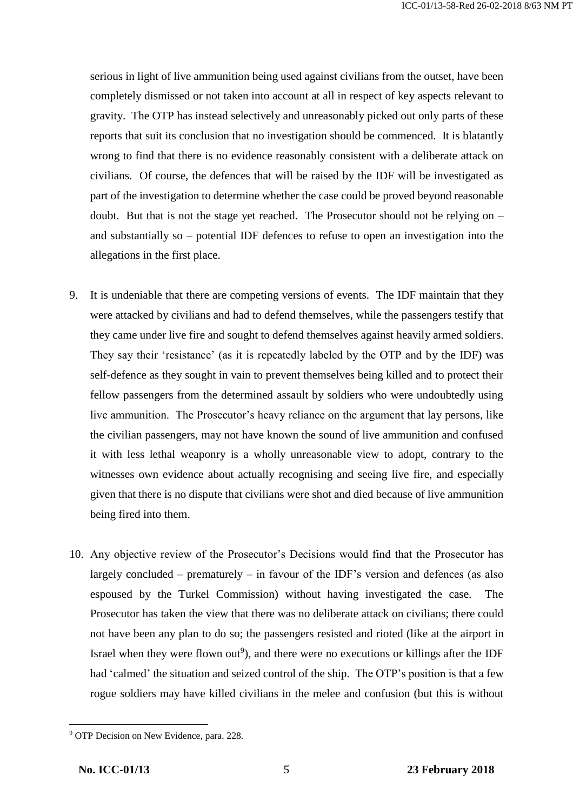serious in light of live ammunition being used against civilians from the outset, have been completely dismissed or not taken into account at all in respect of key aspects relevant to gravity. The OTP has instead selectively and unreasonably picked out only parts of these reports that suit its conclusion that no investigation should be commenced. It is blatantly wrong to find that there is no evidence reasonably consistent with a deliberate attack on civilians. Of course, the defences that will be raised by the IDF will be investigated as part of the investigation to determine whether the case could be proved beyond reasonable doubt. But that is not the stage yet reached. The Prosecutor should not be relying on – and substantially so – potential IDF defences to refuse to open an investigation into the allegations in the first place.

- 9. It is undeniable that there are competing versions of events. The IDF maintain that they were attacked by civilians and had to defend themselves, while the passengers testify that they came under live fire and sought to defend themselves against heavily armed soldiers. They say their 'resistance' (as it is repeatedly labeled by the OTP and by the IDF) was self-defence as they sought in vain to prevent themselves being killed and to protect their fellow passengers from the determined assault by soldiers who were undoubtedly using live ammunition. The Prosecutor's heavy reliance on the argument that lay persons, like the civilian passengers, may not have known the sound of live ammunition and confused it with less lethal weaponry is a wholly unreasonable view to adopt, contrary to the witnesses own evidence about actually recognising and seeing live fire, and especially given that there is no dispute that civilians were shot and died because of live ammunition being fired into them.
- 10. Any objective review of the Prosecutor's Decisions would find that the Prosecutor has largely concluded – prematurely – in favour of the IDF's version and defences (as also espoused by the Turkel Commission) without having investigated the case. The Prosecutor has taken the view that there was no deliberate attack on civilians; there could not have been any plan to do so; the passengers resisted and rioted (like at the airport in Israel when they were flown out<sup>9</sup>), and there were no executions or killings after the IDF had 'calmed' the situation and seized control of the ship. The OTP's position is that a few rogue soldiers may have killed civilians in the melee and confusion (but this is without

 $\overline{\phantom{a}}$ <sup>9</sup> OTP Decision on New Evidence, para. 228.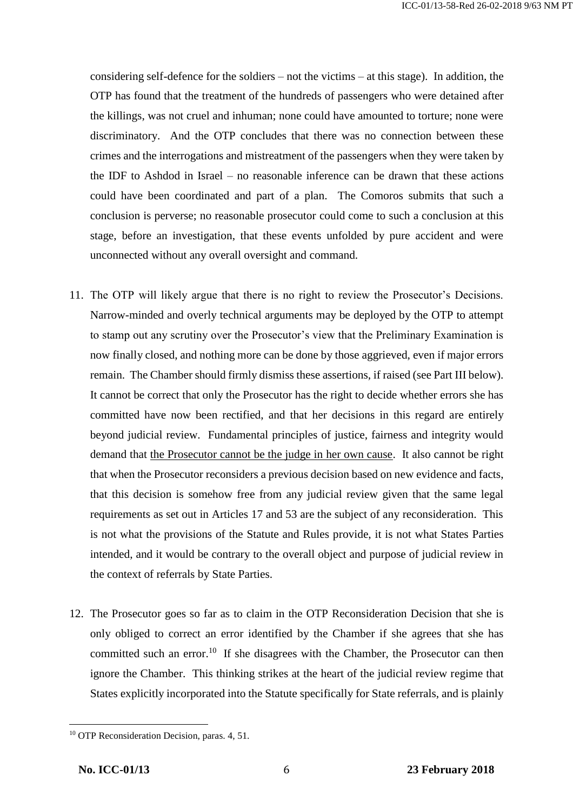considering self-defence for the soldiers – not the victims – at this stage). In addition, the OTP has found that the treatment of the hundreds of passengers who were detained after the killings, was not cruel and inhuman; none could have amounted to torture; none were discriminatory. And the OTP concludes that there was no connection between these crimes and the interrogations and mistreatment of the passengers when they were taken by the IDF to Ashdod in Israel – no reasonable inference can be drawn that these actions could have been coordinated and part of a plan. The Comoros submits that such a conclusion is perverse; no reasonable prosecutor could come to such a conclusion at this stage, before an investigation, that these events unfolded by pure accident and were unconnected without any overall oversight and command.

- 11. The OTP will likely argue that there is no right to review the Prosecutor's Decisions. Narrow-minded and overly technical arguments may be deployed by the OTP to attempt to stamp out any scrutiny over the Prosecutor's view that the Preliminary Examination is now finally closed, and nothing more can be done by those aggrieved, even if major errors remain. The Chamber should firmly dismiss these assertions, if raised (see Part III below). It cannot be correct that only the Prosecutor has the right to decide whether errors she has committed have now been rectified, and that her decisions in this regard are entirely beyond judicial review. Fundamental principles of justice, fairness and integrity would demand that the Prosecutor cannot be the judge in her own cause. It also cannot be right that when the Prosecutor reconsiders a previous decision based on new evidence and facts, that this decision is somehow free from any judicial review given that the same legal requirements as set out in Articles 17 and 53 are the subject of any reconsideration. This is not what the provisions of the Statute and Rules provide, it is not what States Parties intended, and it would be contrary to the overall object and purpose of judicial review in the context of referrals by State Parties.
- 12. The Prosecutor goes so far as to claim in the OTP Reconsideration Decision that she is only obliged to correct an error identified by the Chamber if she agrees that she has committed such an error.<sup>10</sup> If she disagrees with the Chamber, the Prosecutor can then ignore the Chamber. This thinking strikes at the heart of the judicial review regime that States explicitly incorporated into the Statute specifically for State referrals, and is plainly

 $\overline{\phantom{a}}$ <sup>10</sup> OTP Reconsideration Decision, paras. 4, 51.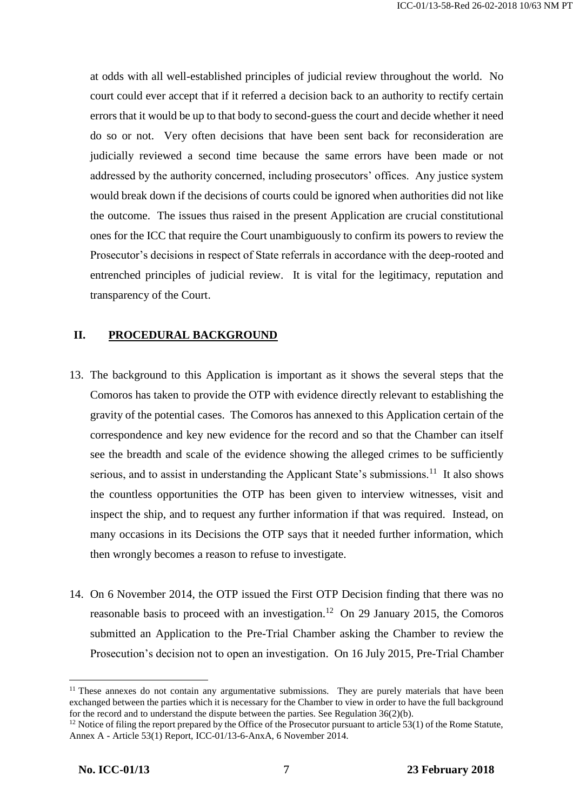at odds with all well-established principles of judicial review throughout the world. No court could ever accept that if it referred a decision back to an authority to rectify certain errors that it would be up to that body to second-guess the court and decide whether it need do so or not. Very often decisions that have been sent back for reconsideration are judicially reviewed a second time because the same errors have been made or not addressed by the authority concerned, including prosecutors' offices. Any justice system would break down if the decisions of courts could be ignored when authorities did not like the outcome. The issues thus raised in the present Application are crucial constitutional ones for the ICC that require the Court unambiguously to confirm its powers to review the Prosecutor's decisions in respect of State referrals in accordance with the deep-rooted and entrenched principles of judicial review. It is vital for the legitimacy, reputation and transparency of the Court.

# **II. PROCEDURAL BACKGROUND**

- 13. The background to this Application is important as it shows the several steps that the Comoros has taken to provide the OTP with evidence directly relevant to establishing the gravity of the potential cases. The Comoros has annexed to this Application certain of the correspondence and key new evidence for the record and so that the Chamber can itself see the breadth and scale of the evidence showing the alleged crimes to be sufficiently serious, and to assist in understanding the Applicant State's submissions.<sup>11</sup> It also shows the countless opportunities the OTP has been given to interview witnesses, visit and inspect the ship, and to request any further information if that was required. Instead, on many occasions in its Decisions the OTP says that it needed further information, which then wrongly becomes a reason to refuse to investigate.
- 14. On 6 November 2014, the OTP issued the First OTP Decision finding that there was no reasonable basis to proceed with an investigation.<sup>12</sup> On 29 January 2015, the Comoros submitted an Application to the Pre-Trial Chamber asking the Chamber to review the Prosecution's decision not to open an investigation. On 16 July 2015, Pre-Trial Chamber

<sup>&</sup>lt;sup>11</sup> These annexes do not contain any argumentative submissions. They are purely materials that have been exchanged between the parties which it is necessary for the Chamber to view in order to have the full background for the record and to understand the dispute between the parties. See Regulation 36(2)(b).

<sup>&</sup>lt;sup>12</sup> Notice of filing the report prepared by the Office of the Prosecutor pursuant to article 53(1) of the Rome Statute, Annex A - Article 53(1) Report, ICC-01/13-6-AnxA, 6 November 2014.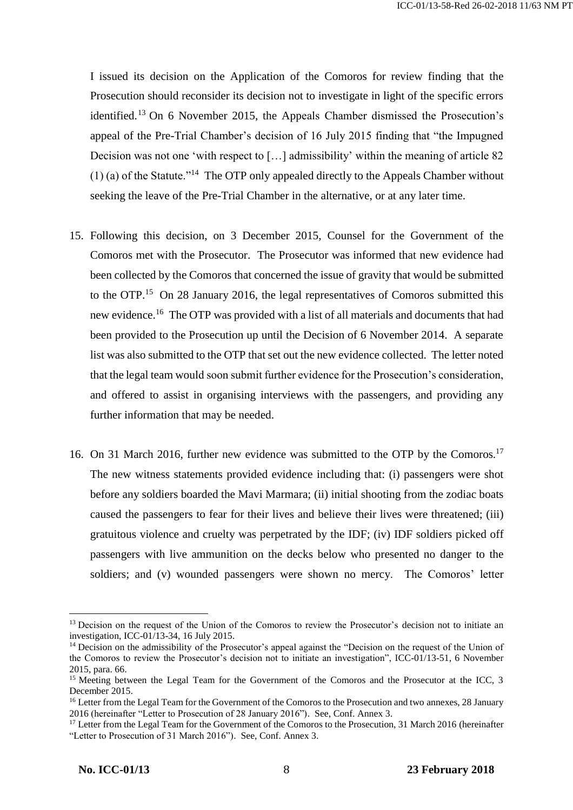I issued its decision on the Application of the Comoros for review finding that the Prosecution should reconsider its decision not to investigate in light of the specific errors identified.<sup>13</sup> On 6 November 2015, the Appeals Chamber dismissed the Prosecution's appeal of the Pre-Trial Chamber's decision of 16 July 2015 finding that "the Impugned Decision was not one 'with respect to […] admissibility' within the meaning of article 82  $(1)$  (a) of the Statute.<sup>"14</sup> The OTP only appealed directly to the Appeals Chamber without seeking the leave of the Pre-Trial Chamber in the alternative, or at any later time.

- 15. Following this decision, on 3 December 2015, Counsel for the Government of the Comoros met with the Prosecutor. The Prosecutor was informed that new evidence had been collected by the Comoros that concerned the issue of gravity that would be submitted to the OTP.<sup>15</sup> On 28 January 2016, the legal representatives of Comoros submitted this new evidence.<sup>16</sup> The OTP was provided with a list of all materials and documents that had been provided to the Prosecution up until the Decision of 6 November 2014. A separate list was also submitted to the OTP that set out the new evidence collected. The letter noted that the legal team would soon submit further evidence for the Prosecution's consideration, and offered to assist in organising interviews with the passengers, and providing any further information that may be needed.
- 16. On 31 March 2016, further new evidence was submitted to the OTP by the Comoros.<sup>17</sup> The new witness statements provided evidence including that: (i) passengers were shot before any soldiers boarded the Mavi Marmara; (ii) initial shooting from the zodiac boats caused the passengers to fear for their lives and believe their lives were threatened; (iii) gratuitous violence and cruelty was perpetrated by the IDF; (iv) IDF soldiers picked off passengers with live ammunition on the decks below who presented no danger to the soldiers; and (v) wounded passengers were shown no mercy. The Comoros' letter

<sup>&</sup>lt;sup>13</sup> Decision on the request of the Union of the Comoros to review the Prosecutor's decision not to initiate an investigation, ICC-01/13-34, 16 July 2015.

<sup>&</sup>lt;sup>14</sup> Decision on the admissibility of the Prosecutor's appeal against the "Decision on the request of the Union of the Comoros to review the Prosecutor's decision not to initiate an investigation", ICC-01/13-51, 6 November 2015, para. 66.

<sup>&</sup>lt;sup>15</sup> Meeting between the Legal Team for the Government of the Comoros and the Prosecutor at the ICC, 3 December 2015.

<sup>&</sup>lt;sup>16</sup> Letter from the Legal Team for the Government of the Comoros to the Prosecution and two annexes, 28 January 2016 (hereinafter "Letter to Prosecution of 28 January 2016"). See, Conf. Annex 3.

<sup>&</sup>lt;sup>17</sup> Letter from the Legal Team for the Government of the Comoros to the Prosecution, 31 March 2016 (hereinafter "Letter to Prosecution of 31 March 2016"). See, Conf. Annex 3.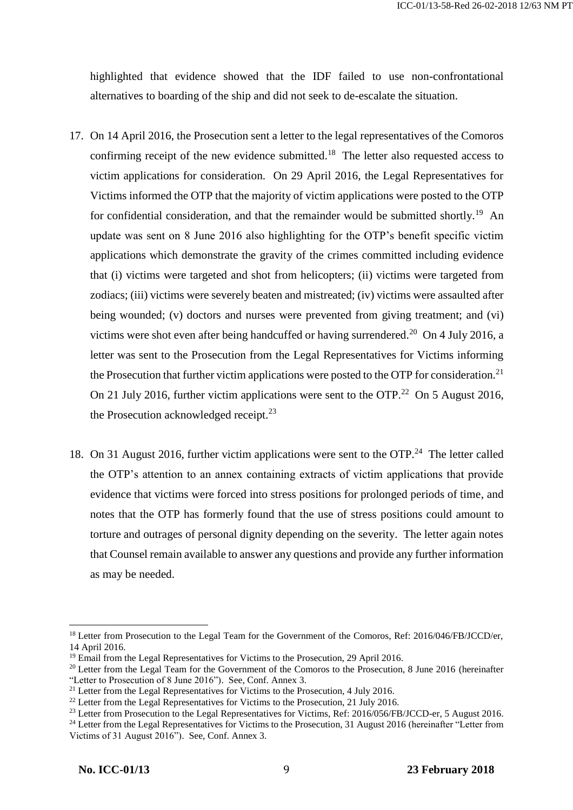highlighted that evidence showed that the IDF failed to use non-confrontational alternatives to boarding of the ship and did not seek to de-escalate the situation.

- 17. On 14 April 2016, the Prosecution sent a letter to the legal representatives of the Comoros confirming receipt of the new evidence submitted.<sup>18</sup> The letter also requested access to victim applications for consideration. On 29 April 2016, the Legal Representatives for Victims informed the OTP that the majority of victim applications were posted to the OTP for confidential consideration, and that the remainder would be submitted shortly.<sup>19</sup> An update was sent on 8 June 2016 also highlighting for the OTP's benefit specific victim applications which demonstrate the gravity of the crimes committed including evidence that (i) victims were targeted and shot from helicopters; (ii) victims were targeted from zodiacs; (iii) victims were severely beaten and mistreated; (iv) victims were assaulted after being wounded; (v) doctors and nurses were prevented from giving treatment; and (vi) victims were shot even after being handcuffed or having surrendered.<sup>20</sup> On 4 July 2016, a letter was sent to the Prosecution from the Legal Representatives for Victims informing the Prosecution that further victim applications were posted to the OTP for consideration.<sup>21</sup> On 21 July 2016, further victim applications were sent to the OTP.<sup>22</sup> On 5 August 2016, the Prosecution acknowledged receipt. $^{23}$
- 18. On 31 August 2016, further victim applications were sent to the OTP.<sup>24</sup> The letter called the OTP's attention to an annex containing extracts of victim applications that provide evidence that victims were forced into stress positions for prolonged periods of time, and notes that the OTP has formerly found that the use of stress positions could amount to torture and outrages of personal dignity depending on the severity. The letter again notes that Counsel remain available to answer any questions and provide any further information as may be needed.

<sup>&</sup>lt;sup>18</sup> Letter from Prosecution to the Legal Team for the Government of the Comoros, Ref: 2016/046/FB/JCCD/er, 14 April 2016.

<sup>&</sup>lt;sup>19</sup> Email from the Legal Representatives for Victims to the Prosecution, 29 April 2016.

<sup>&</sup>lt;sup>20</sup> Letter from the Legal Team for the Government of the Comoros to the Prosecution, 8 June 2016 (hereinafter "Letter to Prosecution of 8 June 2016"). See, Conf. Annex 3.

<sup>&</sup>lt;sup>21</sup> Letter from the Legal Representatives for Victims to the Prosecution, 4 July 2016.

 $22$  Letter from the Legal Representatives for Victims to the Prosecution, 21 July 2016.

<sup>&</sup>lt;sup>23</sup> Letter from Prosecution to the Legal Representatives for Victims, Ref: 2016/056/FB/JCCD-er, 5 August 2016.

<sup>&</sup>lt;sup>24</sup> Letter from the Legal Representatives for Victims to the Prosecution, 31 August 2016 (hereinafter "Letter from Victims of 31 August 2016"). See, Conf. Annex 3.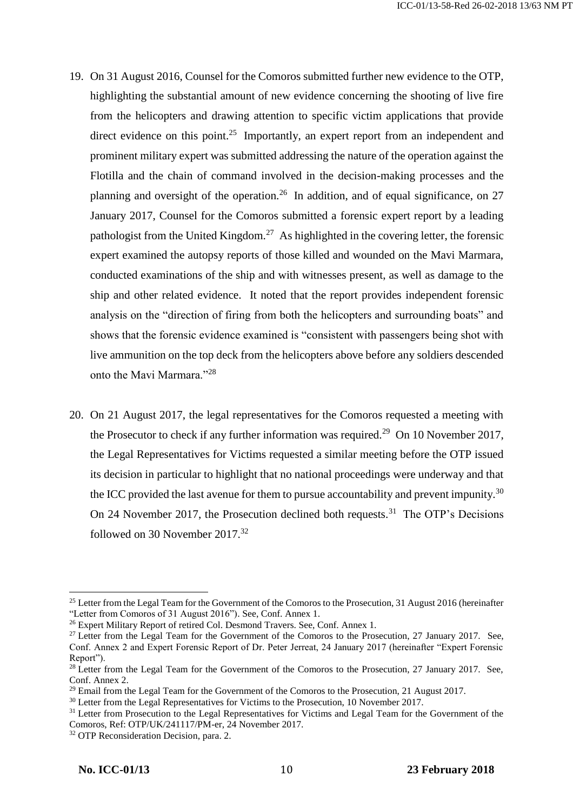- 19. On 31 August 2016, Counsel for the Comoros submitted further new evidence to the OTP, highlighting the substantial amount of new evidence concerning the shooting of live fire from the helicopters and drawing attention to specific victim applications that provide direct evidence on this point.<sup>25</sup> Importantly, an expert report from an independent and prominent military expert was submitted addressing the nature of the operation against the Flotilla and the chain of command involved in the decision-making processes and the planning and oversight of the operation.<sup>26</sup> In addition, and of equal significance, on 27 January 2017, Counsel for the Comoros submitted a forensic expert report by a leading pathologist from the United Kingdom.<sup>27</sup> As highlighted in the covering letter, the forensic expert examined the autopsy reports of those killed and wounded on the Mavi Marmara, conducted examinations of the ship and with witnesses present, as well as damage to the ship and other related evidence. It noted that the report provides independent forensic analysis on the "direction of firing from both the helicopters and surrounding boats" and shows that the forensic evidence examined is "consistent with passengers being shot with live ammunition on the top deck from the helicopters above before any soldiers descended onto the Mavi Marmara."<sup>28</sup>
- 20. On 21 August 2017, the legal representatives for the Comoros requested a meeting with the Prosecutor to check if any further information was required.<sup>29</sup> On 10 November 2017, the Legal Representatives for Victims requested a similar meeting before the OTP issued its decision in particular to highlight that no national proceedings were underway and that the ICC provided the last avenue for them to pursue accountability and prevent impunity.<sup>30</sup> On 24 November 2017, the Prosecution declined both requests.<sup>31</sup> The OTP's Decisions followed on 30 November 2017.<sup>32</sup>

<sup>&</sup>lt;sup>25</sup> Letter from the Legal Team for the Government of the Comoros to the Prosecution, 31 August 2016 (hereinafter "Letter from Comoros of 31 August 2016"). See, Conf. Annex 1.

<sup>&</sup>lt;sup>26</sup> Expert Military Report of retired Col. Desmond Travers. See, Conf. Annex 1.

<sup>&</sup>lt;sup>27</sup> Letter from the Legal Team for the Government of the Comoros to the Prosecution, 27 January 2017. See, Conf. Annex 2 and Expert Forensic Report of Dr. Peter Jerreat, 24 January 2017 (hereinafter "Expert Forensic Report").

<sup>&</sup>lt;sup>28</sup> Letter from the Legal Team for the Government of the Comoros to the Prosecution, 27 January 2017. See, Conf. Annex 2.

 $29$  Email from the Legal Team for the Government of the Comoros to the Prosecution, 21 August 2017.

<sup>&</sup>lt;sup>30</sup> Letter from the Legal Representatives for Victims to the Prosecution, 10 November 2017.

<sup>&</sup>lt;sup>31</sup> Letter from Prosecution to the Legal Representatives for Victims and Legal Team for the Government of the Comoros, Ref: OTP/UK/241117/PM-er, 24 November 2017.

<sup>&</sup>lt;sup>32</sup> OTP Reconsideration Decision, para. 2.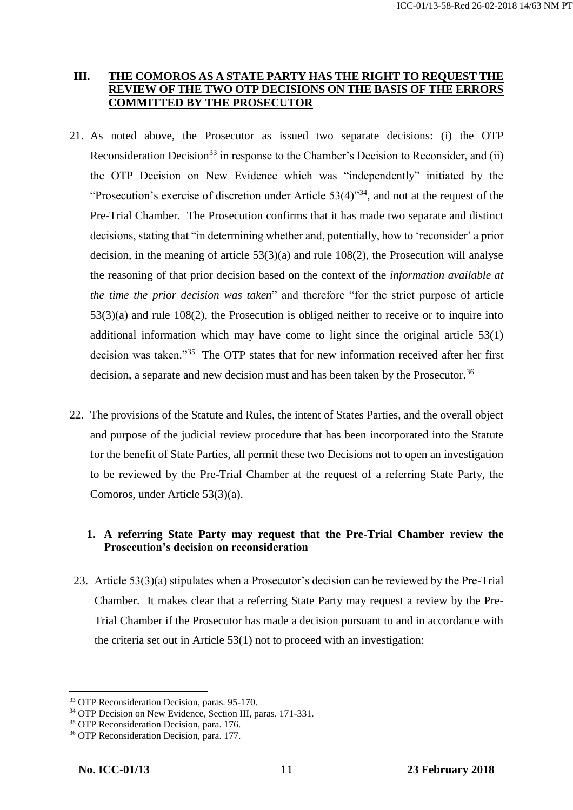# **III. THE COMOROS AS A STATE PARTY HAS THE RIGHT TO REQUEST THE REVIEW OF THE TWO OTP DECISIONS ON THE BASIS OF THE ERRORS COMMITTED BY THE PROSECUTOR**

- 21. As noted above, the Prosecutor as issued two separate decisions: (i) the OTP Reconsideration Decision<sup>33</sup> in response to the Chamber's Decision to Reconsider, and (ii) the OTP Decision on New Evidence which was "independently" initiated by the "Prosecution's exercise of discretion under Article  $53(4)$ "<sup>34</sup>, and not at the request of the Pre-Trial Chamber. The Prosecution confirms that it has made two separate and distinct decisions, stating that "in determining whether and, potentially, how to 'reconsider' a prior decision, in the meaning of article 53(3)(a) and rule 108(2), the Prosecution will analyse the reasoning of that prior decision based on the context of the *information available at the time the prior decision was taken*" and therefore "for the strict purpose of article 53(3)(a) and rule 108(2), the Prosecution is obliged neither to receive or to inquire into additional information which may have come to light since the original article 53(1) decision was taken."<sup>35</sup> The OTP states that for new information received after her first decision, a separate and new decision must and has been taken by the Prosecutor.<sup>36</sup>
- 22. The provisions of the Statute and Rules, the intent of States Parties, and the overall object and purpose of the judicial review procedure that has been incorporated into the Statute for the benefit of State Parties, all permit these two Decisions not to open an investigation to be reviewed by the Pre-Trial Chamber at the request of a referring State Party, the Comoros, under Article 53(3)(a).

# **1. A referring State Party may request that the Pre-Trial Chamber review the Prosecution's decision on reconsideration**

23. Article 53(3)(a) stipulates when a Prosecutor's decision can be reviewed by the Pre-Trial Chamber. It makes clear that a referring State Party may request a review by the Pre-Trial Chamber if the Prosecutor has made a decision pursuant to and in accordance with the criteria set out in Article 53(1) not to proceed with an investigation:

<sup>33</sup> OTP Reconsideration Decision, paras. 95-170.

<sup>&</sup>lt;sup>34</sup> OTP Decision on New Evidence, Section III, paras. 171-331.

<sup>&</sup>lt;sup>35</sup> OTP Reconsideration Decision, para. 176.

<sup>36</sup> OTP Reconsideration Decision, para. 177.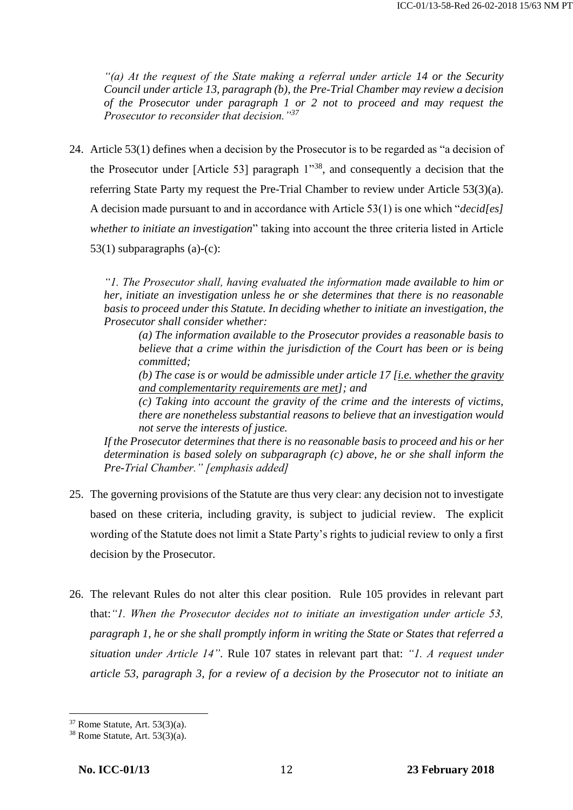*"(a) At the request of the State making a referral under article 14 or the Security Council under article 13, paragraph (b), the Pre-Trial Chamber may review a decision of the Prosecutor under paragraph 1 or 2 not to proceed and may request the Prosecutor to reconsider that decision."<sup>37</sup>*

24. Article 53(1) defines when a decision by the Prosecutor is to be regarded as "a decision of the Prosecutor under [Article 53] paragraph 1"<sup>38</sup>, and consequently a decision that the referring State Party my request the Pre-Trial Chamber to review under Article 53(3)(a). A decision made pursuant to and in accordance with Article 53(1) is one which "*decid[es] whether to initiate an investigation*" taking into account the three criteria listed in Article 53(1) subparagraphs (a)-(c):

*"1. The Prosecutor shall, having evaluated the information made available to him or her, initiate an investigation unless he or she determines that there is no reasonable basis to proceed under this Statute. In deciding whether to initiate an investigation, the Prosecutor shall consider whether:* 

*(a) The information available to the Prosecutor provides a reasonable basis to believe that a crime within the jurisdiction of the Court has been or is being committed;* 

*(b) The case is or would be admissible under article 17 [i.e. whether the gravity and complementarity requirements are met]; and* 

*(c) Taking into account the gravity of the crime and the interests of victims, there are nonetheless substantial reasons to believe that an investigation would not serve the interests of justice.* 

*If the Prosecutor determines that there is no reasonable basis to proceed and his or her determination is based solely on subparagraph (c) above, he or she shall inform the Pre-Trial Chamber." [emphasis added]*

- 25. The governing provisions of the Statute are thus very clear: any decision not to investigate based on these criteria, including gravity, is subject to judicial review. The explicit wording of the Statute does not limit a State Party's rights to judicial review to only a first decision by the Prosecutor.
- 26. The relevant Rules do not alter this clear position. Rule 105 provides in relevant part that:*"1. When the Prosecutor decides not to initiate an investigation under article 53, paragraph 1, he or she shall promptly inform in writing the State or States that referred a situation under Article 14".* Rule 107 states in relevant part that: *"1. A request under article 53, paragraph 3, for a review of a decision by the Prosecutor not to initiate an*

 $37$  Rome Statute, Art.  $53(3)(a)$ .

 $38$  Rome Statute, Art.  $53(3)(a)$ .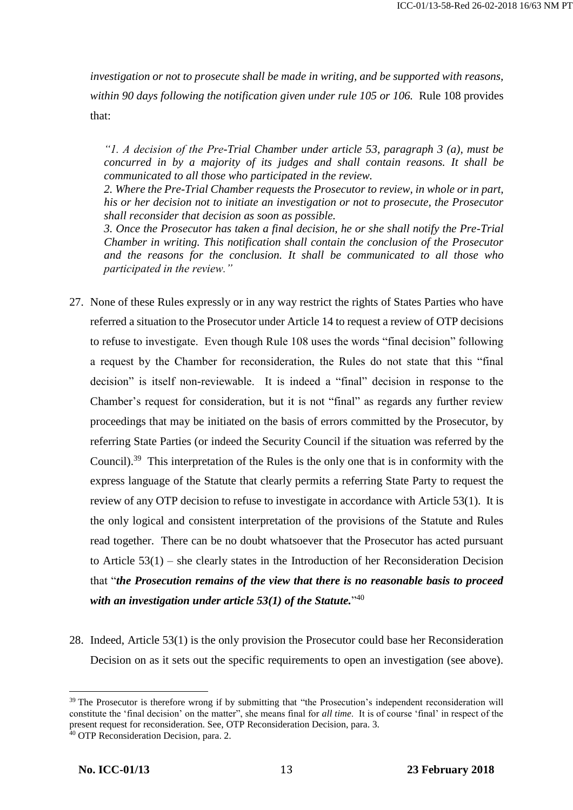*investigation or not to prosecute shall be made in writing, and be supported with reasons, within 90 days following the notification given under rule 105 or 106.* Rule 108 provides that:

*"1. A decision of the Pre-Trial Chamber under article 53, paragraph 3 (a), must be concurred in by a majority of its judges and shall contain reasons. It shall be communicated to all those who participated in the review.* 

*2. Where the Pre-Trial Chamber requests the Prosecutor to review, in whole or in part, his or her decision not to initiate an investigation or not to prosecute, the Prosecutor shall reconsider that decision as soon as possible.* 

*3. Once the Prosecutor has taken a final decision, he or she shall notify the Pre-Trial Chamber in writing. This notification shall contain the conclusion of the Prosecutor and the reasons for the conclusion. It shall be communicated to all those who participated in the review."*

- 27. None of these Rules expressly or in any way restrict the rights of States Parties who have referred a situation to the Prosecutor under Article 14 to request a review of OTP decisions to refuse to investigate. Even though Rule 108 uses the words "final decision" following a request by the Chamber for reconsideration, the Rules do not state that this "final decision" is itself non-reviewable. It is indeed a "final" decision in response to the Chamber's request for consideration, but it is not "final" as regards any further review proceedings that may be initiated on the basis of errors committed by the Prosecutor, by referring State Parties (or indeed the Security Council if the situation was referred by the Council).<sup>39</sup> This interpretation of the Rules is the only one that is in conformity with the express language of the Statute that clearly permits a referring State Party to request the review of any OTP decision to refuse to investigate in accordance with Article 53(1). It is the only logical and consistent interpretation of the provisions of the Statute and Rules read together. There can be no doubt whatsoever that the Prosecutor has acted pursuant to Article 53(1) – she clearly states in the Introduction of her Reconsideration Decision that "*the Prosecution remains of the view that there is no reasonable basis to proceed with an investigation under article 53(1) of the Statute.*" 40
- 28. Indeed, Article 53(1) is the only provision the Prosecutor could base her Reconsideration Decision on as it sets out the specific requirements to open an investigation (see above).

<sup>&</sup>lt;sup>39</sup> The Prosecutor is therefore wrong if by submitting that "the Prosecution's independent reconsideration will constitute the 'final decision' on the matter", she means final for *all time*. It is of course 'final' in respect of the present request for reconsideration. See, OTP Reconsideration Decision, para. 3.

<sup>&</sup>lt;sup>40</sup> OTP Reconsideration Decision, para. 2.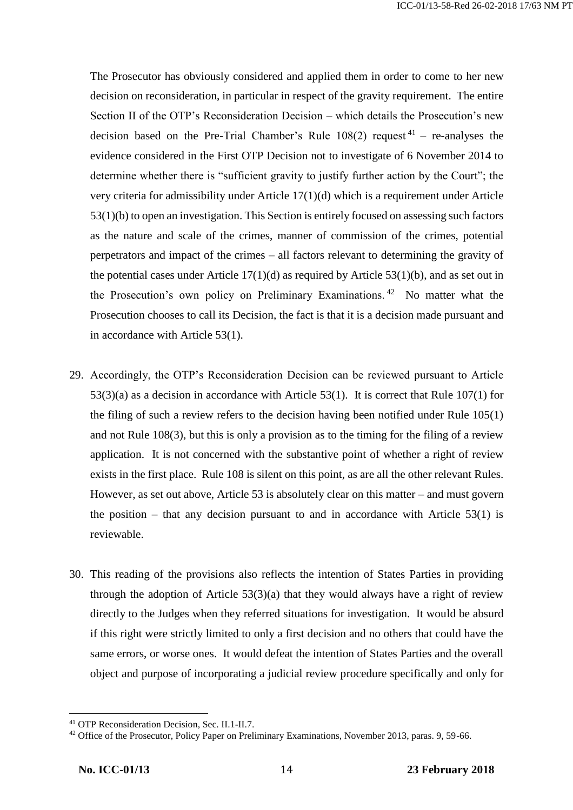The Prosecutor has obviously considered and applied them in order to come to her new decision on reconsideration, in particular in respect of the gravity requirement. The entire Section II of the OTP's Reconsideration Decision – which details the Prosecution's new decision based on the Pre-Trial Chamber's Rule  $108(2)$  request<sup>41</sup> – re-analyses the evidence considered in the First OTP Decision not to investigate of 6 November 2014 to determine whether there is "sufficient gravity to justify further action by the Court"; the very criteria for admissibility under Article 17(1)(d) which is a requirement under Article 53(1)(b) to open an investigation. This Section is entirely focused on assessing such factors as the nature and scale of the crimes, manner of commission of the crimes, potential perpetrators and impact of the crimes – all factors relevant to determining the gravity of the potential cases under Article  $17(1)(d)$  as required by Article  $53(1)(b)$ , and as set out in the Prosecution's own policy on Preliminary Examinations.<sup>42</sup> No matter what the Prosecution chooses to call its Decision, the fact is that it is a decision made pursuant and in accordance with Article 53(1).

- 29. Accordingly, the OTP's Reconsideration Decision can be reviewed pursuant to Article 53(3)(a) as a decision in accordance with Article 53(1). It is correct that Rule 107(1) for the filing of such a review refers to the decision having been notified under Rule 105(1) and not Rule 108(3), but this is only a provision as to the timing for the filing of a review application. It is not concerned with the substantive point of whether a right of review exists in the first place. Rule 108 is silent on this point, as are all the other relevant Rules. However, as set out above, Article 53 is absolutely clear on this matter – and must govern the position – that any decision pursuant to and in accordance with Article  $53(1)$  is reviewable.
- 30. This reading of the provisions also reflects the intention of States Parties in providing through the adoption of Article  $53(3)(a)$  that they would always have a right of review directly to the Judges when they referred situations for investigation. It would be absurd if this right were strictly limited to only a first decision and no others that could have the same errors, or worse ones. It would defeat the intention of States Parties and the overall object and purpose of incorporating a judicial review procedure specifically and only for

<sup>41</sup> OTP Reconsideration Decision, Sec. II.1-II.7.

<sup>&</sup>lt;sup>42</sup> Office of the Prosecutor, Policy Paper on Preliminary Examinations, November 2013, paras. 9, 59-66.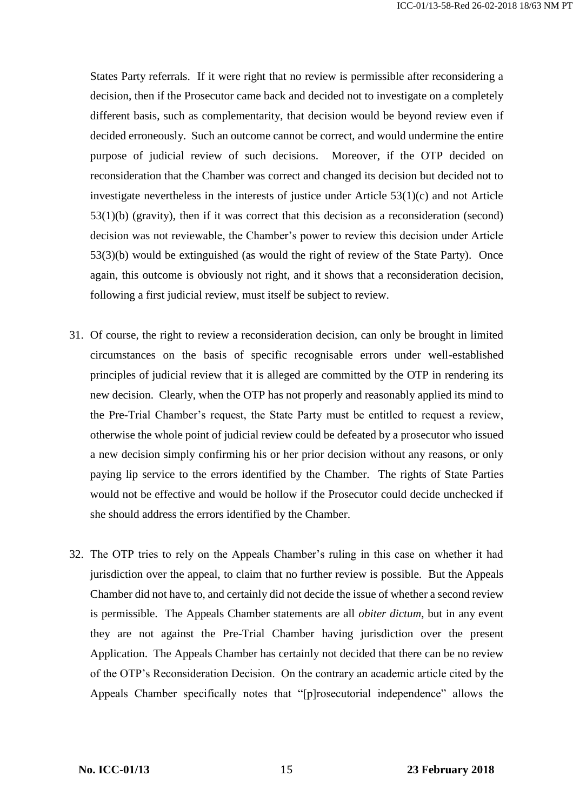States Party referrals. If it were right that no review is permissible after reconsidering a decision, then if the Prosecutor came back and decided not to investigate on a completely different basis, such as complementarity, that decision would be beyond review even if decided erroneously. Such an outcome cannot be correct, and would undermine the entire purpose of judicial review of such decisions. Moreover, if the OTP decided on reconsideration that the Chamber was correct and changed its decision but decided not to investigate nevertheless in the interests of justice under Article  $53(1)(c)$  and not Article 53(1)(b) (gravity), then if it was correct that this decision as a reconsideration (second) decision was not reviewable, the Chamber's power to review this decision under Article 53(3)(b) would be extinguished (as would the right of review of the State Party). Once again, this outcome is obviously not right, and it shows that a reconsideration decision, following a first judicial review, must itself be subject to review.

- 31. Of course, the right to review a reconsideration decision, can only be brought in limited circumstances on the basis of specific recognisable errors under well-established principles of judicial review that it is alleged are committed by the OTP in rendering its new decision. Clearly, when the OTP has not properly and reasonably applied its mind to the Pre-Trial Chamber's request, the State Party must be entitled to request a review, otherwise the whole point of judicial review could be defeated by a prosecutor who issued a new decision simply confirming his or her prior decision without any reasons, or only paying lip service to the errors identified by the Chamber. The rights of State Parties would not be effective and would be hollow if the Prosecutor could decide unchecked if she should address the errors identified by the Chamber.
- 32. The OTP tries to rely on the Appeals Chamber's ruling in this case on whether it had jurisdiction over the appeal, to claim that no further review is possible. But the Appeals Chamber did not have to, and certainly did not decide the issue of whether a second review is permissible. The Appeals Chamber statements are all *obiter dictum*, but in any event they are not against the Pre-Trial Chamber having jurisdiction over the present Application. The Appeals Chamber has certainly not decided that there can be no review of the OTP's Reconsideration Decision. On the contrary an academic article cited by the Appeals Chamber specifically notes that "[p]rosecutorial independence" allows the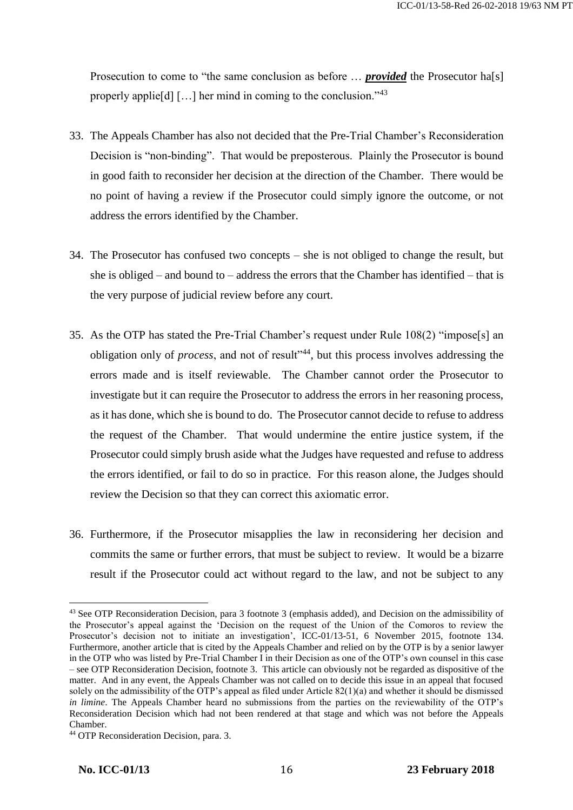Prosecution to come to "the same conclusion as before ... *provided* the Prosecutor ha<sup>[s]</sup> properly applie[d] [...] her mind in coming to the conclusion."<sup>43</sup>

- 33. The Appeals Chamber has also not decided that the Pre-Trial Chamber's Reconsideration Decision is "non-binding". That would be preposterous. Plainly the Prosecutor is bound in good faith to reconsider her decision at the direction of the Chamber. There would be no point of having a review if the Prosecutor could simply ignore the outcome, or not address the errors identified by the Chamber.
- 34. The Prosecutor has confused two concepts she is not obliged to change the result, but she is obliged – and bound to – address the errors that the Chamber has identified – that is the very purpose of judicial review before any court.
- 35. As the OTP has stated the Pre-Trial Chamber's request under Rule 108(2) "impose[s] an obligation only of *process*, and not of result"<sup>44</sup>, but this process involves addressing the errors made and is itself reviewable. The Chamber cannot order the Prosecutor to investigate but it can require the Prosecutor to address the errors in her reasoning process, as it has done, which she is bound to do. The Prosecutor cannot decide to refuse to address the request of the Chamber. That would undermine the entire justice system, if the Prosecutor could simply brush aside what the Judges have requested and refuse to address the errors identified, or fail to do so in practice. For this reason alone, the Judges should review the Decision so that they can correct this axiomatic error.
- 36. Furthermore, if the Prosecutor misapplies the law in reconsidering her decision and commits the same or further errors, that must be subject to review. It would be a bizarre result if the Prosecutor could act without regard to the law, and not be subject to any

<sup>43</sup> See OTP Reconsideration Decision, para 3 footnote 3 (emphasis added), and Decision on the admissibility of the Prosecutor's appeal against the 'Decision on the request of the Union of the Comoros to review the Prosecutor's decision not to initiate an investigation', ICC-01/13-51, 6 November 2015, footnote 134. Furthermore, another article that is cited by the Appeals Chamber and relied on by the OTP is by a senior lawyer in the OTP who was listed by Pre-Trial Chamber I in their Decision as one of the OTP's own counsel in this case – see OTP Reconsideration Decision, footnote 3. This article can obviously not be regarded as dispositive of the matter. And in any event, the Appeals Chamber was not called on to decide this issue in an appeal that focused solely on the admissibility of the OTP's appeal as filed under Article 82(1)(a) and whether it should be dismissed *in limine*. The Appeals Chamber heard no submissions from the parties on the reviewability of the OTP's Reconsideration Decision which had not been rendered at that stage and which was not before the Appeals Chamber.

<sup>44</sup> OTP Reconsideration Decision, para. 3.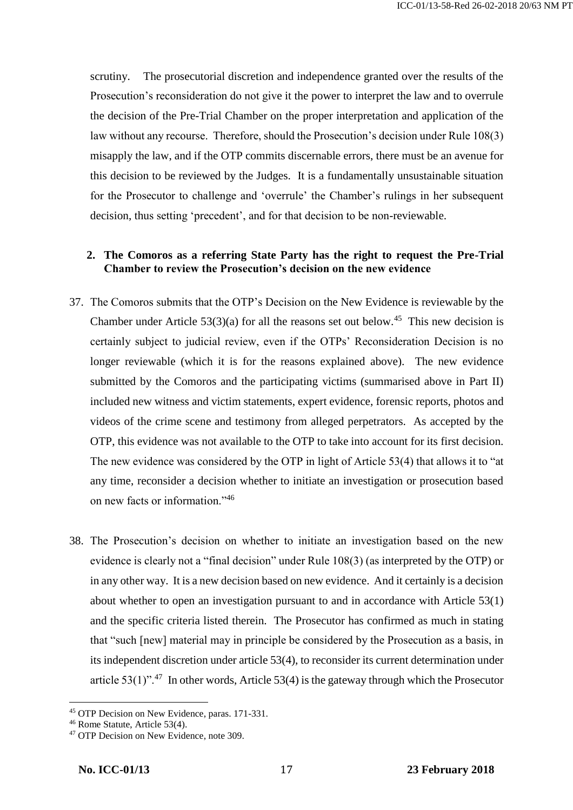scrutiny. The prosecutorial discretion and independence granted over the results of the Prosecution's reconsideration do not give it the power to interpret the law and to overrule the decision of the Pre-Trial Chamber on the proper interpretation and application of the law without any recourse. Therefore, should the Prosecution's decision under Rule 108(3) misapply the law, and if the OTP commits discernable errors, there must be an avenue for this decision to be reviewed by the Judges. It is a fundamentally unsustainable situation for the Prosecutor to challenge and 'overrule' the Chamber's rulings in her subsequent decision, thus setting 'precedent', and for that decision to be non-reviewable.

# **2. The Comoros as a referring State Party has the right to request the Pre-Trial Chamber to review the Prosecution's decision on the new evidence**

- 37. The Comoros submits that the OTP's Decision on the New Evidence is reviewable by the Chamber under Article  $53(3)(a)$  for all the reasons set out below.<sup>45</sup> This new decision is certainly subject to judicial review, even if the OTPs' Reconsideration Decision is no longer reviewable (which it is for the reasons explained above). The new evidence submitted by the Comoros and the participating victims (summarised above in Part II) included new witness and victim statements, expert evidence, forensic reports, photos and videos of the crime scene and testimony from alleged perpetrators. As accepted by the OTP, this evidence was not available to the OTP to take into account for its first decision. The new evidence was considered by the OTP in light of Article 53(4) that allows it to "at any time, reconsider a decision whether to initiate an investigation or prosecution based on new facts or information."<sup>46</sup>
- 38. The Prosecution's decision on whether to initiate an investigation based on the new evidence is clearly not a "final decision" under Rule 108(3) (as interpreted by the OTP) or in any other way. It is a new decision based on new evidence. And it certainly is a decision about whether to open an investigation pursuant to and in accordance with Article 53(1) and the specific criteria listed therein. The Prosecutor has confirmed as much in stating that "such [new] material may in principle be considered by the Prosecution as a basis, in its independent discretion under article 53(4), to reconsider its current determination under article 53(1)".<sup>47</sup> In other words, Article 53(4) is the gateway through which the Prosecutor

<sup>45</sup> OTP Decision on New Evidence, paras. 171-331.

<sup>46</sup> Rome Statute, Article 53(4).

<sup>&</sup>lt;sup>47</sup> OTP Decision on New Evidence, note 309.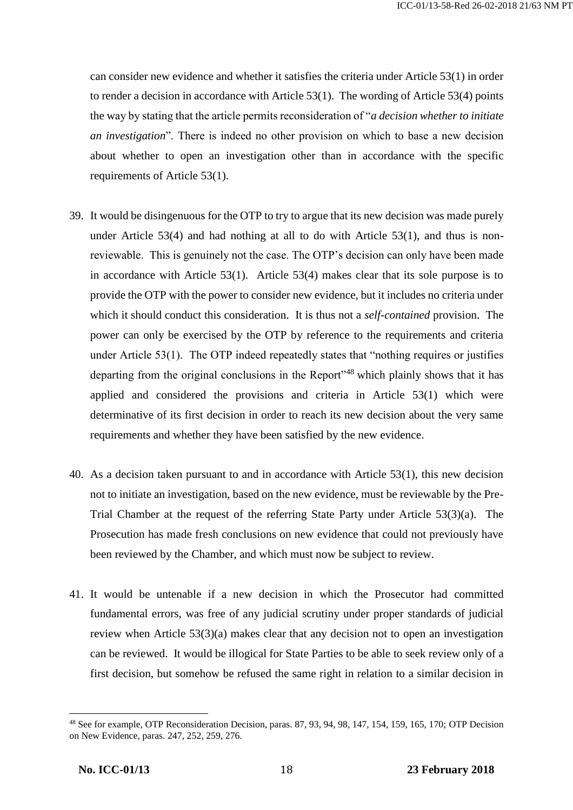can consider new evidence and whether it satisfies the criteria under Article 53(1) in order to render a decision in accordance with Article 53(1). The wording of Article 53(4) points the way by stating that the article permits reconsideration of "*a decision whether to initiate an investigation*". There is indeed no other provision on which to base a new decision about whether to open an investigation other than in accordance with the specific requirements of Article 53(1).

- 39. It would be disingenuous for the OTP to try to argue that its new decision was made purely under Article 53(4) and had nothing at all to do with Article 53(1), and thus is nonreviewable. This is genuinely not the case. The OTP's decision can only have been made in accordance with Article 53(1). Article 53(4) makes clear that its sole purpose is to provide the OTP with the power to consider new evidence, but it includes no criteria under which it should conduct this consideration. It is thus not a *self-contained* provision. The power can only be exercised by the OTP by reference to the requirements and criteria under Article 53(1). The OTP indeed repeatedly states that "nothing requires or justifies departing from the original conclusions in the Report<sup>148</sup> which plainly shows that it has applied and considered the provisions and criteria in Article 53(1) which were determinative of its first decision in order to reach its new decision about the very same requirements and whether they have been satisfied by the new evidence.
- 40. As a decision taken pursuant to and in accordance with Article 53(1), this new decision not to initiate an investigation, based on the new evidence, must be reviewable by the Pre-Trial Chamber at the request of the referring State Party under Article 53(3)(a). The Prosecution has made fresh conclusions on new evidence that could not previously have been reviewed by the Chamber, and which must now be subject to review.
- 41. It would be untenable if a new decision in which the Prosecutor had committed fundamental errors, was free of any judicial scrutiny under proper standards of judicial review when Article 53(3)(a) makes clear that any decision not to open an investigation can be reviewed. It would be illogical for State Parties to be able to seek review only of a first decision, but somehow be refused the same right in relation to a similar decision in

<sup>48</sup> See for example, OTP Reconsideration Decision, paras. 87, 93, 94, 98, 147, 154, 159, 165, 170; OTP Decision on New Evidence, paras. 247, 252, 259, 276.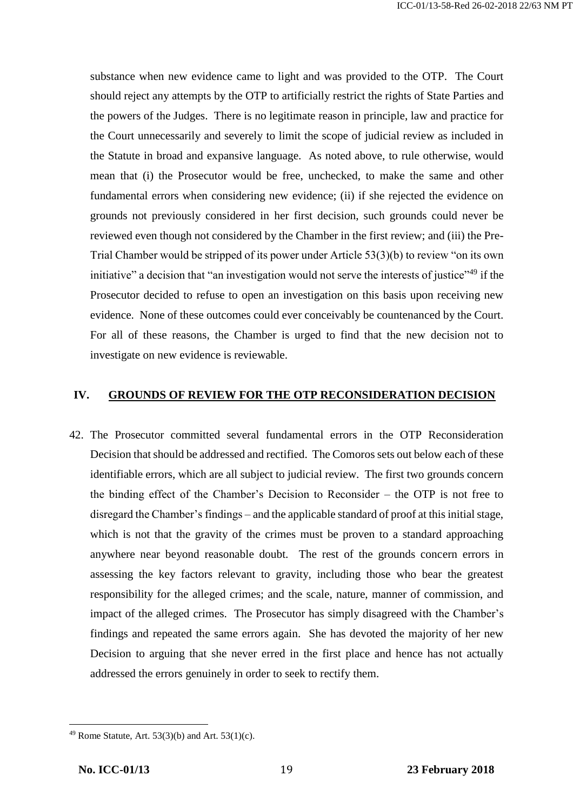substance when new evidence came to light and was provided to the OTP. The Court should reject any attempts by the OTP to artificially restrict the rights of State Parties and the powers of the Judges. There is no legitimate reason in principle, law and practice for the Court unnecessarily and severely to limit the scope of judicial review as included in the Statute in broad and expansive language. As noted above, to rule otherwise, would mean that (i) the Prosecutor would be free, unchecked, to make the same and other fundamental errors when considering new evidence; (ii) if she rejected the evidence on grounds not previously considered in her first decision, such grounds could never be reviewed even though not considered by the Chamber in the first review; and (iii) the Pre-Trial Chamber would be stripped of its power under Article 53(3)(b) to review "on its own initiative" a decision that "an investigation would not serve the interests of justice"<sup>49</sup> if the Prosecutor decided to refuse to open an investigation on this basis upon receiving new evidence. None of these outcomes could ever conceivably be countenanced by the Court. For all of these reasons, the Chamber is urged to find that the new decision not to investigate on new evidence is reviewable.

### **IV. GROUNDS OF REVIEW FOR THE OTP RECONSIDERATION DECISION**

42. The Prosecutor committed several fundamental errors in the OTP Reconsideration Decision that should be addressed and rectified. The Comoros sets out below each of these identifiable errors, which are all subject to judicial review. The first two grounds concern the binding effect of the Chamber's Decision to Reconsider – the OTP is not free to disregard the Chamber's findings – and the applicable standard of proof at this initial stage, which is not that the gravity of the crimes must be proven to a standard approaching anywhere near beyond reasonable doubt. The rest of the grounds concern errors in assessing the key factors relevant to gravity, including those who bear the greatest responsibility for the alleged crimes; and the scale, nature, manner of commission, and impact of the alleged crimes. The Prosecutor has simply disagreed with the Chamber's findings and repeated the same errors again. She has devoted the majority of her new Decision to arguing that she never erred in the first place and hence has not actually addressed the errors genuinely in order to seek to rectify them.

 $\overline{\phantom{a}}$ <sup>49</sup> Rome Statute, Art. 53(3)(b) and Art. 53(1)(c).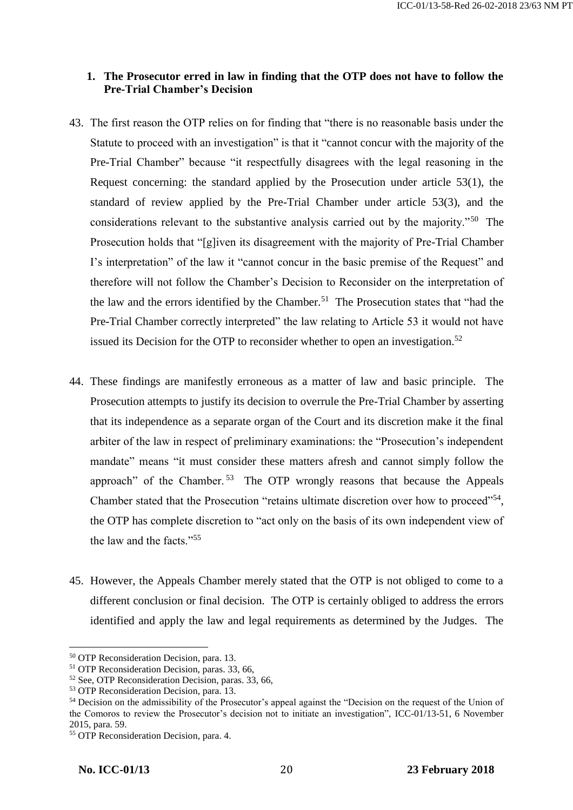## **1. The Prosecutor erred in law in finding that the OTP does not have to follow the Pre-Trial Chamber's Decision**

- 43. The first reason the OTP relies on for finding that "there is no reasonable basis under the Statute to proceed with an investigation" is that it "cannot concur with the majority of the Pre-Trial Chamber" because "it respectfully disagrees with the legal reasoning in the Request concerning: the standard applied by the Prosecution under article 53(1), the standard of review applied by the Pre-Trial Chamber under article 53(3), and the considerations relevant to the substantive analysis carried out by the majority."<sup>50</sup> The Prosecution holds that "[g]iven its disagreement with the majority of Pre-Trial Chamber I's interpretation" of the law it "cannot concur in the basic premise of the Request" and therefore will not follow the Chamber's Decision to Reconsider on the interpretation of the law and the errors identified by the Chamber.<sup>51</sup> The Prosecution states that "had the Pre-Trial Chamber correctly interpreted" the law relating to Article 53 it would not have issued its Decision for the OTP to reconsider whether to open an investigation.<sup>52</sup>
- 44. These findings are manifestly erroneous as a matter of law and basic principle. The Prosecution attempts to justify its decision to overrule the Pre-Trial Chamber by asserting that its independence as a separate organ of the Court and its discretion make it the final arbiter of the law in respect of preliminary examinations: the "Prosecution's independent mandate" means "it must consider these matters afresh and cannot simply follow the approach" of the Chamber.<sup>53</sup> The OTP wrongly reasons that because the Appeals Chamber stated that the Prosecution "retains ultimate discretion over how to proceed"<sup>54</sup>, the OTP has complete discretion to "act only on the basis of its own independent view of the law and the facts."<sup>55</sup>
- 45. However, the Appeals Chamber merely stated that the OTP is not obliged to come to a different conclusion or final decision. The OTP is certainly obliged to address the errors identified and apply the law and legal requirements as determined by the Judges. The

<sup>50</sup> OTP Reconsideration Decision, para. 13.

<sup>51</sup> OTP Reconsideration Decision, paras. 33, 66,

<sup>52</sup> See, OTP Reconsideration Decision, paras. 33, 66,

<sup>53</sup> OTP Reconsideration Decision, para. 13.

<sup>&</sup>lt;sup>54</sup> Decision on the admissibility of the Prosecutor's appeal against the "Decision on the request of the Union of the Comoros to review the Prosecutor's decision not to initiate an investigation", ICC-01/13-51, 6 November 2015, para. 59.

<sup>55</sup> OTP Reconsideration Decision, para. 4.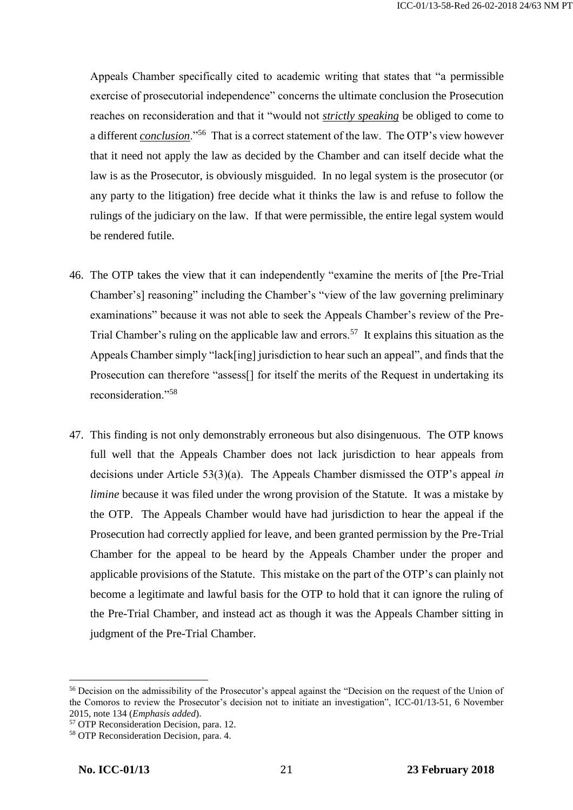Appeals Chamber specifically cited to academic writing that states that "a permissible exercise of prosecutorial independence" concerns the ultimate conclusion the Prosecution reaches on reconsideration and that it "would not *strictly speaking* be obliged to come to a different *conclusion*."<sup>56</sup> That is a correct statement of the law. The OTP's view however that it need not apply the law as decided by the Chamber and can itself decide what the law is as the Prosecutor, is obviously misguided. In no legal system is the prosecutor (or any party to the litigation) free decide what it thinks the law is and refuse to follow the rulings of the judiciary on the law. If that were permissible, the entire legal system would be rendered futile.

- 46. The OTP takes the view that it can independently "examine the merits of [the Pre-Trial Chamber's] reasoning" including the Chamber's "view of the law governing preliminary examinations" because it was not able to seek the Appeals Chamber's review of the Pre-Trial Chamber's ruling on the applicable law and errors.<sup>57</sup> It explains this situation as the Appeals Chamber simply "lack[ing] jurisdiction to hear such an appeal", and finds that the Prosecution can therefore "assess[] for itself the merits of the Request in undertaking its reconsideration."<sup>58</sup>
- 47. This finding is not only demonstrably erroneous but also disingenuous. The OTP knows full well that the Appeals Chamber does not lack jurisdiction to hear appeals from decisions under Article 53(3)(a). The Appeals Chamber dismissed the OTP's appeal *in limine* because it was filed under the wrong provision of the Statute. It was a mistake by the OTP. The Appeals Chamber would have had jurisdiction to hear the appeal if the Prosecution had correctly applied for leave, and been granted permission by the Pre-Trial Chamber for the appeal to be heard by the Appeals Chamber under the proper and applicable provisions of the Statute. This mistake on the part of the OTP's can plainly not become a legitimate and lawful basis for the OTP to hold that it can ignore the ruling of the Pre-Trial Chamber, and instead act as though it was the Appeals Chamber sitting in judgment of the Pre-Trial Chamber.

<sup>&</sup>lt;sup>56</sup> Decision on the admissibility of the Prosecutor's appeal against the "Decision on the request of the Union of the Comoros to review the Prosecutor's decision not to initiate an investigation", ICC-01/13-51, 6 November 2015, note 134 (*Emphasis added*).

<sup>57</sup> OTP Reconsideration Decision, para. 12.

<sup>58</sup> OTP Reconsideration Decision, para. 4.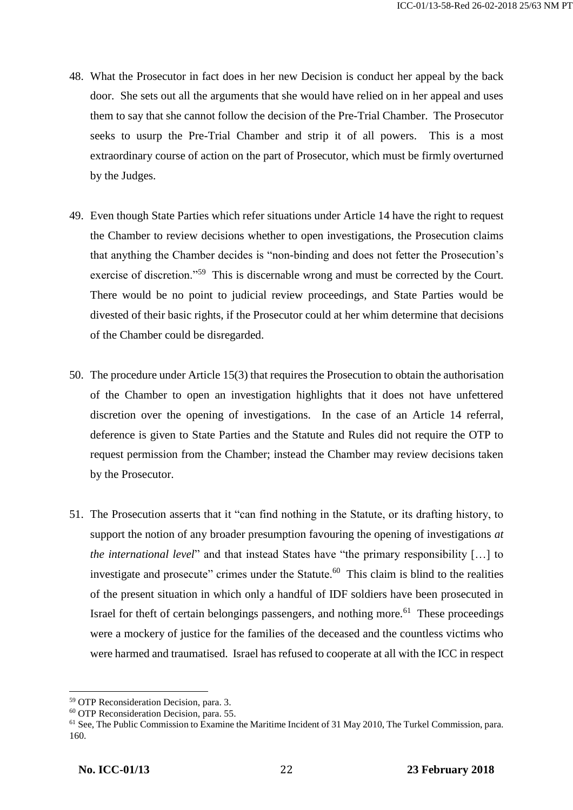- 48. What the Prosecutor in fact does in her new Decision is conduct her appeal by the back door. She sets out all the arguments that she would have relied on in her appeal and uses them to say that she cannot follow the decision of the Pre-Trial Chamber. The Prosecutor seeks to usurp the Pre-Trial Chamber and strip it of all powers. This is a most extraordinary course of action on the part of Prosecutor, which must be firmly overturned by the Judges.
- 49. Even though State Parties which refer situations under Article 14 have the right to request the Chamber to review decisions whether to open investigations, the Prosecution claims that anything the Chamber decides is "non-binding and does not fetter the Prosecution's exercise of discretion."<sup>59</sup> This is discernable wrong and must be corrected by the Court. There would be no point to judicial review proceedings, and State Parties would be divested of their basic rights, if the Prosecutor could at her whim determine that decisions of the Chamber could be disregarded.
- 50. The procedure under Article 15(3) that requires the Prosecution to obtain the authorisation of the Chamber to open an investigation highlights that it does not have unfettered discretion over the opening of investigations. In the case of an Article 14 referral, deference is given to State Parties and the Statute and Rules did not require the OTP to request permission from the Chamber; instead the Chamber may review decisions taken by the Prosecutor.
- 51. The Prosecution asserts that it "can find nothing in the Statute, or its drafting history, to support the notion of any broader presumption favouring the opening of investigations *at the international level*" and that instead States have "the primary responsibility […] to investigate and prosecute" crimes under the Statute. $60$  This claim is blind to the realities of the present situation in which only a handful of IDF soldiers have been prosecuted in Israel for theft of certain belongings passengers, and nothing more.<sup>61</sup> These proceedings were a mockery of justice for the families of the deceased and the countless victims who were harmed and traumatised. Israel has refused to cooperate at all with the ICC in respect

<sup>59</sup> OTP Reconsideration Decision, para. 3.

<sup>60</sup> OTP Reconsideration Decision, para. 55.

<sup>&</sup>lt;sup>61</sup> See, The Public Commission to Examine the Maritime Incident of 31 May 2010, The Turkel Commission, para. 160.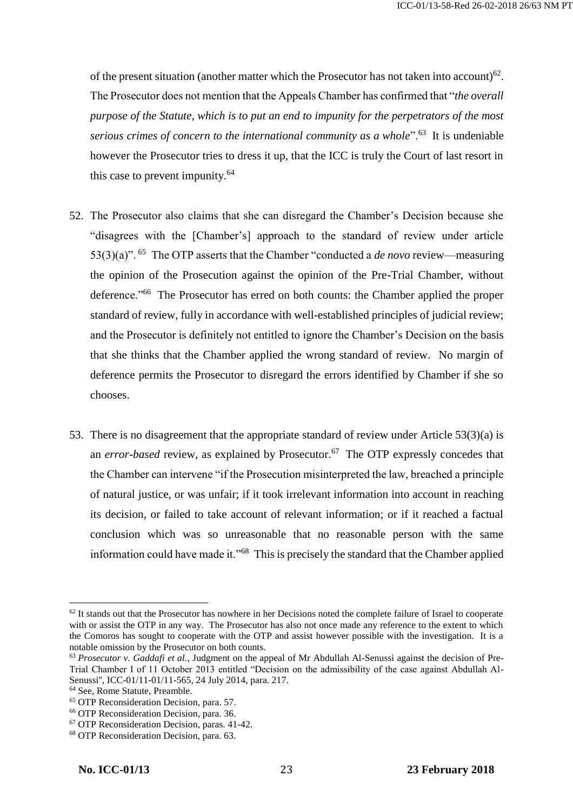of the present situation (another matter which the Prosecutor has not taken into account) $62$ . The Prosecutor does not mention that the Appeals Chamber has confirmed that "*the overall purpose of the Statute, which is to put an end to impunity for the perpetrators of the most serious crimes of concern to the international community as a whole*".<sup>63</sup> It is undeniable however the Prosecutor tries to dress it up, that the ICC is truly the Court of last resort in this case to prevent impunity.<sup>64</sup>

- 52. The Prosecutor also claims that she can disregard the Chamber's Decision because she "disagrees with the [Chamber's] approach to the standard of review under article 53(3)(a)". <sup>65</sup> The OTP asserts that the Chamber "conducted a *de novo* review—measuring the opinion of the Prosecution against the opinion of the Pre-Trial Chamber, without deference."<sup>66</sup> The Prosecutor has erred on both counts: the Chamber applied the proper standard of review, fully in accordance with well-established principles of judicial review; and the Prosecutor is definitely not entitled to ignore the Chamber's Decision on the basis that she thinks that the Chamber applied the wrong standard of review. No margin of deference permits the Prosecutor to disregard the errors identified by Chamber if she so chooses.
- 53. There is no disagreement that the appropriate standard of review under Article 53(3)(a) is an *error-based* review, as explained by Prosecutor.<sup>67</sup> The OTP expressly concedes that the Chamber can intervene "if the Prosecution misinterpreted the law, breached a principle of natural justice, or was unfair; if it took irrelevant information into account in reaching its decision, or failed to take account of relevant information; or if it reached a factual conclusion which was so unreasonable that no reasonable person with the same information could have made it."<sup>68</sup> This is precisely the standard that the Chamber applied

 $62$  It stands out that the Prosecutor has nowhere in her Decisions noted the complete failure of Israel to cooperate with or assist the OTP in any way. The Prosecutor has also not once made any reference to the extent to which the Comoros has sought to cooperate with the OTP and assist however possible with the investigation. It is a notable omission by the Prosecutor on both counts.

<sup>&</sup>lt;sup>63</sup> *Prosecutor v. Gaddafi et al.*, Judgment on the appeal of Mr Abdullah Al-Senussi against the decision of Pre-Trial Chamber I of 11 October 2013 entitled "Decision on the admissibility of the case against Abdullah Al-Senussi'', ICC-01/11-01/11-565, 24 July 2014, para. 217.

<sup>&</sup>lt;sup>64</sup> See, Rome Statute, Preamble.

<sup>65</sup> OTP Reconsideration Decision, para. 57.

<sup>66</sup> OTP Reconsideration Decision, para. 36.

<sup>67</sup> OTP Reconsideration Decision, paras. 41-42.

<sup>68</sup> OTP Reconsideration Decision, para. 63.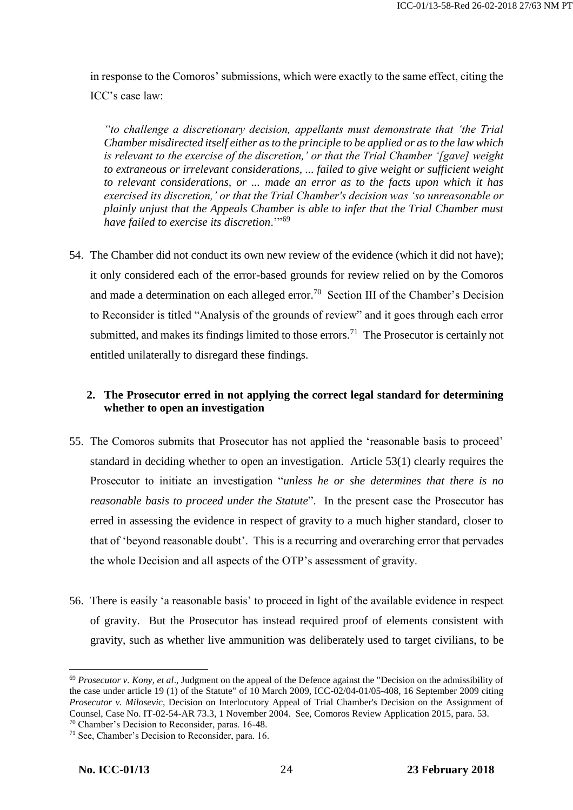in response to the Comoros' submissions, which were exactly to the same effect, citing the ICC's case law:

*"to challenge a discretionary decision, appellants must demonstrate that 'the Trial Chamber misdirected itself either as to the principle to be applied or as to the law which is relevant to the exercise of the discretion,' or that the Trial Chamber '[gave] weight to extraneous or irrelevant considerations, ... failed to give weight or sufficient weight to relevant considerations, or ... made an error as to the facts upon which it has exercised its discretion,' or that the Trial Chamber's decision was 'so unreasonable or plainly unjust that the Appeals Chamber is able to infer that the Trial Chamber must have failed to exercise its discretion*.'"<sup>69</sup>

54. The Chamber did not conduct its own new review of the evidence (which it did not have); it only considered each of the error-based grounds for review relied on by the Comoros and made a determination on each alleged error.<sup>70</sup> Section III of the Chamber's Decision to Reconsider is titled "Analysis of the grounds of review" and it goes through each error submitted, and makes its findings limited to those errors.<sup>71</sup> The Prosecutor is certainly not entitled unilaterally to disregard these findings.

# **2. The Prosecutor erred in not applying the correct legal standard for determining whether to open an investigation**

- 55. The Comoros submits that Prosecutor has not applied the 'reasonable basis to proceed' standard in deciding whether to open an investigation. Article 53(1) clearly requires the Prosecutor to initiate an investigation "*unless he or she determines that there is no reasonable basis to proceed under the Statute*". In the present case the Prosecutor has erred in assessing the evidence in respect of gravity to a much higher standard, closer to that of 'beyond reasonable doubt'. This is a recurring and overarching error that pervades the whole Decision and all aspects of the OTP's assessment of gravity.
- 56. There is easily 'a reasonable basis' to proceed in light of the available evidence in respect of gravity. But the Prosecutor has instead required proof of elements consistent with gravity, such as whether live ammunition was deliberately used to target civilians, to be

<sup>69</sup> *Prosecutor v. Kony, et al*., Judgment on the appeal of the Defence against the "Decision on the admissibility of the case under article 19 (1) of the Statute" of 10 March 2009, ICC-02/04-01/05-408, 16 September 2009 citing *Prosecutor v. Milosevic*, Decision on Interlocutory Appeal of Trial Chamber's Decision on the Assignment of Counsel, Case No. IT-02-54-AR 73.3, 1 November 2004. See, Comoros Review Application 2015, para. 53.

<sup>70</sup> Chamber's Decision to Reconsider, paras. 16-48.

<sup>71</sup> See, Chamber's Decision to Reconsider, para. 16.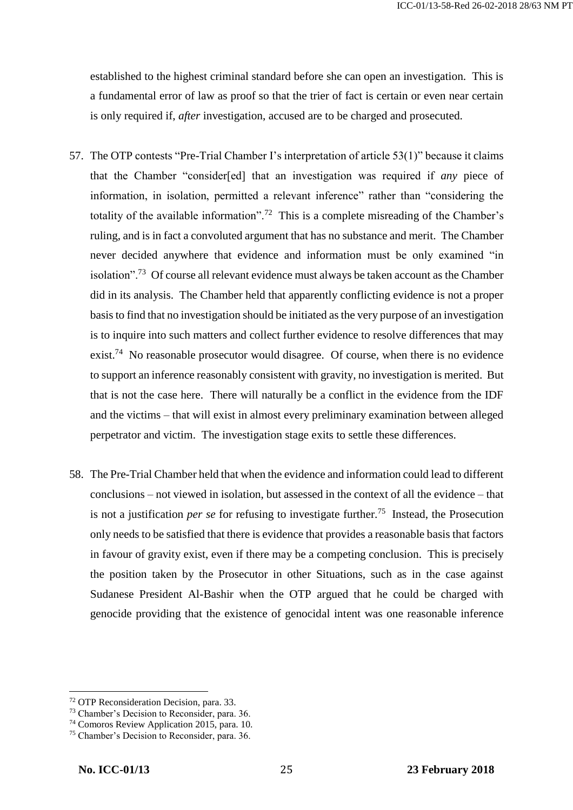established to the highest criminal standard before she can open an investigation. This is a fundamental error of law as proof so that the trier of fact is certain or even near certain is only required if, *after* investigation, accused are to be charged and prosecuted.

- 57. The OTP contests "Pre-Trial Chamber I's interpretation of article 53(1)" because it claims that the Chamber "consider[ed] that an investigation was required if *any* piece of information, in isolation, permitted a relevant inference" rather than "considering the totality of the available information".<sup>72</sup> This is a complete misreading of the Chamber's ruling, and is in fact a convoluted argument that has no substance and merit. The Chamber never decided anywhere that evidence and information must be only examined "in isolation".<sup>73</sup> Of course all relevant evidence must always be taken account as the Chamber did in its analysis. The Chamber held that apparently conflicting evidence is not a proper basis to find that no investigation should be initiated as the very purpose of an investigation is to inquire into such matters and collect further evidence to resolve differences that may exist.<sup>74</sup> No reasonable prosecutor would disagree. Of course, when there is no evidence to support an inference reasonably consistent with gravity, no investigation is merited. But that is not the case here. There will naturally be a conflict in the evidence from the IDF and the victims – that will exist in almost every preliminary examination between alleged perpetrator and victim. The investigation stage exits to settle these differences.
- 58. The Pre-Trial Chamber held that when the evidence and information could lead to different conclusions – not viewed in isolation, but assessed in the context of all the evidence – that is not a justification *per se* for refusing to investigate further.<sup>75</sup> Instead, the Prosecution only needs to be satisfied that there is evidence that provides a reasonable basis that factors in favour of gravity exist, even if there may be a competing conclusion. This is precisely the position taken by the Prosecutor in other Situations, such as in the case against Sudanese President Al-Bashir when the OTP argued that he could be charged with genocide providing that the existence of genocidal intent was one reasonable inference

<sup>72</sup> OTP Reconsideration Decision, para. 33.

<sup>73</sup> Chamber's Decision to Reconsider, para. 36.

<sup>74</sup> Comoros Review Application 2015, para. 10.

<sup>75</sup> Chamber's Decision to Reconsider, para. 36.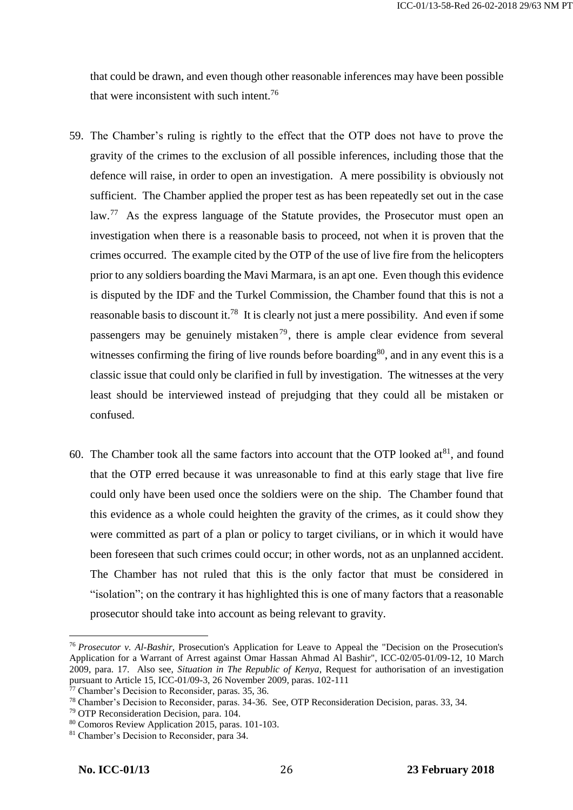that could be drawn, and even though other reasonable inferences may have been possible that were inconsistent with such intent.<sup>76</sup>

- 59. The Chamber's ruling is rightly to the effect that the OTP does not have to prove the gravity of the crimes to the exclusion of all possible inferences, including those that the defence will raise, in order to open an investigation. A mere possibility is obviously not sufficient. The Chamber applied the proper test as has been repeatedly set out in the case law.<sup>77</sup> As the express language of the Statute provides, the Prosecutor must open an investigation when there is a reasonable basis to proceed, not when it is proven that the crimes occurred. The example cited by the OTP of the use of live fire from the helicopters prior to any soldiers boarding the Mavi Marmara, is an apt one. Even though this evidence is disputed by the IDF and the Turkel Commission, the Chamber found that this is not a reasonable basis to discount it.<sup>78</sup> It is clearly not just a mere possibility. And even if some passengers may be genuinely mistaken<sup>79</sup>, there is ample clear evidence from several witnesses confirming the firing of live rounds before boarding<sup>80</sup>, and in any event this is a classic issue that could only be clarified in full by investigation. The witnesses at the very least should be interviewed instead of prejudging that they could all be mistaken or confused.
- 60. The Chamber took all the same factors into account that the OTP looked  $at^{81}$ , and found that the OTP erred because it was unreasonable to find at this early stage that live fire could only have been used once the soldiers were on the ship. The Chamber found that this evidence as a whole could heighten the gravity of the crimes, as it could show they were committed as part of a plan or policy to target civilians, or in which it would have been foreseen that such crimes could occur; in other words, not as an unplanned accident. The Chamber has not ruled that this is the only factor that must be considered in "isolation"; on the contrary it has highlighted this is one of many factors that a reasonable prosecutor should take into account as being relevant to gravity.

<sup>76</sup> *Prosecutor v. Al-Bashir*, Prosecution's Application for Leave to Appeal the "Decision on the Prosecution's Application for a Warrant of Arrest against Omar Hassan Ahmad Al Bashir", ICC-02/05-01/09-12, 10 March 2009, para. 17. Also see, *Situation in The Republic of Kenya*, Request for authorisation of an investigation pursuant to Article 15, ICC-01/09-3, 26 November 2009, paras. 102-111

<sup>77</sup> Chamber's Decision to Reconsider, paras. 35, 36.

<sup>78</sup> Chamber's Decision to Reconsider, paras. 34-36. See, OTP Reconsideration Decision, paras. 33, 34.

<sup>79</sup> OTP Reconsideration Decision, para. 104.

<sup>80</sup> Comoros Review Application 2015, paras. 101-103.

<sup>81</sup> Chamber's Decision to Reconsider, para 34.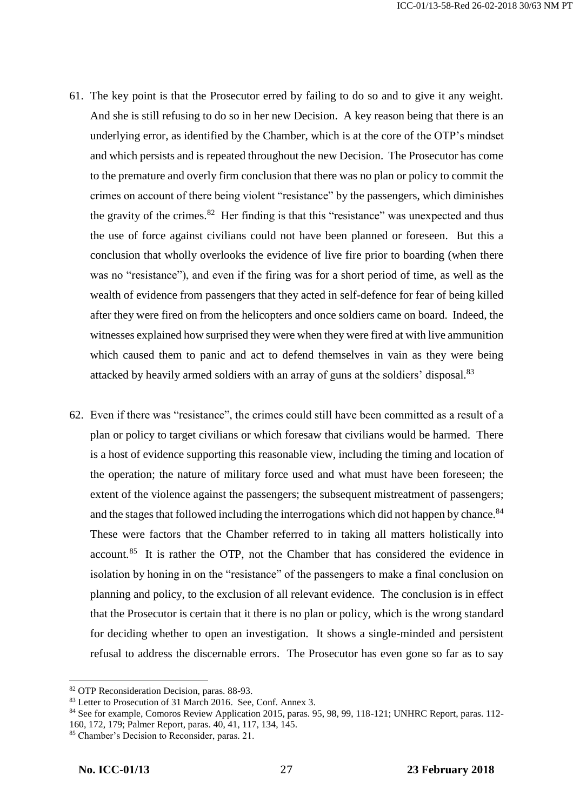- 61. The key point is that the Prosecutor erred by failing to do so and to give it any weight. And she is still refusing to do so in her new Decision. A key reason being that there is an underlying error, as identified by the Chamber, which is at the core of the OTP's mindset and which persists and is repeated throughout the new Decision. The Prosecutor has come to the premature and overly firm conclusion that there was no plan or policy to commit the crimes on account of there being violent "resistance" by the passengers, which diminishes the gravity of the crimes. $82$  Her finding is that this "resistance" was unexpected and thus the use of force against civilians could not have been planned or foreseen. But this a conclusion that wholly overlooks the evidence of live fire prior to boarding (when there was no "resistance"), and even if the firing was for a short period of time, as well as the wealth of evidence from passengers that they acted in self-defence for fear of being killed after they were fired on from the helicopters and once soldiers came on board. Indeed, the witnesses explained how surprised they were when they were fired at with live ammunition which caused them to panic and act to defend themselves in vain as they were being attacked by heavily armed soldiers with an array of guns at the soldiers' disposal.<sup>83</sup>
- 62. Even if there was "resistance", the crimes could still have been committed as a result of a plan or policy to target civilians or which foresaw that civilians would be harmed. There is a host of evidence supporting this reasonable view, including the timing and location of the operation; the nature of military force used and what must have been foreseen; the extent of the violence against the passengers; the subsequent mistreatment of passengers; and the stages that followed including the interrogations which did not happen by chance.<sup>84</sup> These were factors that the Chamber referred to in taking all matters holistically into account.<sup>85</sup> It is rather the OTP, not the Chamber that has considered the evidence in isolation by honing in on the "resistance" of the passengers to make a final conclusion on planning and policy, to the exclusion of all relevant evidence. The conclusion is in effect that the Prosecutor is certain that it there is no plan or policy, which is the wrong standard for deciding whether to open an investigation. It shows a single-minded and persistent refusal to address the discernable errors. The Prosecutor has even gone so far as to say

<sup>82</sup> OTP Reconsideration Decision, paras. 88-93.

<sup>&</sup>lt;sup>83</sup> Letter to Prosecution of 31 March 2016. See, Conf. Annex 3.

<sup>84</sup> See for example, Comoros Review Application 2015, paras. 95, 98, 99, 118-121; UNHRC Report, paras. 112- 160, 172, 179; Palmer Report, paras. 40, 41, 117, 134, 145.

<sup>85</sup> Chamber's Decision to Reconsider, paras. 21.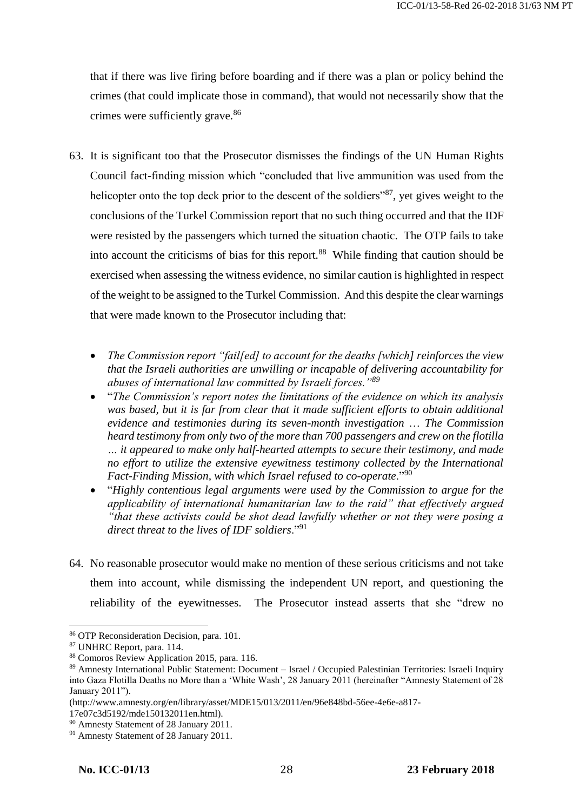that if there was live firing before boarding and if there was a plan or policy behind the crimes (that could implicate those in command), that would not necessarily show that the crimes were sufficiently grave.<sup>86</sup>

- 63. It is significant too that the Prosecutor dismisses the findings of the UN Human Rights Council fact-finding mission which "concluded that live ammunition was used from the helicopter onto the top deck prior to the descent of the soldiers<sup>387</sup>, yet gives weight to the conclusions of the Turkel Commission report that no such thing occurred and that the IDF were resisted by the passengers which turned the situation chaotic. The OTP fails to take into account the criticisms of bias for this report.<sup>88</sup> While finding that caution should be exercised when assessing the witness evidence, no similar caution is highlighted in respect of the weight to be assigned to the Turkel Commission. And this despite the clear warnings that were made known to the Prosecutor including that:
	- *The Commission report "fail[ed] to account for the deaths [which] reinforces the view that the Israeli authorities are unwilling or incapable of delivering accountability for abuses of international law committed by Israeli forces."<sup>89</sup>*
	- "*The Commission's report notes the limitations of the evidence on which its analysis was based, but it is far from clear that it made sufficient efforts to obtain additional evidence and testimonies during its seven-month investigation* … *The Commission heard testimony from only two of the more than 700 passengers and crew on the flotilla … it appeared to make only half-hearted attempts to secure their testimony, and made no effort to utilize the extensive eyewitness testimony collected by the International Fact-Finding Mission, with which Israel refused to co-operate*."<sup>90</sup>
	- "*Highly contentious legal arguments were used by the Commission to argue for the applicability of international humanitarian law to the raid" that effectively argued "that these activists could be shot dead lawfully whether or not they were posing a direct threat to the lives of IDF soldiers*."<sup>91</sup>
- 64. No reasonable prosecutor would make no mention of these serious criticisms and not take them into account, while dismissing the independent UN report, and questioning the reliability of the eyewitnesses. The Prosecutor instead asserts that she "drew no

 $\overline{\phantom{a}}$ 

17e07c3d5192/mde150132011en.html).

<sup>86</sup> OTP Reconsideration Decision, para. 101.

<sup>87</sup> UNHRC Report, para. 114.

<sup>88</sup> Comoros Review Application 2015, para. 116.

<sup>89</sup> Amnesty International Public Statement: Document – Israel / Occupied Palestinian Territories: Israeli Inquiry into Gaza Flotilla Deaths no More than a 'White Wash', 28 January 2011 (hereinafter "Amnesty Statement of 28 January 2011").

<sup>(</sup>http://www.amnesty.org/en/library/asset/MDE15/013/2011/en/96e848bd-56ee-4e6e-a817-

<sup>90</sup> Amnesty Statement of 28 January 2011.

<sup>&</sup>lt;sup>91</sup> Amnesty Statement of 28 January 2011.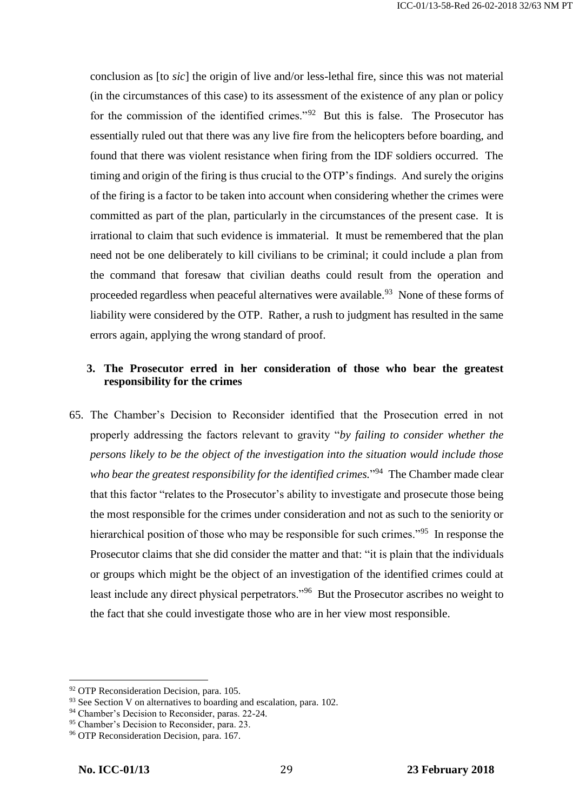conclusion as [to *sic*] the origin of live and/or less-lethal fire, since this was not material (in the circumstances of this case) to its assessment of the existence of any plan or policy for the commission of the identified crimes."<sup>92</sup> But this is false. The Prosecutor has essentially ruled out that there was any live fire from the helicopters before boarding, and found that there was violent resistance when firing from the IDF soldiers occurred. The timing and origin of the firing is thus crucial to the OTP's findings. And surely the origins of the firing is a factor to be taken into account when considering whether the crimes were committed as part of the plan, particularly in the circumstances of the present case. It is irrational to claim that such evidence is immaterial. It must be remembered that the plan need not be one deliberately to kill civilians to be criminal; it could include a plan from the command that foresaw that civilian deaths could result from the operation and proceeded regardless when peaceful alternatives were available.<sup>93</sup> None of these forms of liability were considered by the OTP. Rather, a rush to judgment has resulted in the same errors again, applying the wrong standard of proof.

# **3. The Prosecutor erred in her consideration of those who bear the greatest responsibility for the crimes**

65. The Chamber's Decision to Reconsider identified that the Prosecution erred in not properly addressing the factors relevant to gravity "*by failing to consider whether the persons likely to be the object of the investigation into the situation would include those*  who bear the greatest responsibility for the identified crimes.<sup>"94</sup> The Chamber made clear that this factor "relates to the Prosecutor's ability to investigate and prosecute those being the most responsible for the crimes under consideration and not as such to the seniority or hierarchical position of those who may be responsible for such crimes.<sup>"95</sup> In response the Prosecutor claims that she did consider the matter and that: "it is plain that the individuals or groups which might be the object of an investigation of the identified crimes could at least include any direct physical perpetrators."<sup>96</sup> But the Prosecutor ascribes no weight to the fact that she could investigate those who are in her view most responsible.

<sup>&</sup>lt;sup>92</sup> OTP Reconsideration Decision, para. 105.

<sup>&</sup>lt;sup>93</sup> See Section V on alternatives to boarding and escalation, para. 102.

<sup>94</sup> Chamber's Decision to Reconsider, paras. 22-24.

<sup>95</sup> Chamber's Decision to Reconsider, para. 23.

<sup>&</sup>lt;sup>96</sup> OTP Reconsideration Decision, para. 167.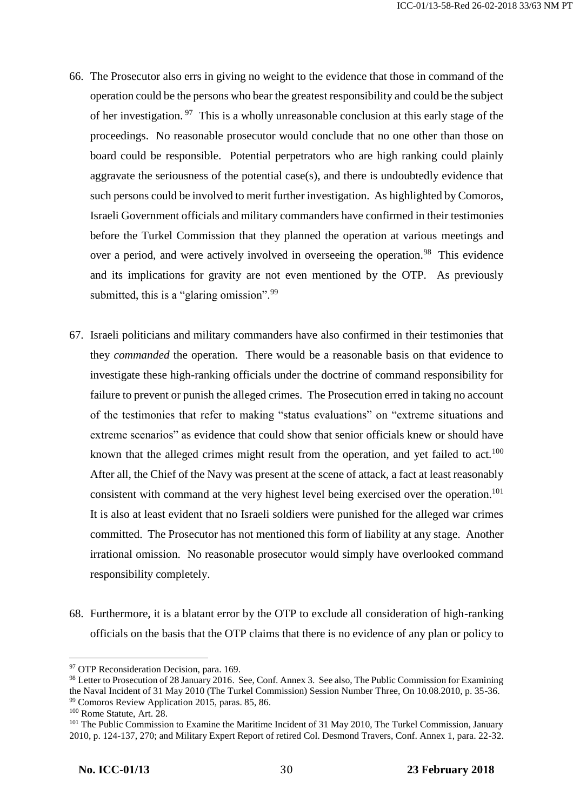- 66. The Prosecutor also errs in giving no weight to the evidence that those in command of the operation could be the persons who bear the greatest responsibility and could be the subject of her investigation.<sup>97</sup> This is a wholly unreasonable conclusion at this early stage of the proceedings. No reasonable prosecutor would conclude that no one other than those on board could be responsible. Potential perpetrators who are high ranking could plainly aggravate the seriousness of the potential case(s), and there is undoubtedly evidence that such persons could be involved to merit further investigation. As highlighted by Comoros, Israeli Government officials and military commanders have confirmed in their testimonies before the Turkel Commission that they planned the operation at various meetings and over a period, and were actively involved in overseeing the operation.<sup>98</sup> This evidence and its implications for gravity are not even mentioned by the OTP. As previously submitted, this is a "glaring omission".<sup>99</sup>
- 67. Israeli politicians and military commanders have also confirmed in their testimonies that they *commanded* the operation. There would be a reasonable basis on that evidence to investigate these high-ranking officials under the doctrine of command responsibility for failure to prevent or punish the alleged crimes. The Prosecution erred in taking no account of the testimonies that refer to making "status evaluations" on "extreme situations and extreme scenarios" as evidence that could show that senior officials knew or should have known that the alleged crimes might result from the operation, and yet failed to act.<sup>100</sup> After all, the Chief of the Navy was present at the scene of attack, a fact at least reasonably consistent with command at the very highest level being exercised over the operation.<sup>101</sup> It is also at least evident that no Israeli soldiers were punished for the alleged war crimes committed. The Prosecutor has not mentioned this form of liability at any stage. Another irrational omission. No reasonable prosecutor would simply have overlooked command responsibility completely.
- 68. Furthermore, it is a blatant error by the OTP to exclude all consideration of high-ranking officials on the basis that the OTP claims that there is no evidence of any plan or policy to

<sup>&</sup>lt;sup>97</sup> OTP Reconsideration Decision, para. 169.

<sup>98</sup> Letter to Prosecution of 28 January 2016. See, Conf. Annex 3. See also, The Public Commission for Examining the Naval Incident of 31 May 2010 (The Turkel Commission) Session Number Three, On 10.08.2010, p. 35-36. <sup>99</sup> Comoros Review Application 2015, paras. 85, 86.

<sup>100</sup> Rome Statute, Art. 28.

<sup>&</sup>lt;sup>101</sup> The Public Commission to Examine the Maritime Incident of 31 May 2010, The Turkel Commission, January 2010, p. 124-137, 270; and Military Expert Report of retired Col. Desmond Travers, Conf. Annex 1, para. 22-32.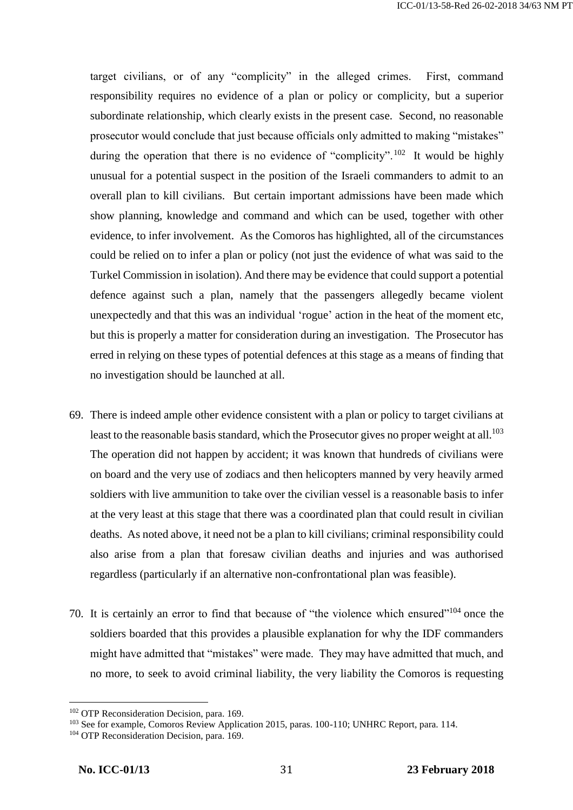target civilians, or of any "complicity" in the alleged crimes. First, command responsibility requires no evidence of a plan or policy or complicity, but a superior subordinate relationship, which clearly exists in the present case. Second, no reasonable prosecutor would conclude that just because officials only admitted to making "mistakes" during the operation that there is no evidence of "complicity".<sup>102</sup> It would be highly unusual for a potential suspect in the position of the Israeli commanders to admit to an overall plan to kill civilians. But certain important admissions have been made which show planning, knowledge and command and which can be used, together with other evidence, to infer involvement. As the Comoros has highlighted, all of the circumstances could be relied on to infer a plan or policy (not just the evidence of what was said to the Turkel Commission in isolation). And there may be evidence that could support a potential defence against such a plan, namely that the passengers allegedly became violent unexpectedly and that this was an individual 'rogue' action in the heat of the moment etc, but this is properly a matter for consideration during an investigation. The Prosecutor has erred in relying on these types of potential defences at this stage as a means of finding that no investigation should be launched at all.

- 69. There is indeed ample other evidence consistent with a plan or policy to target civilians at least to the reasonable basis standard, which the Prosecutor gives no proper weight at all.<sup>103</sup> The operation did not happen by accident; it was known that hundreds of civilians were on board and the very use of zodiacs and then helicopters manned by very heavily armed soldiers with live ammunition to take over the civilian vessel is a reasonable basis to infer at the very least at this stage that there was a coordinated plan that could result in civilian deaths. As noted above, it need not be a plan to kill civilians; criminal responsibility could also arise from a plan that foresaw civilian deaths and injuries and was authorised regardless (particularly if an alternative non-confrontational plan was feasible).
- 70. It is certainly an error to find that because of "the violence which ensured"<sup>104</sup> once the soldiers boarded that this provides a plausible explanation for why the IDF commanders might have admitted that "mistakes" were made. They may have admitted that much, and no more, to seek to avoid criminal liability, the very liability the Comoros is requesting

<sup>102</sup> OTP Reconsideration Decision, para. 169.

<sup>&</sup>lt;sup>103</sup> See for example, Comoros Review Application 2015, paras. 100-110; UNHRC Report, para. 114.

<sup>&</sup>lt;sup>104</sup> OTP Reconsideration Decision, para. 169.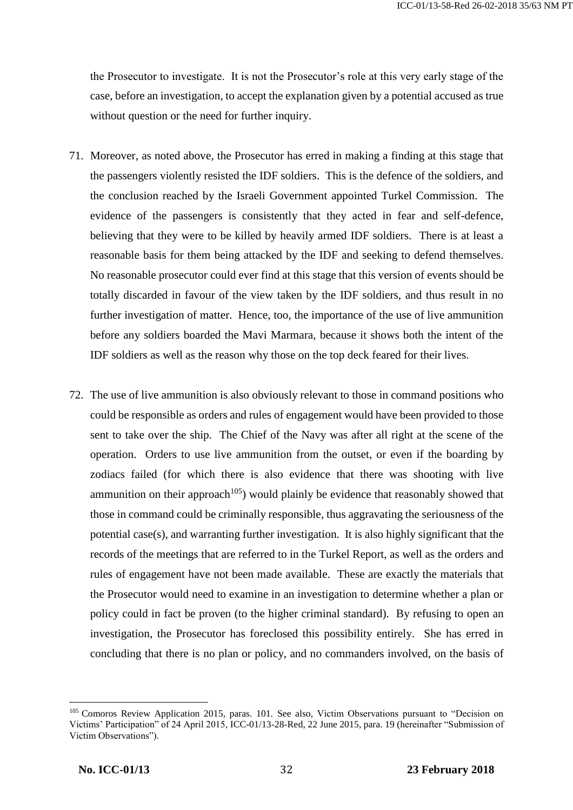the Prosecutor to investigate. It is not the Prosecutor's role at this very early stage of the case, before an investigation, to accept the explanation given by a potential accused as true without question or the need for further inquiry.

- 71. Moreover, as noted above, the Prosecutor has erred in making a finding at this stage that the passengers violently resisted the IDF soldiers. This is the defence of the soldiers, and the conclusion reached by the Israeli Government appointed Turkel Commission. The evidence of the passengers is consistently that they acted in fear and self-defence, believing that they were to be killed by heavily armed IDF soldiers. There is at least a reasonable basis for them being attacked by the IDF and seeking to defend themselves. No reasonable prosecutor could ever find at this stage that this version of events should be totally discarded in favour of the view taken by the IDF soldiers, and thus result in no further investigation of matter. Hence, too, the importance of the use of live ammunition before any soldiers boarded the Mavi Marmara, because it shows both the intent of the IDF soldiers as well as the reason why those on the top deck feared for their lives.
- 72. The use of live ammunition is also obviously relevant to those in command positions who could be responsible as orders and rules of engagement would have been provided to those sent to take over the ship. The Chief of the Navy was after all right at the scene of the operation. Orders to use live ammunition from the outset, or even if the boarding by zodiacs failed (for which there is also evidence that there was shooting with live ammunition on their approach<sup>105</sup>) would plainly be evidence that reasonably showed that those in command could be criminally responsible, thus aggravating the seriousness of the potential case(s), and warranting further investigation. It is also highly significant that the records of the meetings that are referred to in the Turkel Report, as well as the orders and rules of engagement have not been made available. These are exactly the materials that the Prosecutor would need to examine in an investigation to determine whether a plan or policy could in fact be proven (to the higher criminal standard). By refusing to open an investigation, the Prosecutor has foreclosed this possibility entirely. She has erred in concluding that there is no plan or policy, and no commanders involved, on the basis of

<sup>105</sup> Comoros Review Application 2015, paras. 101. See also, Victim Observations pursuant to "Decision on Victims' Participation" of 24 April 2015, ICC-01/13-28-Red, 22 June 2015, para. 19 (hereinafter "Submission of Victim Observations").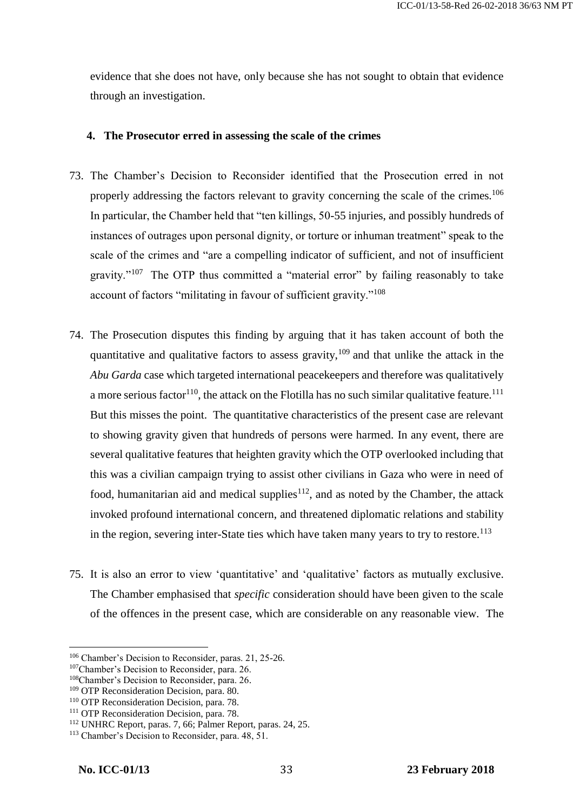evidence that she does not have, only because she has not sought to obtain that evidence through an investigation.

### **4. The Prosecutor erred in assessing the scale of the crimes**

- 73. The Chamber's Decision to Reconsider identified that the Prosecution erred in not properly addressing the factors relevant to gravity concerning the scale of the crimes.<sup>106</sup> In particular, the Chamber held that "ten killings, 50-55 injuries, and possibly hundreds of instances of outrages upon personal dignity, or torture or inhuman treatment" speak to the scale of the crimes and "are a compelling indicator of sufficient, and not of insufficient gravity."<sup>107</sup> The OTP thus committed a "material error" by failing reasonably to take account of factors "militating in favour of sufficient gravity."<sup>108</sup>
- 74. The Prosecution disputes this finding by arguing that it has taken account of both the quantitative and qualitative factors to assess gravity,  $109$  and that unlike the attack in the *Abu Garda* case which targeted international peacekeepers and therefore was qualitatively a more serious factor<sup>110</sup>, the attack on the Flotilla has no such similar qualitative feature.<sup>111</sup> But this misses the point. The quantitative characteristics of the present case are relevant to showing gravity given that hundreds of persons were harmed. In any event, there are several qualitative features that heighten gravity which the OTP overlooked including that this was a civilian campaign trying to assist other civilians in Gaza who were in need of food, humanitarian aid and medical supplies<sup>112</sup>, and as noted by the Chamber, the attack invoked profound international concern, and threatened diplomatic relations and stability in the region, severing inter-State ties which have taken many years to try to restore.<sup>113</sup>
- 75. It is also an error to view 'quantitative' and 'qualitative' factors as mutually exclusive. The Chamber emphasised that *specific* consideration should have been given to the scale of the offences in the present case, which are considerable on any reasonable view. The

<sup>106</sup> Chamber's Decision to Reconsider, paras. 21, 25-26.

<sup>107</sup>Chamber's Decision to Reconsider, para. 26.

<sup>108</sup>Chamber's Decision to Reconsider, para. 26.

<sup>&</sup>lt;sup>109</sup> OTP Reconsideration Decision, para. 80.

<sup>&</sup>lt;sup>110</sup> OTP Reconsideration Decision, para. 78.

<sup>&</sup>lt;sup>111</sup> OTP Reconsideration Decision, para. 78.

<sup>112</sup> UNHRC Report, paras. 7, 66; Palmer Report, paras. 24, 25.

<sup>&</sup>lt;sup>113</sup> Chamber's Decision to Reconsider, para. 48, 51.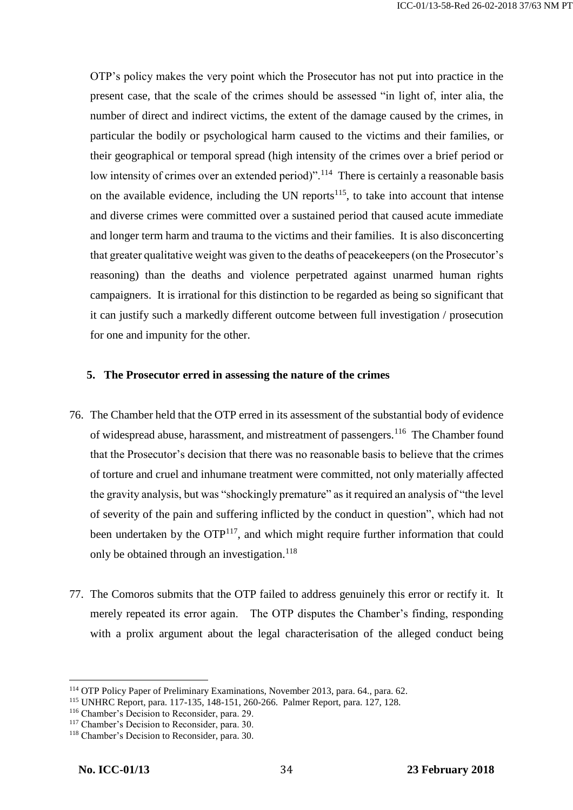OTP's policy makes the very point which the Prosecutor has not put into practice in the present case, that the scale of the crimes should be assessed "in light of, inter alia, the number of direct and indirect victims, the extent of the damage caused by the crimes, in particular the bodily or psychological harm caused to the victims and their families, or their geographical or temporal spread (high intensity of the crimes over a brief period or low intensity of crimes over an extended period)".<sup>114</sup> There is certainly a reasonable basis on the available evidence, including the UN reports $115$ , to take into account that intense and diverse crimes were committed over a sustained period that caused acute immediate and longer term harm and trauma to the victims and their families. It is also disconcerting that greater qualitative weight was given to the deaths of peacekeepers (on the Prosecutor's reasoning) than the deaths and violence perpetrated against unarmed human rights campaigners. It is irrational for this distinction to be regarded as being so significant that it can justify such a markedly different outcome between full investigation / prosecution for one and impunity for the other.

#### **5. The Prosecutor erred in assessing the nature of the crimes**

- 76. The Chamber held that the OTP erred in its assessment of the substantial body of evidence of widespread abuse, harassment, and mistreatment of passengers.<sup>116</sup> The Chamber found that the Prosecutor's decision that there was no reasonable basis to believe that the crimes of torture and cruel and inhumane treatment were committed, not only materially affected the gravity analysis, but was "shockingly premature" as it required an analysis of "the level of severity of the pain and suffering inflicted by the conduct in question", which had not been undertaken by the  $\text{OPT}^{117}$ , and which might require further information that could only be obtained through an investigation.<sup>118</sup>
- 77. The Comoros submits that the OTP failed to address genuinely this error or rectify it. It merely repeated its error again. The OTP disputes the Chamber's finding, responding with a prolix argument about the legal characterisation of the alleged conduct being

<sup>114</sup> OTP Policy Paper of Preliminary Examinations, November 2013, para. 64., para. 62.

<sup>115</sup> UNHRC Report, para. 117-135, 148-151, 260-266. Palmer Report, para. 127, 128.

<sup>116</sup> Chamber's Decision to Reconsider, para. 29.

<sup>117</sup> Chamber's Decision to Reconsider, para. 30.

<sup>118</sup> Chamber's Decision to Reconsider, para. 30.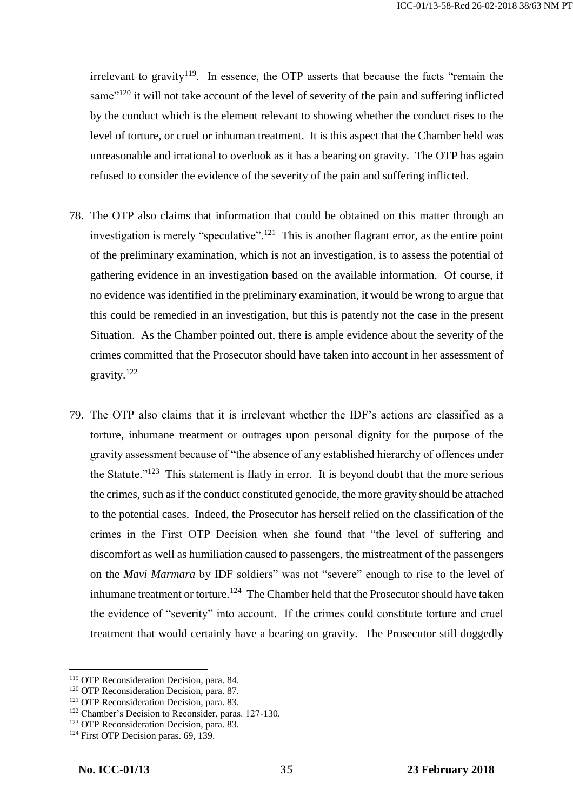irrelevant to gravity<sup>119</sup>. In essence, the OTP asserts that because the facts "remain the same $^{120}$  it will not take account of the level of severity of the pain and suffering inflicted by the conduct which is the element relevant to showing whether the conduct rises to the level of torture, or cruel or inhuman treatment. It is this aspect that the Chamber held was unreasonable and irrational to overlook as it has a bearing on gravity. The OTP has again refused to consider the evidence of the severity of the pain and suffering inflicted.

- 78. The OTP also claims that information that could be obtained on this matter through an investigation is merely "speculative".<sup>121</sup> This is another flagrant error, as the entire point of the preliminary examination, which is not an investigation, is to assess the potential of gathering evidence in an investigation based on the available information. Of course, if no evidence was identified in the preliminary examination, it would be wrong to argue that this could be remedied in an investigation, but this is patently not the case in the present Situation. As the Chamber pointed out, there is ample evidence about the severity of the crimes committed that the Prosecutor should have taken into account in her assessment of gravity.<sup>122</sup>
- 79. The OTP also claims that it is irrelevant whether the IDF's actions are classified as a torture, inhumane treatment or outrages upon personal dignity for the purpose of the gravity assessment because of "the absence of any established hierarchy of offences under the Statute."<sup>123</sup> This statement is flatly in error. It is beyond doubt that the more serious the crimes, such as if the conduct constituted genocide, the more gravity should be attached to the potential cases. Indeed, the Prosecutor has herself relied on the classification of the crimes in the First OTP Decision when she found that "the level of suffering and discomfort as well as humiliation caused to passengers, the mistreatment of the passengers on the *Mavi Marmara* by IDF soldiers" was not "severe" enough to rise to the level of inhumane treatment or torture.<sup>124</sup> The Chamber held that the Prosecutor should have taken the evidence of "severity" into account. If the crimes could constitute torture and cruel treatment that would certainly have a bearing on gravity. The Prosecutor still doggedly

<sup>119</sup> OTP Reconsideration Decision, para. 84.

<sup>&</sup>lt;sup>120</sup> OTP Reconsideration Decision, para. 87.

<sup>&</sup>lt;sup>121</sup> OTP Reconsideration Decision, para. 83.

<sup>122</sup> Chamber's Decision to Reconsider, paras. 127-130.

<sup>&</sup>lt;sup>123</sup> OTP Reconsideration Decision, para. 83.

<sup>&</sup>lt;sup>124</sup> First OTP Decision paras. 69, 139.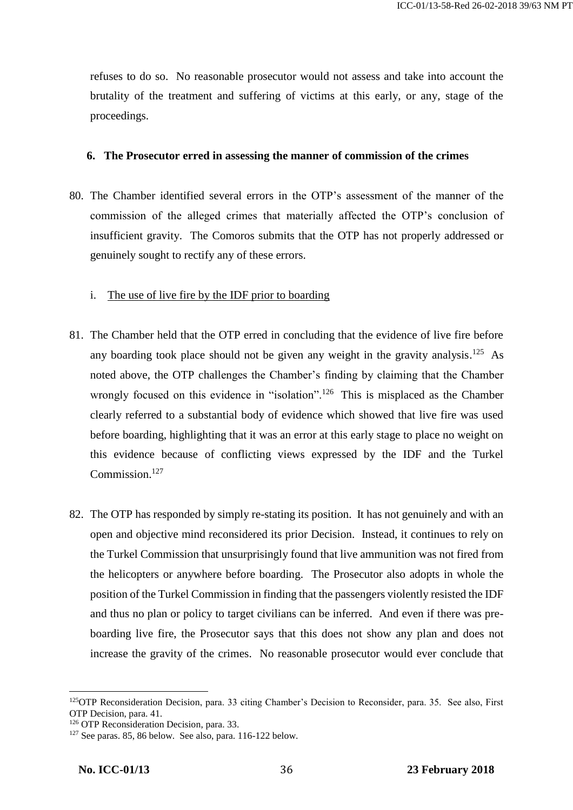refuses to do so. No reasonable prosecutor would not assess and take into account the brutality of the treatment and suffering of victims at this early, or any, stage of the proceedings.

#### **6. The Prosecutor erred in assessing the manner of commission of the crimes**

- 80. The Chamber identified several errors in the OTP's assessment of the manner of the commission of the alleged crimes that materially affected the OTP's conclusion of insufficient gravity. The Comoros submits that the OTP has not properly addressed or genuinely sought to rectify any of these errors.
	- i. The use of live fire by the IDF prior to boarding
- 81. The Chamber held that the OTP erred in concluding that the evidence of live fire before any boarding took place should not be given any weight in the gravity analysis.<sup>125</sup> As noted above, the OTP challenges the Chamber's finding by claiming that the Chamber wrongly focused on this evidence in "isolation".<sup>126</sup> This is misplaced as the Chamber clearly referred to a substantial body of evidence which showed that live fire was used before boarding, highlighting that it was an error at this early stage to place no weight on this evidence because of conflicting views expressed by the IDF and the Turkel Commission.<sup>127</sup>
- 82. The OTP has responded by simply re-stating its position. It has not genuinely and with an open and objective mind reconsidered its prior Decision. Instead, it continues to rely on the Turkel Commission that unsurprisingly found that live ammunition was not fired from the helicopters or anywhere before boarding. The Prosecutor also adopts in whole the position of the Turkel Commission in finding that the passengers violently resisted the IDF and thus no plan or policy to target civilians can be inferred. And even if there was preboarding live fire, the Prosecutor says that this does not show any plan and does not increase the gravity of the crimes. No reasonable prosecutor would ever conclude that

<sup>125</sup>OTP Reconsideration Decision, para. 33 citing Chamber's Decision to Reconsider, para. 35. See also, First OTP Decision, para. 41.

<sup>&</sup>lt;sup>126</sup> OTP Reconsideration Decision, para. 33.

 $127$  See paras. 85, 86 below. See also, para. 116-122 below.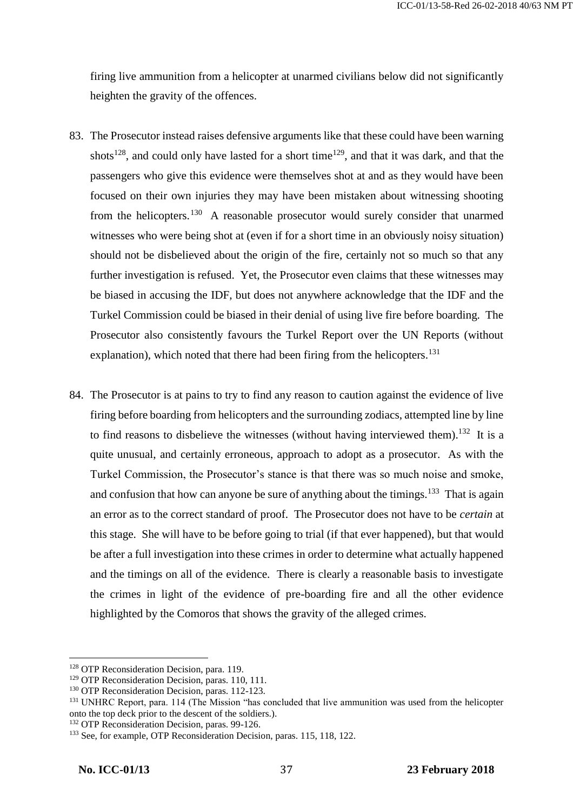firing live ammunition from a helicopter at unarmed civilians below did not significantly heighten the gravity of the offences.

- 83. The Prosecutor instead raises defensive arguments like that these could have been warning shots<sup>128</sup>, and could only have lasted for a short time<sup>129</sup>, and that it was dark, and that the passengers who give this evidence were themselves shot at and as they would have been focused on their own injuries they may have been mistaken about witnessing shooting from the helicopters.<sup>130</sup> A reasonable prosecutor would surely consider that unarmed witnesses who were being shot at (even if for a short time in an obviously noisy situation) should not be disbelieved about the origin of the fire, certainly not so much so that any further investigation is refused. Yet, the Prosecutor even claims that these witnesses may be biased in accusing the IDF, but does not anywhere acknowledge that the IDF and the Turkel Commission could be biased in their denial of using live fire before boarding. The Prosecutor also consistently favours the Turkel Report over the UN Reports (without explanation), which noted that there had been firing from the helicopters.<sup>131</sup>
- 84. The Prosecutor is at pains to try to find any reason to caution against the evidence of live firing before boarding from helicopters and the surrounding zodiacs, attempted line by line to find reasons to disbelieve the witnesses (without having interviewed them).<sup>132</sup> It is a quite unusual, and certainly erroneous, approach to adopt as a prosecutor. As with the Turkel Commission, the Prosecutor's stance is that there was so much noise and smoke, and confusion that how can anyone be sure of anything about the timings.<sup>133</sup> That is again an error as to the correct standard of proof. The Prosecutor does not have to be *certain* at this stage. She will have to be before going to trial (if that ever happened), but that would be after a full investigation into these crimes in order to determine what actually happened and the timings on all of the evidence. There is clearly a reasonable basis to investigate the crimes in light of the evidence of pre-boarding fire and all the other evidence highlighted by the Comoros that shows the gravity of the alleged crimes.

<sup>&</sup>lt;sup>128</sup> OTP Reconsideration Decision, para. 119.

<sup>&</sup>lt;sup>129</sup> OTP Reconsideration Decision, paras. 110, 111.

<sup>&</sup>lt;sup>130</sup> OTP Reconsideration Decision, paras. 112-123.

<sup>&</sup>lt;sup>131</sup> UNHRC Report, para. 114 (The Mission "has concluded that live ammunition was used from the helicopter onto the top deck prior to the descent of the soldiers.).

<sup>&</sup>lt;sup>132</sup> OTP Reconsideration Decision, paras. 99-126.

<sup>&</sup>lt;sup>133</sup> See, for example, OTP Reconsideration Decision, paras. 115, 118, 122.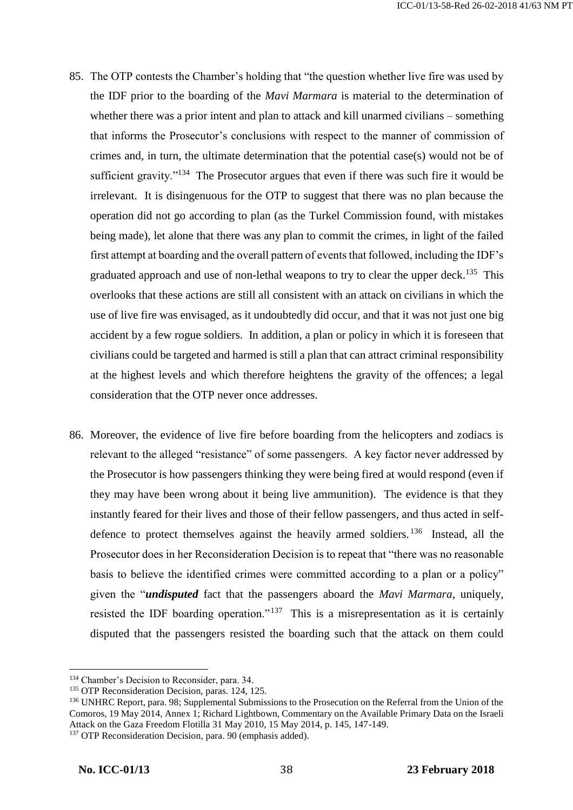- 85. The OTP contests the Chamber's holding that "the question whether live fire was used by the IDF prior to the boarding of the *Mavi Marmara* is material to the determination of whether there was a prior intent and plan to attack and kill unarmed civilians – something that informs the Prosecutor's conclusions with respect to the manner of commission of crimes and, in turn, the ultimate determination that the potential case(s) would not be of sufficient gravity."<sup>134</sup> The Prosecutor argues that even if there was such fire it would be irrelevant. It is disingenuous for the OTP to suggest that there was no plan because the operation did not go according to plan (as the Turkel Commission found, with mistakes being made), let alone that there was any plan to commit the crimes, in light of the failed first attempt at boarding and the overall pattern of events that followed, including the IDF's graduated approach and use of non-lethal weapons to try to clear the upper deck.<sup>135</sup> This overlooks that these actions are still all consistent with an attack on civilians in which the use of live fire was envisaged, as it undoubtedly did occur, and that it was not just one big accident by a few rogue soldiers. In addition, a plan or policy in which it is foreseen that civilians could be targeted and harmed is still a plan that can attract criminal responsibility at the highest levels and which therefore heightens the gravity of the offences; a legal consideration that the OTP never once addresses.
- 86. Moreover, the evidence of live fire before boarding from the helicopters and zodiacs is relevant to the alleged "resistance" of some passengers. A key factor never addressed by the Prosecutor is how passengers thinking they were being fired at would respond (even if they may have been wrong about it being live ammunition). The evidence is that they instantly feared for their lives and those of their fellow passengers, and thus acted in selfdefence to protect themselves against the heavily armed soldiers.<sup>136</sup> Instead, all the Prosecutor does in her Reconsideration Decision is to repeat that "there was no reasonable basis to believe the identified crimes were committed according to a plan or a policy" given the "*undisputed* fact that the passengers aboard the *Mavi Marmara*, uniquely, resisted the IDF boarding operation."<sup>137</sup> This is a misrepresentation as it is certainly disputed that the passengers resisted the boarding such that the attack on them could

<sup>134</sup> Chamber's Decision to Reconsider, para. 34.

<sup>&</sup>lt;sup>135</sup> OTP Reconsideration Decision, paras. 124, 125.

<sup>&</sup>lt;sup>136</sup> UNHRC Report, para. 98; Supplemental Submissions to the Prosecution on the Referral from the Union of the Comoros, 19 May 2014, Annex 1; Richard Lightbown, Commentary on the Available Primary Data on the Israeli Attack on the Gaza Freedom Flotilla 31 May 2010, 15 May 2014, p. 145, 147-149.

<sup>&</sup>lt;sup>137</sup> OTP Reconsideration Decision, para. 90 (emphasis added).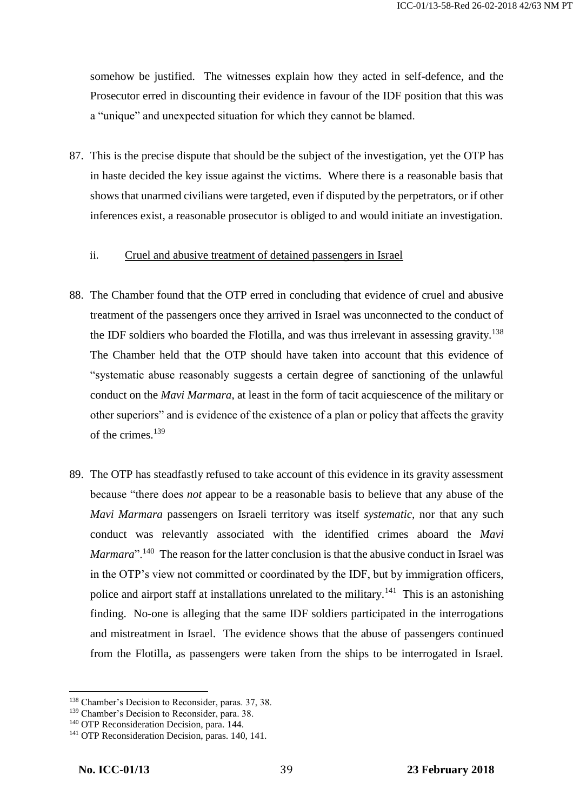somehow be justified. The witnesses explain how they acted in self-defence, and the Prosecutor erred in discounting their evidence in favour of the IDF position that this was a "unique" and unexpected situation for which they cannot be blamed.

87. This is the precise dispute that should be the subject of the investigation, yet the OTP has in haste decided the key issue against the victims. Where there is a reasonable basis that shows that unarmed civilians were targeted, even if disputed by the perpetrators, or if other inferences exist, a reasonable prosecutor is obliged to and would initiate an investigation.

#### ii. Cruel and abusive treatment of detained passengers in Israel

- 88. The Chamber found that the OTP erred in concluding that evidence of cruel and abusive treatment of the passengers once they arrived in Israel was unconnected to the conduct of the IDF soldiers who boarded the Flotilla, and was thus irrelevant in assessing gravity.<sup>138</sup> The Chamber held that the OTP should have taken into account that this evidence of "systematic abuse reasonably suggests a certain degree of sanctioning of the unlawful conduct on the *Mavi Marmara*, at least in the form of tacit acquiescence of the military or other superiors" and is evidence of the existence of a plan or policy that affects the gravity of the crimes.<sup>139</sup>
- 89. The OTP has steadfastly refused to take account of this evidence in its gravity assessment because "there does *not* appear to be a reasonable basis to believe that any abuse of the *Mavi Marmara* passengers on Israeli territory was itself *systematic*, nor that any such conduct was relevantly associated with the identified crimes aboard the *Mavi Marmara*".<sup>140</sup> The reason for the latter conclusion is that the abusive conduct in Israel was in the OTP's view not committed or coordinated by the IDF, but by immigration officers, police and airport staff at installations unrelated to the military.<sup>141</sup> This is an astonishing finding. No-one is alleging that the same IDF soldiers participated in the interrogations and mistreatment in Israel. The evidence shows that the abuse of passengers continued from the Flotilla, as passengers were taken from the ships to be interrogated in Israel.

<sup>138</sup> Chamber's Decision to Reconsider, paras. 37, 38.

<sup>139</sup> Chamber's Decision to Reconsider, para. 38.

<sup>&</sup>lt;sup>140</sup> OTP Reconsideration Decision, para. 144.

<sup>&</sup>lt;sup>141</sup> OTP Reconsideration Decision, paras. 140, 141.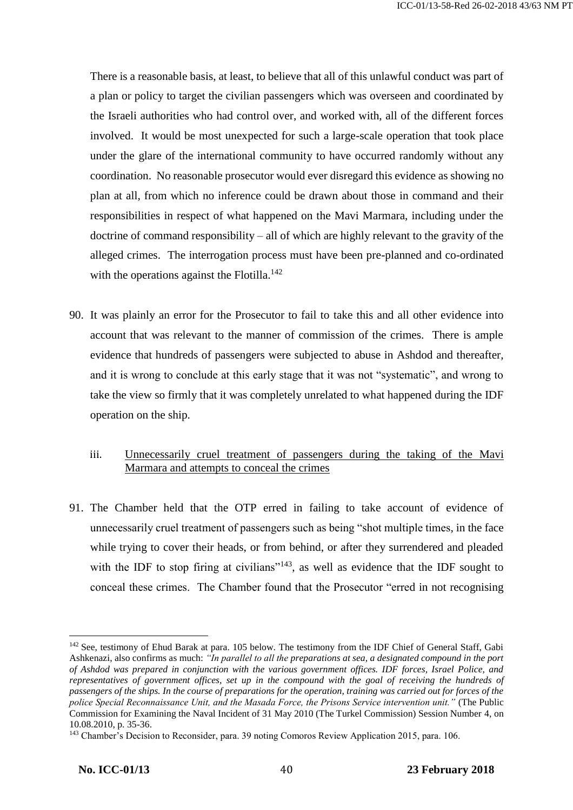There is a reasonable basis, at least, to believe that all of this unlawful conduct was part of a plan or policy to target the civilian passengers which was overseen and coordinated by the Israeli authorities who had control over, and worked with, all of the different forces involved. It would be most unexpected for such a large-scale operation that took place under the glare of the international community to have occurred randomly without any coordination. No reasonable prosecutor would ever disregard this evidence as showing no plan at all, from which no inference could be drawn about those in command and their responsibilities in respect of what happened on the Mavi Marmara, including under the doctrine of command responsibility – all of which are highly relevant to the gravity of the alleged crimes. The interrogation process must have been pre-planned and co-ordinated with the operations against the Flotilla.<sup>142</sup>

- 90. It was plainly an error for the Prosecutor to fail to take this and all other evidence into account that was relevant to the manner of commission of the crimes. There is ample evidence that hundreds of passengers were subjected to abuse in Ashdod and thereafter, and it is wrong to conclude at this early stage that it was not "systematic", and wrong to take the view so firmly that it was completely unrelated to what happened during the IDF operation on the ship.
	- iii. Unnecessarily cruel treatment of passengers during the taking of the Mavi Marmara and attempts to conceal the crimes
- 91. The Chamber held that the OTP erred in failing to take account of evidence of unnecessarily cruel treatment of passengers such as being "shot multiple times, in the face while trying to cover their heads, or from behind, or after they surrendered and pleaded with the IDF to stop firing at civilians"<sup>143</sup>, as well as evidence that the IDF sought to conceal these crimes. The Chamber found that the Prosecutor "erred in not recognising

<sup>&</sup>lt;sup>142</sup> See, testimony of Ehud Barak at para. 105 below. The testimony from the IDF Chief of General Staff, Gabi Ashkenazi, also confirms as much: *"In parallel to all the preparations at sea, a designated compound in the port of Ashdod was prepared in conjunction with the various government offices. IDF forces, Israel Police, and representatives of government offices, set up in the compound with the goal of receiving the hundreds of passengers of the ships. In the course of preparations for the operation, training was carried out for forces of the police Special Reconnaissance Unit, and the Masada Force, the Prisons Service intervention unit."* (The Public Commission for Examining the Naval Incident of 31 May 2010 (The Turkel Commission) Session Number 4, on 10.08.2010, p. 35-36.

<sup>143</sup> Chamber's Decision to Reconsider, para. 39 noting Comoros Review Application 2015, para. 106.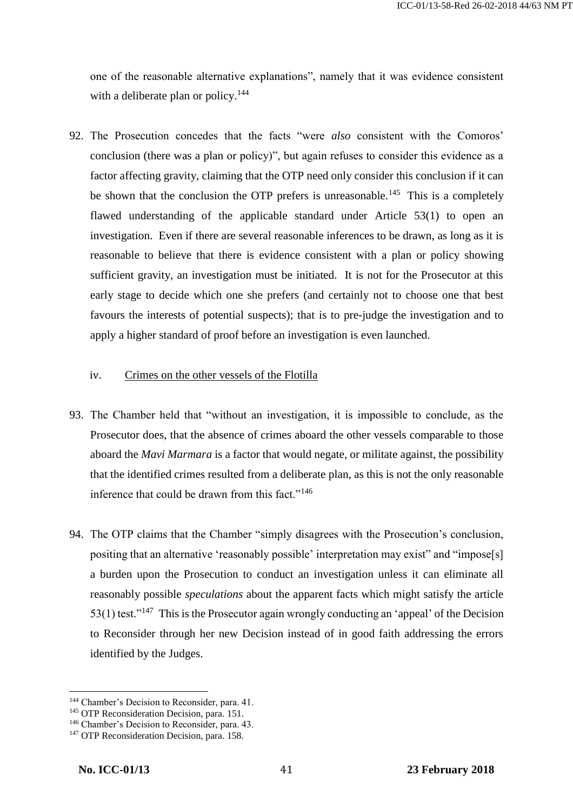one of the reasonable alternative explanations", namely that it was evidence consistent with a deliberate plan or policy.<sup>144</sup>

92. The Prosecution concedes that the facts "were *also* consistent with the Comoros' conclusion (there was a plan or policy)", but again refuses to consider this evidence as a factor affecting gravity, claiming that the OTP need only consider this conclusion if it can be shown that the conclusion the OTP prefers is unreasonable.<sup>145</sup> This is a completely flawed understanding of the applicable standard under Article 53(1) to open an investigation. Even if there are several reasonable inferences to be drawn, as long as it is reasonable to believe that there is evidence consistent with a plan or policy showing sufficient gravity, an investigation must be initiated. It is not for the Prosecutor at this early stage to decide which one she prefers (and certainly not to choose one that best favours the interests of potential suspects); that is to pre-judge the investigation and to apply a higher standard of proof before an investigation is even launched.

#### iv. Crimes on the other vessels of the Flotilla

- 93. The Chamber held that "without an investigation, it is impossible to conclude, as the Prosecutor does, that the absence of crimes aboard the other vessels comparable to those aboard the *Mavi Marmara* is a factor that would negate, or militate against, the possibility that the identified crimes resulted from a deliberate plan, as this is not the only reasonable inference that could be drawn from this fact."<sup>146</sup>
- 94. The OTP claims that the Chamber "simply disagrees with the Prosecution's conclusion, positing that an alternative 'reasonably possible' interpretation may exist" and "impose[s] a burden upon the Prosecution to conduct an investigation unless it can eliminate all reasonably possible *speculations* about the apparent facts which might satisfy the article 53(1) test."<sup>147</sup> This is the Prosecutor again wrongly conducting an 'appeal' of the Decision to Reconsider through her new Decision instead of in good faith addressing the errors identified by the Judges.

<sup>144</sup> Chamber's Decision to Reconsider, para. 41.

<sup>&</sup>lt;sup>145</sup> OTP Reconsideration Decision, para. 151.

<sup>146</sup> Chamber's Decision to Reconsider, para. 43.

<sup>&</sup>lt;sup>147</sup> OTP Reconsideration Decision, para. 158.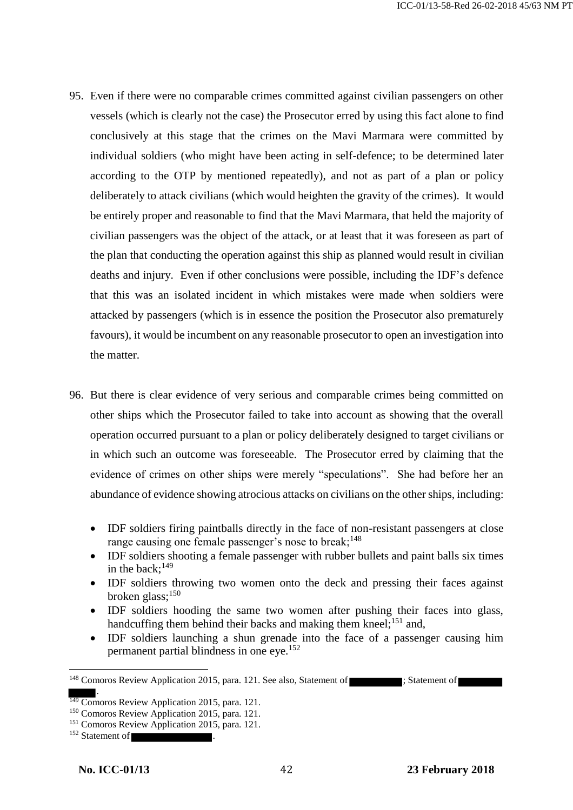- 95. Even if there were no comparable crimes committed against civilian passengers on other vessels (which is clearly not the case) the Prosecutor erred by using this fact alone to find conclusively at this stage that the crimes on the Mavi Marmara were committed by individual soldiers (who might have been acting in self-defence; to be determined later according to the OTP by mentioned repeatedly), and not as part of a plan or policy deliberately to attack civilians (which would heighten the gravity of the crimes). It would be entirely proper and reasonable to find that the Mavi Marmara, that held the majority of civilian passengers was the object of the attack, or at least that it was foreseen as part of the plan that conducting the operation against this ship as planned would result in civilian deaths and injury. Even if other conclusions were possible, including the IDF's defence that this was an isolated incident in which mistakes were made when soldiers were attacked by passengers (which is in essence the position the Prosecutor also prematurely favours), it would be incumbent on any reasonable prosecutor to open an investigation into the matter.
- 96. But there is clear evidence of very serious and comparable crimes being committed on other ships which the Prosecutor failed to take into account as showing that the overall operation occurred pursuant to a plan or policy deliberately designed to target civilians or in which such an outcome was foreseeable. The Prosecutor erred by claiming that the evidence of crimes on other ships were merely "speculations". She had before her an abundance of evidence showing atrocious attacks on civilians on the other ships, including:
	- IDF soldiers firing paintballs directly in the face of non-resistant passengers at close range causing one female passenger's nose to break; $148$
	- IDF soldiers shooting a female passenger with rubber bullets and paint balls six times in the back;<sup>149</sup>
	- IDF soldiers throwing two women onto the deck and pressing their faces against broken glass;<sup>150</sup>
	- IDF soldiers hooding the same two women after pushing their faces into glass, handcuffing them behind their backs and making them kneel;<sup>151</sup> and,
	- IDF soldiers launching a shun grenade into the face of a passenger causing him permanent partial blindness in one eye.<sup>152</sup>

<sup>&</sup>lt;sup>148</sup> Comoros Review Application 2015, para. 121. See also, Statement of ; Statement of .

 $\frac{149}{149}$  Comoros Review Application 2015, para. 121.

<sup>150</sup> Comoros Review Application 2015, para. 121.

<sup>151</sup> Comoros Review Application 2015, para. 121.

 $152$  Statement of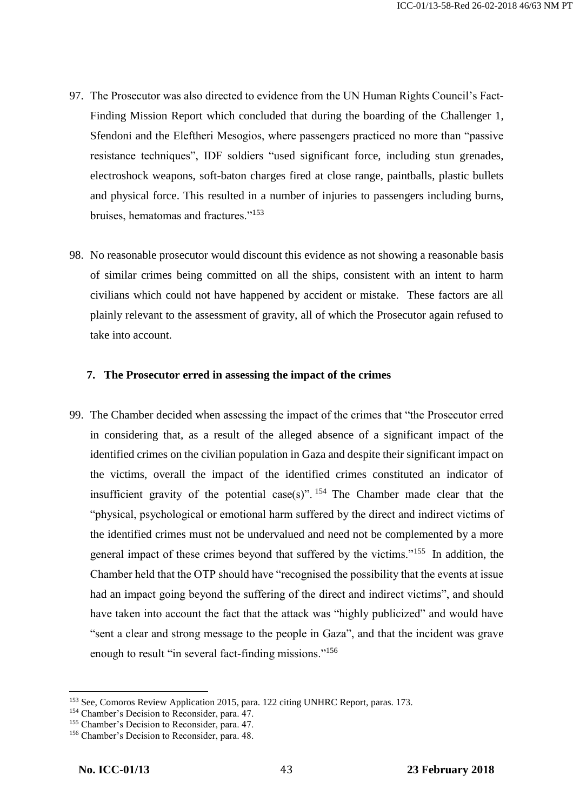- 97. The Prosecutor was also directed to evidence from the UN Human Rights Council's Fact-Finding Mission Report which concluded that during the boarding of the Challenger 1, Sfendoni and the Eleftheri Mesogios, where passengers practiced no more than "passive resistance techniques", IDF soldiers "used significant force, including stun grenades, electroshock weapons, soft-baton charges fired at close range, paintballs, plastic bullets and physical force. This resulted in a number of injuries to passengers including burns, bruises, hematomas and fractures."<sup>153</sup>
- 98. No reasonable prosecutor would discount this evidence as not showing a reasonable basis of similar crimes being committed on all the ships, consistent with an intent to harm civilians which could not have happened by accident or mistake. These factors are all plainly relevant to the assessment of gravity, all of which the Prosecutor again refused to take into account.

#### **7. The Prosecutor erred in assessing the impact of the crimes**

99. The Chamber decided when assessing the impact of the crimes that "the Prosecutor erred in considering that, as a result of the alleged absence of a significant impact of the identified crimes on the civilian population in Gaza and despite their significant impact on the victims, overall the impact of the identified crimes constituted an indicator of insufficient gravity of the potential case(s)".  $154$  The Chamber made clear that the "physical, psychological or emotional harm suffered by the direct and indirect victims of the identified crimes must not be undervalued and need not be complemented by a more general impact of these crimes beyond that suffered by the victims."<sup>155</sup> In addition, the Chamber held that the OTP should have "recognised the possibility that the events at issue had an impact going beyond the suffering of the direct and indirect victims", and should have taken into account the fact that the attack was "highly publicized" and would have "sent a clear and strong message to the people in Gaza", and that the incident was grave enough to result "in several fact-finding missions."<sup>156</sup>

<sup>153</sup> See, Comoros Review Application 2015, para. 122 citing UNHRC Report, paras. 173.

<sup>&</sup>lt;sup>154</sup> Chamber's Decision to Reconsider, para. 47.

<sup>155</sup> Chamber's Decision to Reconsider, para. 47.

<sup>156</sup> Chamber's Decision to Reconsider, para. 48.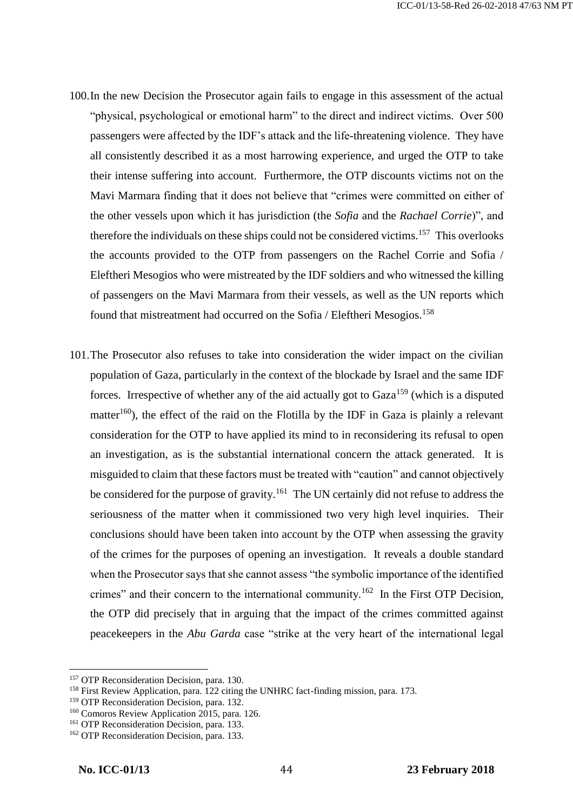- 100.In the new Decision the Prosecutor again fails to engage in this assessment of the actual "physical, psychological or emotional harm" to the direct and indirect victims. Over 500 passengers were affected by the IDF's attack and the life-threatening violence. They have all consistently described it as a most harrowing experience, and urged the OTP to take their intense suffering into account. Furthermore, the OTP discounts victims not on the Mavi Marmara finding that it does not believe that "crimes were committed on either of the other vessels upon which it has jurisdiction (the *Sofia* and the *Rachael Corrie*)", and therefore the individuals on these ships could not be considered victims.<sup>157</sup> This overlooks the accounts provided to the OTP from passengers on the Rachel Corrie and Sofia / Eleftheri Mesogios who were mistreated by the IDF soldiers and who witnessed the killing of passengers on the Mavi Marmara from their vessels, as well as the UN reports which found that mistreatment had occurred on the Sofia / Eleftheri Mesogios.<sup>158</sup>
- 101.The Prosecutor also refuses to take into consideration the wider impact on the civilian population of Gaza, particularly in the context of the blockade by Israel and the same IDF forces. Irrespective of whether any of the aid actually got to  $Gaza<sup>159</sup>$  (which is a disputed matter<sup>160</sup>), the effect of the raid on the Flotilla by the IDF in Gaza is plainly a relevant consideration for the OTP to have applied its mind to in reconsidering its refusal to open an investigation, as is the substantial international concern the attack generated. It is misguided to claim that these factors must be treated with "caution" and cannot objectively be considered for the purpose of gravity.<sup>161</sup> The UN certainly did not refuse to address the seriousness of the matter when it commissioned two very high level inquiries. Their conclusions should have been taken into account by the OTP when assessing the gravity of the crimes for the purposes of opening an investigation. It reveals a double standard when the Prosecutor says that she cannot assess "the symbolic importance of the identified crimes" and their concern to the international community.<sup>162</sup> In the First OTP Decision, the OTP did precisely that in arguing that the impact of the crimes committed against peacekeepers in the *Abu Garda* case "strike at the very heart of the international legal

<sup>&</sup>lt;sup>157</sup> OTP Reconsideration Decision, para. 130.

<sup>&</sup>lt;sup>158</sup> First Review Application, para. 122 citing the UNHRC fact-finding mission, para. 173.

<sup>159</sup> OTP Reconsideration Decision, para. 132.

<sup>160</sup> Comoros Review Application 2015, para. 126.

<sup>&</sup>lt;sup>161</sup> OTP Reconsideration Decision, para. 133.

<sup>&</sup>lt;sup>162</sup> OTP Reconsideration Decision, para. 133.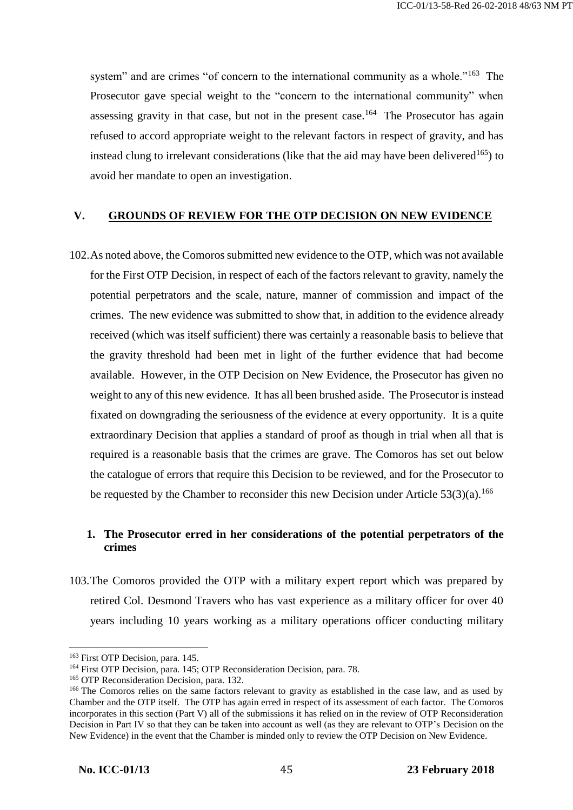system" and are crimes "of concern to the international community as a whole."<sup>163</sup> The Prosecutor gave special weight to the "concern to the international community" when assessing gravity in that case, but not in the present case.<sup>164</sup> The Prosecutor has again refused to accord appropriate weight to the relevant factors in respect of gravity, and has instead clung to irrelevant considerations (like that the aid may have been delivered<sup>165</sup>) to avoid her mandate to open an investigation.

### **V. GROUNDS OF REVIEW FOR THE OTP DECISION ON NEW EVIDENCE**

102.As noted above, the Comoros submitted new evidence to the OTP, which was not available for the First OTP Decision, in respect of each of the factors relevant to gravity, namely the potential perpetrators and the scale, nature, manner of commission and impact of the crimes. The new evidence was submitted to show that, in addition to the evidence already received (which was itself sufficient) there was certainly a reasonable basis to believe that the gravity threshold had been met in light of the further evidence that had become available. However, in the OTP Decision on New Evidence, the Prosecutor has given no weight to any of this new evidence. It has all been brushed aside. The Prosecutor is instead fixated on downgrading the seriousness of the evidence at every opportunity. It is a quite extraordinary Decision that applies a standard of proof as though in trial when all that is required is a reasonable basis that the crimes are grave. The Comoros has set out below the catalogue of errors that require this Decision to be reviewed, and for the Prosecutor to be requested by the Chamber to reconsider this new Decision under Article  $53(3)(a)$ .<sup>166</sup>

# **1. The Prosecutor erred in her considerations of the potential perpetrators of the crimes**

103.The Comoros provided the OTP with a military expert report which was prepared by retired Col. Desmond Travers who has vast experience as a military officer for over 40 years including 10 years working as a military operations officer conducting military

<sup>&</sup>lt;sup>163</sup> First OTP Decision, para. 145.

<sup>164</sup> First OTP Decision, para. 145; OTP Reconsideration Decision, para. 78.

<sup>&</sup>lt;sup>165</sup> OTP Reconsideration Decision, para. 132.

<sup>&</sup>lt;sup>166</sup> The Comoros relies on the same factors relevant to gravity as established in the case law, and as used by Chamber and the OTP itself. The OTP has again erred in respect of its assessment of each factor. The Comoros incorporates in this section (Part V) all of the submissions it has relied on in the review of OTP Reconsideration Decision in Part IV so that they can be taken into account as well (as they are relevant to OTP's Decision on the New Evidence) in the event that the Chamber is minded only to review the OTP Decision on New Evidence.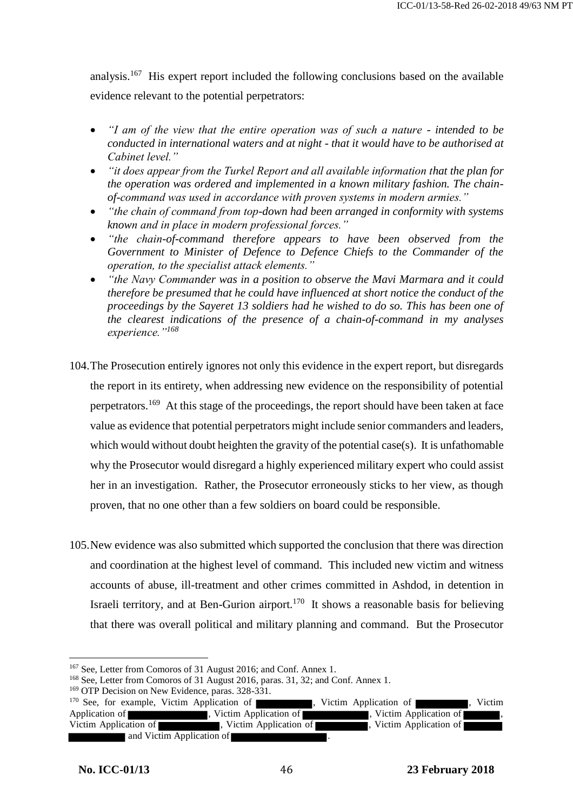analysis.<sup>167</sup> His expert report included the following conclusions based on the available evidence relevant to the potential perpetrators:

- *"I am of the view that the entire operation was of such a nature - intended to be conducted in international waters and at night - that it would have to be authorised at Cabinet level."*
- *"it does appear from the Turkel Report and all available information that the plan for the operation was ordered and implemented in a known military fashion. The chainof-command was used in accordance with proven systems in modern armies."*
- *"the chain of command from top-down had been arranged in conformity with systems known and in place in modern professional forces."*
- *"the chain-of-command therefore appears to have been observed from the Government to Minister of Defence to Defence Chiefs to the Commander of the operation, to the specialist attack elements."*
- *"the Navy Commander was in a position to observe the Mavi Marmara and it could therefore be presumed that he could have influenced at short notice the conduct of the proceedings by the Sayeret 13 soldiers had he wished to do so. This has been one of the clearest indications of the presence of a chain-of-command in my analyses experience."<sup>168</sup>*
- 104.The Prosecution entirely ignores not only this evidence in the expert report, but disregards the report in its entirety, when addressing new evidence on the responsibility of potential perpetrators.<sup>169</sup> At this stage of the proceedings, the report should have been taken at face value as evidence that potential perpetrators might include senior commanders and leaders, which would without doubt heighten the gravity of the potential case(s). It is unfathomable why the Prosecutor would disregard a highly experienced military expert who could assist her in an investigation. Rather, the Prosecutor erroneously sticks to her view, as though proven, that no one other than a few soldiers on board could be responsible.
- 105.New evidence was also submitted which supported the conclusion that there was direction and coordination at the highest level of command. This included new victim and witness accounts of abuse, ill-treatment and other crimes committed in Ashdod, in detention in Israeli territory, and at Ben-Gurion airport.<sup>170</sup> It shows a reasonable basis for believing that there was overall political and military planning and command. But the Prosecutor

<sup>167</sup> See, Letter from Comoros of 31 August 2016; and Conf. Annex 1.

<sup>168</sup> See, Letter from Comoros of 31 August 2016, paras. 31, 32; and Conf. Annex 1.

<sup>&</sup>lt;sup>169</sup> OTP Decision on New Evidence, paras. 328-331.

<sup>&</sup>lt;sup>170</sup> See, for example, Victim Application of **1996**, Victim Application of **1996**, Victim Application of **Application of** , Victim Application of , Victim Application of **The Contract Application of <b>The Contract Application** , Victim Application of **The Contract Application** , Victim Application of **The Contra** , Victim Application of **Theorem 3.** Victim Application of and Victim Application of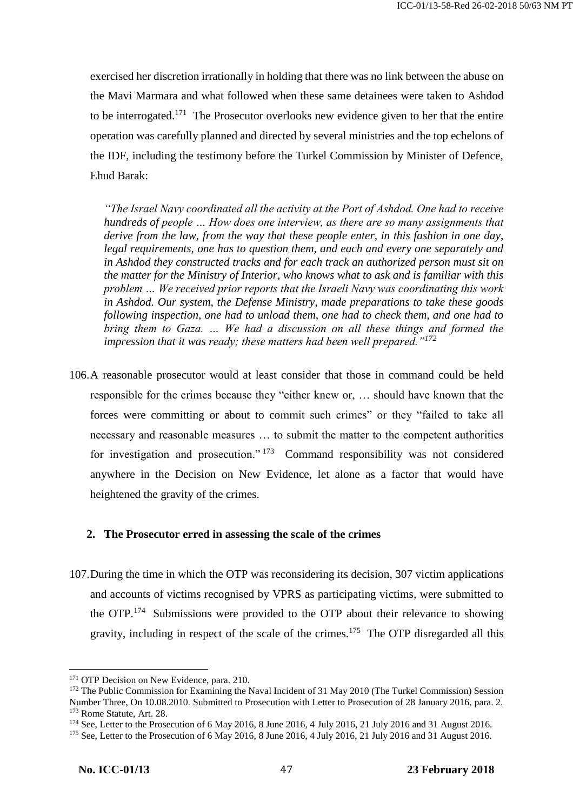exercised her discretion irrationally in holding that there was no link between the abuse on the Mavi Marmara and what followed when these same detainees were taken to Ashdod to be interrogated.<sup>171</sup> The Prosecutor overlooks new evidence given to her that the entire operation was carefully planned and directed by several ministries and the top echelons of the IDF, including the testimony before the Turkel Commission by Minister of Defence, Ehud Barak:

*"The Israel Navy coordinated all the activity at the Port of Ashdod. One had to receive hundreds of people … How does one interview, as there are so many assignments that derive from the law, from the way that these people enter, in this fashion in one day, legal requirements, one has to question them, and each and every one separately and in Ashdod they constructed tracks and for each track an authorized person must sit on the matter for the Ministry of Interior, who knows what to ask and is familiar with this problem … We received prior reports that the Israeli Navy was coordinating this work in Ashdod. Our system, the Defense Ministry, made preparations to take these goods following inspection, one had to unload them, one had to check them, and one had to bring them to Gaza. … We had a discussion on all these things and formed the impression that it was ready; these matters had been well prepared."<sup>172</sup>*

106.A reasonable prosecutor would at least consider that those in command could be held responsible for the crimes because they "either knew or, … should have known that the forces were committing or about to commit such crimes" or they "failed to take all necessary and reasonable measures … to submit the matter to the competent authorities for investigation and prosecution."<sup>173</sup> Command responsibility was not considered anywhere in the Decision on New Evidence, let alone as a factor that would have heightened the gravity of the crimes.

#### **2. The Prosecutor erred in assessing the scale of the crimes**

107.During the time in which the OTP was reconsidering its decision, 307 victim applications and accounts of victims recognised by VPRS as participating victims, were submitted to the OTP.<sup>174</sup> Submissions were provided to the OTP about their relevance to showing gravity, including in respect of the scale of the crimes.<sup>175</sup> The OTP disregarded all this

<sup>&</sup>lt;sup>171</sup> OTP Decision on New Evidence, para. 210.

<sup>&</sup>lt;sup>172</sup> The Public Commission for Examining the Naval Incident of 31 May 2010 (The Turkel Commission) Session Number Three, On 10.08.2010. Submitted to Prosecution with Letter to Prosecution of 28 January 2016, para. 2. <sup>173</sup> Rome Statute, Art. 28.

<sup>174</sup> See, Letter to the Prosecution of 6 May 2016, 8 June 2016, 4 July 2016, 21 July 2016 and 31 August 2016.

<sup>&</sup>lt;sup>175</sup> See, Letter to the Prosecution of 6 May 2016, 8 June 2016, 4 July 2016, 21 July 2016 and 31 August 2016.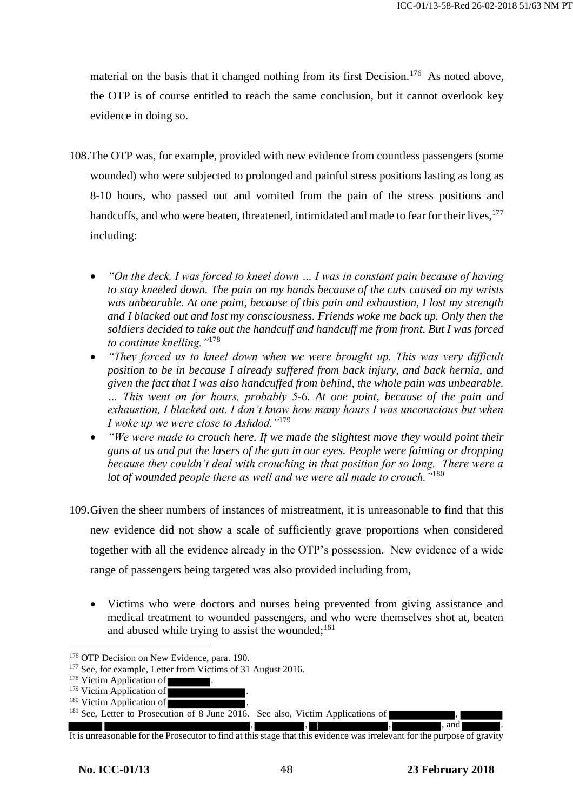material on the basis that it changed nothing from its first Decision.<sup>176</sup> As noted above, the OTP is of course entitled to reach the same conclusion, but it cannot overlook key evidence in doing so.

- 108.The OTP was, for example, provided with new evidence from countless passengers (some wounded) who were subjected to prolonged and painful stress positions lasting as long as 8-10 hours, who passed out and vomited from the pain of the stress positions and handcuffs, and who were beaten, threatened, intimidated and made to fear for their lives,<sup>177</sup> including:
	- *"On the deck, I was forced to kneel down … I was in constant pain because of having to stay kneeled down. The pain on my hands because of the cuts caused on my wrists was unbearable. At one point, because of this pain and exhaustion, I lost my strength and I blacked out and lost my consciousness. Friends woke me back up. Only then the soldiers decided to take out the handcuff and handcuff me from front. But I was forced to continue knelling."*<sup>178</sup>
	- *"They forced us to kneel down when we were brought up. This was very difficult position to be in because I already suffered from back injury, and back hernia, and given the fact that I was also handcuffed from behind, the whole pain was unbearable. … This went on for hours, probably 5-6. At one point, because of the pain and exhaustion, I blacked out. I don't know how many hours I was unconscious but when I woke up we were close to Ashdod."*<sup>179</sup>
	- *"We were made to crouch here. If we made the slightest move they would point their guns at us and put the lasers of the gun in our eyes. People were fainting or dropping because they couldn't deal with crouching in that position for so long. There were a lot of wounded people there as well and we were all made to crouch."*<sup>180</sup>
- 109.Given the sheer numbers of instances of mistreatment, it is unreasonable to find that this new evidence did not show a scale of sufficiently grave proportions when considered together with all the evidence already in the OTP's possession. New evidence of a wide range of passengers being targeted was also provided including from,
	- Victims who were doctors and nurses being prevented from giving assistance and medical treatment to wounded passengers, and who were themselves shot at, beaten and abused while trying to assist the wounded; $181$

<sup>&</sup>lt;sup>176</sup> OTP Decision on New Evidence, para. 190.

<sup>&</sup>lt;sup>177</sup> See, for example, Letter from Victims of 31 August 2016.

<sup>&</sup>lt;sup>178</sup> Victim Application of

 $179$  Victim Application of

 $180$  Victim Application of

<sup>&</sup>lt;sup>181</sup> See, Letter to Prosecution of 8 June 2016. See also, Victim Applications of

<sup>, , , ,</sup> and . It is unreasonable for the Prosecutor to find at this stage that this evidence was irrelevant for the purpose of gravity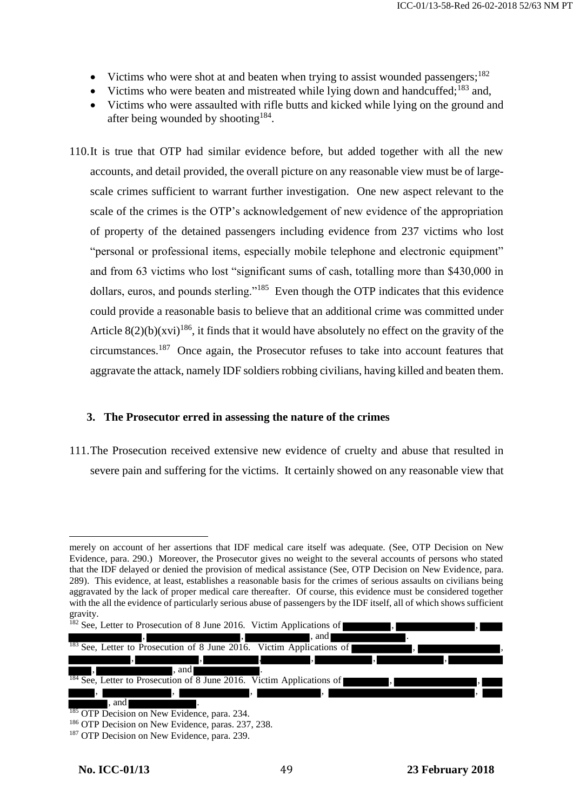- Victims who were shot at and beaten when trying to assist wounded passengers;<sup>182</sup>
- Victims who were beaten and mistreated while lying down and handcuffed;<sup>183</sup> and,
- Victims who were assaulted with rifle butts and kicked while lying on the ground and after being wounded by shooting<sup>184</sup>.
- 110.It is true that OTP had similar evidence before, but added together with all the new accounts, and detail provided, the overall picture on any reasonable view must be of largescale crimes sufficient to warrant further investigation. One new aspect relevant to the scale of the crimes is the OTP's acknowledgement of new evidence of the appropriation of property of the detained passengers including evidence from 237 victims who lost "personal or professional items, especially mobile telephone and electronic equipment" and from 63 victims who lost "significant sums of cash, totalling more than \$430,000 in dollars, euros, and pounds sterling."<sup>185</sup> Even though the OTP indicates that this evidence could provide a reasonable basis to believe that an additional crime was committed under Article  $8(2)(b)(xvi)^{186}$ , it finds that it would have absolutely no effect on the gravity of the circumstances.<sup>187</sup> Once again, the Prosecutor refuses to take into account features that aggravate the attack, namely IDF soldiers robbing civilians, having killed and beaten them.

### **3. The Prosecutor erred in assessing the nature of the crimes**

111.The Prosecution received extensive new evidence of cruelty and abuse that resulted in severe pain and suffering for the victims. It certainly showed on any reasonable view that

 $\overline{a}$ merely on account of her assertions that IDF medical care itself was adequate. (See, OTP Decision on New Evidence, para. 290.) Moreover, the Prosecutor gives no weight to the several accounts of persons who stated that the IDF delayed or denied the provision of medical assistance (See, OTP Decision on New Evidence, para. 289). This evidence, at least, establishes a reasonable basis for the crimes of serious assaults on civilians being aggravated by the lack of proper medical care thereafter. Of course, this evidence must be considered together with the all the evidence of particularly serious abuse of passengers by the IDF itself, all of which shows sufficient gravity.

 $182$  See, Letter to Prosecution of 8 June 2016. Victim Applications of , and . , , , , , and . . <sup>183</sup> See, Letter to Prosecution of 8 June 2016. Victim Applications of , , , , , , , and **.**  $184$  See, Letter to Prosecution of  $\overline{8}$  June 2016. Victim Applications of , , , , , , and <sup>185</sup> OTP Decision on New Evidence, para. 234.

<sup>&</sup>lt;sup>186</sup> OTP Decision on New Evidence, paras. 237, 238.

<sup>&</sup>lt;sup>187</sup> OTP Decision on New Evidence, para. 239.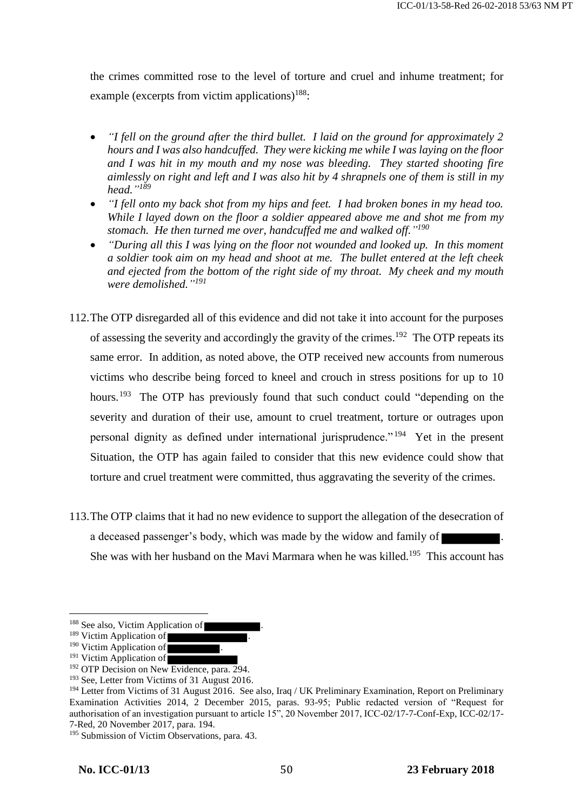the crimes committed rose to the level of torture and cruel and inhume treatment; for example (excerpts from victim applications) $188$ :

- *"I fell on the ground after the third bullet. I laid on the ground for approximately 2 hours and I was also handcuffed. They were kicking me while I was laying on the floor and I was hit in my mouth and my nose was bleeding. They started shooting fire aimlessly on right and left and I was also hit by 4 shrapnels one of them is still in my head." 189*
- *"I fell onto my back shot from my hips and feet. I had broken bones in my head too. While I layed down on the floor a soldier appeared above me and shot me from my stomach. He then turned me over, handcuffed me and walked off." 190*
- *"During all this I was lying on the floor not wounded and looked up. In this moment a soldier took aim on my head and shoot at me. The bullet entered at the left cheek and ejected from the bottom of the right side of my throat. My cheek and my mouth were demolished." 191*
- 112.The OTP disregarded all of this evidence and did not take it into account for the purposes of assessing the severity and accordingly the gravity of the crimes.<sup>192</sup> The OTP repeats its same error. In addition, as noted above, the OTP received new accounts from numerous victims who describe being forced to kneel and crouch in stress positions for up to 10 hours.<sup>193</sup> The OTP has previously found that such conduct could "depending on the severity and duration of their use, amount to cruel treatment, torture or outrages upon personal dignity as defined under international jurisprudence."<sup>194</sup> Yet in the present Situation, the OTP has again failed to consider that this new evidence could show that torture and cruel treatment were committed, thus aggravating the severity of the crimes.
- 113.The OTP claims that it had no new evidence to support the allegation of the desecration of a deceased passenger's body, which was made by the widow and family of . She was with her husband on the Mavi Marmara when he was killed.<sup>195</sup> This account has

<sup>&</sup>lt;sup>188</sup> See also, Victim Application of

<sup>&</sup>lt;sup>189</sup> Victim Application of

<sup>&</sup>lt;sup>190</sup> Victim Application of

<sup>&</sup>lt;sup>191</sup> Victim Application of

<sup>&</sup>lt;sup>192</sup> OTP Decision on New Evidence, para. 294.

<sup>&</sup>lt;sup>193</sup> See, Letter from Victims of 31 August 2016.

<sup>&</sup>lt;sup>194</sup> Letter from Victims of 31 August 2016. See also, Iraq / UK Preliminary Examination, Report on Preliminary Examination Activities 2014, 2 December 2015, paras. 93-95; Public redacted version of "Request for authorisation of an investigation pursuant to article 15", 20 November 2017, ICC-02/17-7-Conf-Exp, ICC-02/17- 7-Red, 20 November 2017, para. 194.

<sup>&</sup>lt;sup>195</sup> Submission of Victim Observations, para. 43.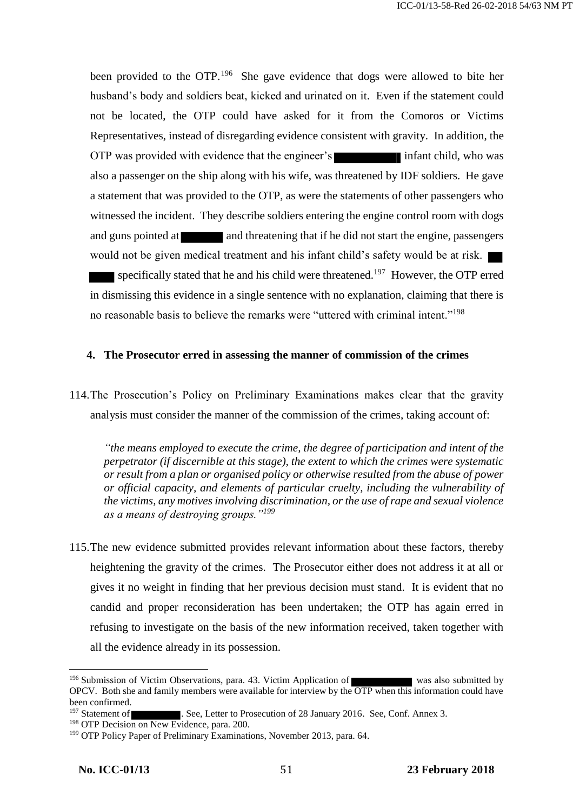been provided to the OTP.<sup>196</sup> She gave evidence that dogs were allowed to bite her husband's body and soldiers beat, kicked and urinated on it. Even if the statement could not be located, the OTP could have asked for it from the Comoros or Victims Representatives, instead of disregarding evidence consistent with gravity. In addition, the OTP was provided with evidence that the engineer's infant child, who was also a passenger on the ship along with his wife, was threatened by IDF soldiers. He gave a statement that was provided to the OTP, as were the statements of other passengers who witnessed the incident. They describe soldiers entering the engine control room with dogs and guns pointed at and threatening that if he did not start the engine, passengers would not be given medical treatment and his infant child's safety would be at risk. specifically stated that he and his child were threatened.<sup>197</sup> However, the OTP erred in dismissing this evidence in a single sentence with no explanation, claiming that there is no reasonable basis to believe the remarks were "uttered with criminal intent."<sup>198</sup>

### **4. The Prosecutor erred in assessing the manner of commission of the crimes**

114.The Prosecution's Policy on Preliminary Examinations makes clear that the gravity analysis must consider the manner of the commission of the crimes, taking account of:

*"the means employed to execute the crime, the degree of participation and intent of the perpetrator (if discernible at this stage), the extent to which the crimes were systematic or result from a plan or organised policy or otherwise resulted from the abuse of power or official capacity, and elements of particular cruelty, including the vulnerability of the victims, any motives involving discrimination, or the use of rape and sexual violence as a means of destroying groups."<sup>199</sup>*

115.The new evidence submitted provides relevant information about these factors, thereby heightening the gravity of the crimes. The Prosecutor either does not address it at all or gives it no weight in finding that her previous decision must stand. It is evident that no candid and proper reconsideration has been undertaken; the OTP has again erred in refusing to investigate on the basis of the new information received, taken together with all the evidence already in its possession.

<sup>&</sup>lt;sup>196</sup> Submission of Victim Observations, para. 43. Victim Application of was also submitted by OPCV. Both she and family members were available for interview by the OTP when this information could have been confirmed.<br><sup>197</sup> Statement of

<sup>197</sup> See, Letter to Prosecution of 28 January 2016. See, Conf. Annex 3.

<sup>&</sup>lt;sup>198</sup> OTP Decision on New Evidence, para. 200.

<sup>&</sup>lt;sup>199</sup> OTP Policy Paper of Preliminary Examinations, November 2013, para. 64.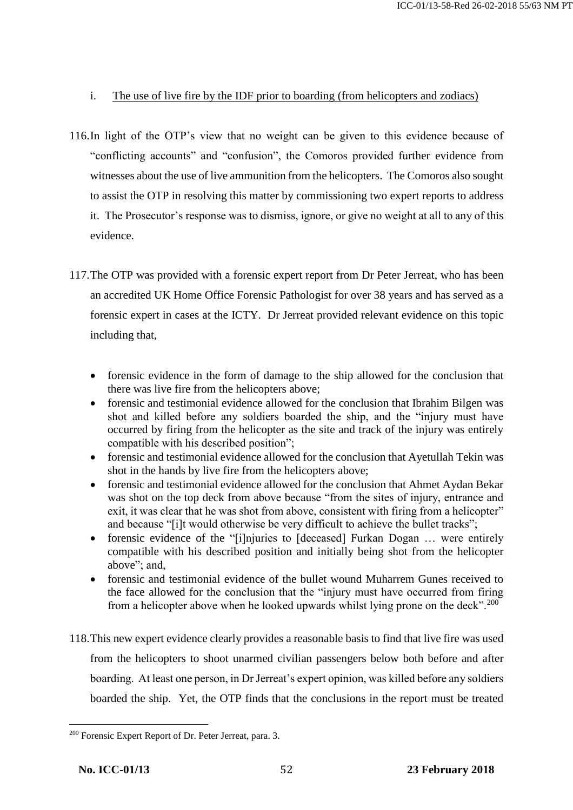## i. The use of live fire by the IDF prior to boarding (from helicopters and zodiacs)

- 116.In light of the OTP's view that no weight can be given to this evidence because of "conflicting accounts" and "confusion", the Comoros provided further evidence from witnesses about the use of live ammunition from the helicopters. The Comoros also sought to assist the OTP in resolving this matter by commissioning two expert reports to address it. The Prosecutor's response was to dismiss, ignore, or give no weight at all to any of this evidence.
- 117.The OTP was provided with a forensic expert report from Dr Peter Jerreat, who has been an accredited UK Home Office Forensic Pathologist for over 38 years and has served as a forensic expert in cases at the ICTY. Dr Jerreat provided relevant evidence on this topic including that,
	- forensic evidence in the form of damage to the ship allowed for the conclusion that there was live fire from the helicopters above;
	- forensic and testimonial evidence allowed for the conclusion that Ibrahim Bilgen was shot and killed before any soldiers boarded the ship, and the "injury must have occurred by firing from the helicopter as the site and track of the injury was entirely compatible with his described position";
	- forensic and testimonial evidence allowed for the conclusion that Ayetullah Tekin was shot in the hands by live fire from the helicopters above;
	- forensic and testimonial evidence allowed for the conclusion that Ahmet Aydan Bekar was shot on the top deck from above because "from the sites of injury, entrance and exit, it was clear that he was shot from above, consistent with firing from a helicopter" and because "[i]t would otherwise be very difficult to achieve the bullet tracks";
	- forensic evidence of the "[i]njuries to [deceased] Furkan Dogan ... were entirely compatible with his described position and initially being shot from the helicopter above"; and,
	- forensic and testimonial evidence of the bullet wound Muharrem Gunes received to the face allowed for the conclusion that the "injury must have occurred from firing from a helicopter above when he looked upwards whilst lying prone on the deck".<sup>200</sup>
- 118.This new expert evidence clearly provides a reasonable basis to find that live fire was used from the helicopters to shoot unarmed civilian passengers below both before and after boarding. At least one person, in Dr Jerreat's expert opinion, was killed before any soldiers boarded the ship. Yet, the OTP finds that the conclusions in the report must be treated

<sup>200</sup> Forensic Expert Report of Dr. Peter Jerreat, para. 3.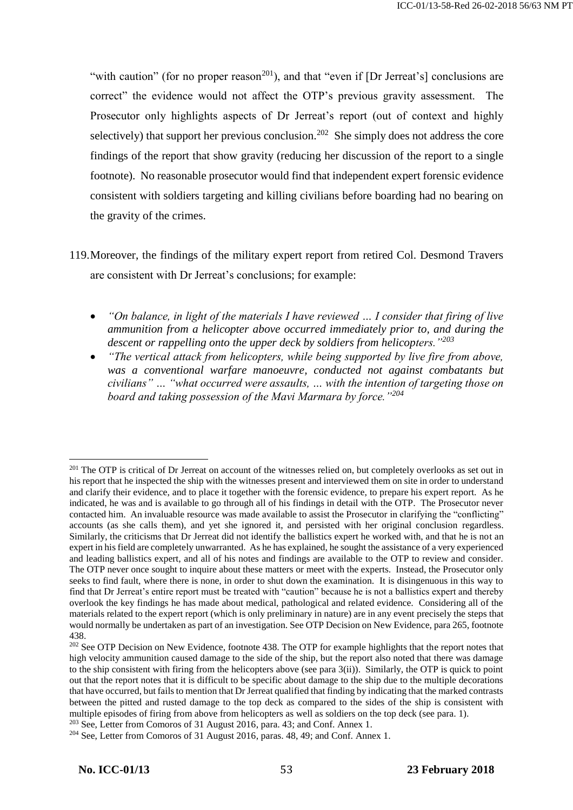"with caution" (for no proper reason<sup>201</sup>), and that "even if [Dr Jerreat's] conclusions are correct" the evidence would not affect the OTP's previous gravity assessment. The Prosecutor only highlights aspects of Dr Jerreat's report (out of context and highly selectively) that support her previous conclusion.<sup>202</sup> She simply does not address the core findings of the report that show gravity (reducing her discussion of the report to a single footnote). No reasonable prosecutor would find that independent expert forensic evidence consistent with soldiers targeting and killing civilians before boarding had no bearing on the gravity of the crimes.

- 119.Moreover, the findings of the military expert report from retired Col. Desmond Travers are consistent with Dr Jerreat's conclusions; for example:
	- *"On balance, in light of the materials I have reviewed … I consider that firing of live ammunition from a helicopter above occurred immediately prior to, and during the descent or rappelling onto the upper deck by soldiers from helicopters."<sup>203</sup>*
	- *"The vertical attack from helicopters, while being supported by live fire from above, was a conventional warfare manoeuvre, conducted not against combatants but civilians" … "what occurred were assaults, … with the intention of targeting those on board and taking possession of the Mavi Marmara by force."<sup>204</sup>*

<sup>&</sup>lt;sup>201</sup> The OTP is critical of Dr Jerreat on account of the witnesses relied on, but completely overlooks as set out in his report that he inspected the ship with the witnesses present and interviewed them on site in order to understand and clarify their evidence, and to place it together with the forensic evidence, to prepare his expert report. As he indicated, he was and is available to go through all of his findings in detail with the OTP. The Prosecutor never contacted him. An invaluable resource was made available to assist the Prosecutor in clarifying the "conflicting" accounts (as she calls them), and yet she ignored it, and persisted with her original conclusion regardless. Similarly, the criticisms that Dr Jerreat did not identify the ballistics expert he worked with, and that he is not an expert in his field are completely unwarranted. As he has explained, he sought the assistance of a very experienced and leading ballistics expert, and all of his notes and findings are available to the OTP to review and consider. The OTP never once sought to inquire about these matters or meet with the experts. Instead, the Prosecutor only seeks to find fault, where there is none, in order to shut down the examination. It is disingenuous in this way to find that Dr Jerreat's entire report must be treated with "caution" because he is not a ballistics expert and thereby overlook the key findings he has made about medical, pathological and related evidence. Considering all of the materials related to the expert report (which is only preliminary in nature) are in any event precisely the steps that would normally be undertaken as part of an investigation. See OTP Decision on New Evidence, para 265, footnote 438.

<sup>&</sup>lt;sup>202</sup> See OTP Decision on New Evidence, footnote 438. The OTP for example highlights that the report notes that high velocity ammunition caused damage to the side of the ship, but the report also noted that there was damage to the ship consistent with firing from the helicopters above (see para 3(ii)). Similarly, the OTP is quick to point out that the report notes that it is difficult to be specific about damage to the ship due to the multiple decorations that have occurred, but fails to mention that Dr Jerreat qualified that finding by indicating that the marked contrasts between the pitted and rusted damage to the top deck as compared to the sides of the ship is consistent with multiple episodes of firing from above from helicopters as well as soldiers on the top deck (see para. 1).

<sup>&</sup>lt;sup>203</sup> See, Letter from Comoros of 31 August 2016, para. 43; and Conf. Annex 1.

<sup>&</sup>lt;sup>204</sup> See, Letter from Comoros of 31 August 2016, paras. 48, 49; and Conf. Annex 1.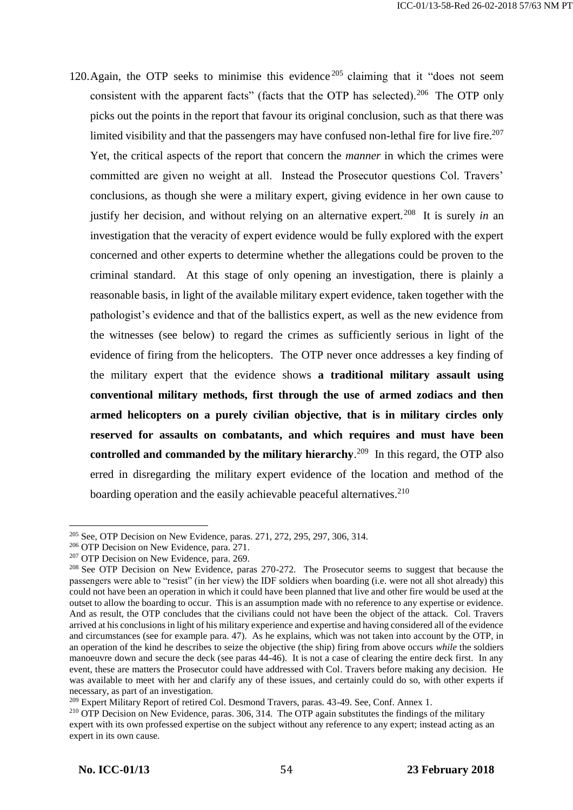120. Again, the OTP seeks to minimise this evidence  $205$  claiming that it "does not seem consistent with the apparent facts" (facts that the OTP has selected).<sup>206</sup> The OTP only picks out the points in the report that favour its original conclusion, such as that there was limited visibility and that the passengers may have confused non-lethal fire for live fire.<sup>207</sup> Yet, the critical aspects of the report that concern the *manner* in which the crimes were committed are given no weight at all. Instead the Prosecutor questions Col. Travers' conclusions, as though she were a military expert, giving evidence in her own cause to justify her decision, and without relying on an alternative expert.<sup>208</sup> It is surely *in* an investigation that the veracity of expert evidence would be fully explored with the expert concerned and other experts to determine whether the allegations could be proven to the criminal standard. At this stage of only opening an investigation, there is plainly a reasonable basis, in light of the available military expert evidence, taken together with the pathologist's evidence and that of the ballistics expert, as well as the new evidence from the witnesses (see below) to regard the crimes as sufficiently serious in light of the evidence of firing from the helicopters. The OTP never once addresses a key finding of the military expert that the evidence shows **a traditional military assault using conventional military methods, first through the use of armed zodiacs and then armed helicopters on a purely civilian objective, that is in military circles only reserved for assaults on combatants, and which requires and must have been controlled and commanded by the military hierarchy**. 209 In this regard, the OTP also erred in disregarding the military expert evidence of the location and method of the boarding operation and the easily achievable peaceful alternatives.<sup>210</sup>

<sup>&</sup>lt;sup>205</sup> See, OTP Decision on New Evidence, paras. 271, 272, 295, 297, 306, 314.

<sup>206</sup> OTP Decision on New Evidence, para. 271.

<sup>&</sup>lt;sup>207</sup> OTP Decision on New Evidence, para. 269.

<sup>&</sup>lt;sup>208</sup> See OTP Decision on New Evidence, paras 270-272. The Prosecutor seems to suggest that because the passengers were able to "resist" (in her view) the IDF soldiers when boarding (i.e. were not all shot already) this could not have been an operation in which it could have been planned that live and other fire would be used at the outset to allow the boarding to occur. This is an assumption made with no reference to any expertise or evidence. And as result, the OTP concludes that the civilians could not have been the object of the attack. Col. Travers arrived at his conclusions in light of his military experience and expertise and having considered all of the evidence and circumstances (see for example para. 47). As he explains, which was not taken into account by the OTP, in an operation of the kind he describes to seize the objective (the ship) firing from above occurs *while* the soldiers manoeuvre down and secure the deck (see paras 44-46). It is not a case of clearing the entire deck first. In any event, these are matters the Prosecutor could have addressed with Col. Travers before making any decision. He was available to meet with her and clarify any of these issues, and certainly could do so, with other experts if necessary, as part of an investigation.

<sup>&</sup>lt;sup>209</sup> Expert Military Report of retired Col. Desmond Travers, paras. 43-49. See, Conf. Annex 1.

<sup>&</sup>lt;sup>210</sup> OTP Decision on New Evidence, paras. 306, 314. The OTP again substitutes the findings of the military expert with its own professed expertise on the subject without any reference to any expert; instead acting as an expert in its own cause.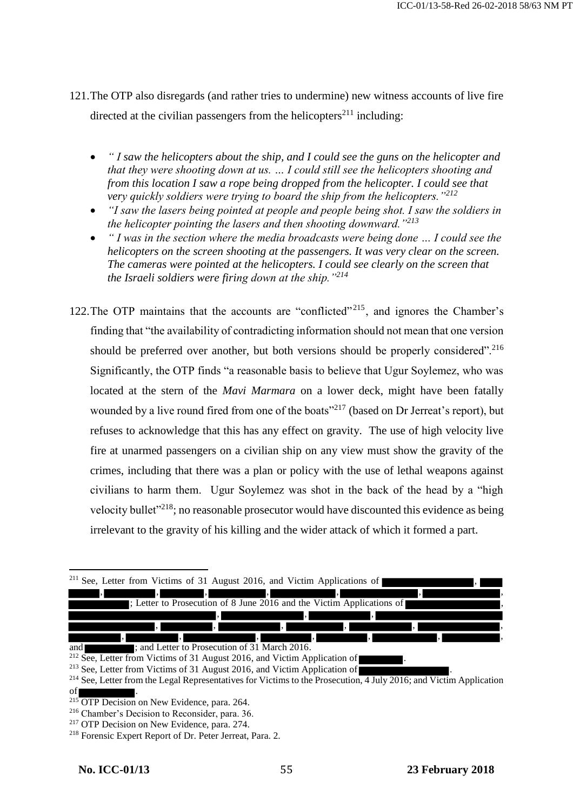- 121.The OTP also disregards (and rather tries to undermine) new witness accounts of live fire directed at the civilian passengers from the helicopters<sup>211</sup> including:
	- *" I saw the helicopters about the ship, and I could see the guns on the helicopter and that they were shooting down at us. … I could still see the helicopters shooting and from this location I saw a rope being dropped from the helicopter. I could see that very quickly soldiers were trying to board the ship from the helicopters."<sup>212</sup>*
	- *"I saw the lasers being pointed at people and people being shot. I saw the soldiers in the helicopter pointing the lasers and then shooting downward."<sup>213</sup>*
	- *" I was in the section where the media broadcasts were being done … I could see the helicopters on the screen shooting at the passengers. It was very clear on the screen. The cameras were pointed at the helicopters. I could see clearly on the screen that the Israeli soldiers were firing down at the ship."<sup>214</sup>*
- 122. The OTP maintains that the accounts are "conflicted"<sup> $215$ </sup>, and ignores the Chamber's finding that "the availability of contradicting information should not mean that one version should be preferred over another, but both versions should be properly considered".<sup>216</sup> Significantly, the OTP finds "a reasonable basis to believe that Ugur Soylemez, who was located at the stern of the *Mavi Marmara* on a lower deck, might have been fatally wounded by a live round fired from one of the boats<sup>"217</sup> (based on Dr Jerreat's report), but refuses to acknowledge that this has any effect on gravity. The use of high velocity live fire at unarmed passengers on a civilian ship on any view must show the gravity of the crimes, including that there was a plan or policy with the use of lethal weapons against civilians to harm them. Ugur Soylemez was shot in the back of the head by a "high velocity bullet<sup>"218</sup>; no reasonable prosecutor would have discounted this evidence as being irrelevant to the gravity of his killing and the wider attack of which it formed a part.

|                | <sup>211</sup> See, Letter from Victims of 31 August 2016, and Victim Applications of |                                               |                                                                       |  |     |
|----------------|---------------------------------------------------------------------------------------|-----------------------------------------------|-----------------------------------------------------------------------|--|-----|
|                | $\cdot$                                                                               | ٠.                                            | ı,                                                                    |  |     |
|                |                                                                                       |                                               | : Letter to Prosecution of 8 June 2016 and the Victim Applications of |  | ۱,  |
|                |                                                                                       |                                               |                                                                       |  |     |
|                |                                                                                       | 4, r                                          | $\overline{\phantom{a}}$                                              |  |     |
|                |                                                                                       |                                               |                                                                       |  | 45. |
| and<br>$212 -$ |                                                                                       | ; and Letter to Prosecution of 31 March 2016. |                                                                       |  |     |

 $2^{12}$  See, Letter from Victims of 31 August 2016, and Victim Application of

 $213$  See, Letter from Victims of 31 August 2016, and Victim Application of

<sup>214</sup> See, Letter from the Legal Representatives for Victims to the Prosecution, 4 July 2016; and Victim Application

of .

<sup>&</sup>lt;sup>215</sup> OTP Decision on New Evidence, para. 264.

<sup>216</sup> Chamber's Decision to Reconsider, para. 36.

<sup>&</sup>lt;sup>217</sup> OTP Decision on New Evidence, para. 274.

<sup>218</sup> Forensic Expert Report of Dr. Peter Jerreat, Para. 2.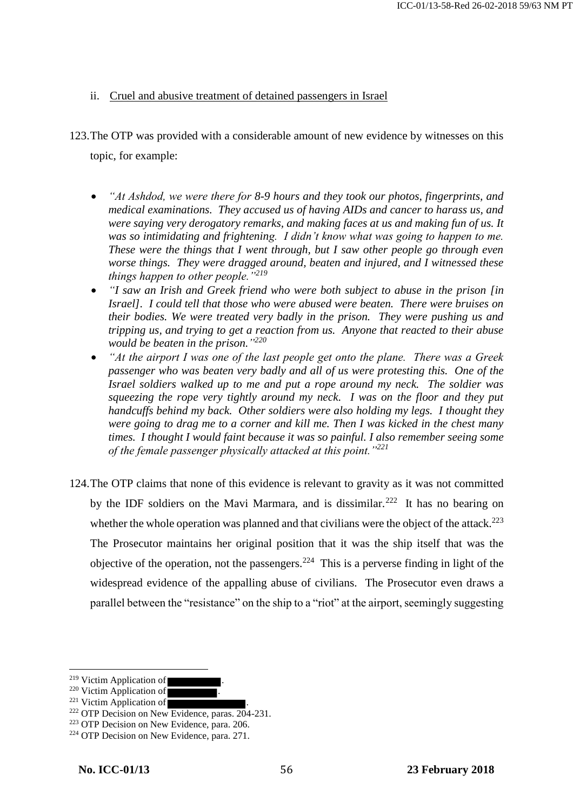### ii. Cruel and abusive treatment of detained passengers in Israel

- 123.The OTP was provided with a considerable amount of new evidence by witnesses on this topic, for example:
	- *"At Ashdod, we were there for 8-9 hours and they took our photos, fingerprints, and medical examinations. They accused us of having AIDs and cancer to harass us, and were saying very derogatory remarks, and making faces at us and making fun of us. It was so intimidating and frightening. I didn't know what was going to happen to me. These were the things that I went through, but I saw other people go through even worse things. They were dragged around, beaten and injured, and I witnessed these things happen to other people."<sup>219</sup>*
	- *"I saw an Irish and Greek friend who were both subject to abuse in the prison [in Israel]. I could tell that those who were abused were beaten. There were bruises on their bodies. We were treated very badly in the prison. They were pushing us and tripping us, and trying to get a reaction from us. Anyone that reacted to their abuse would be beaten in the prison." 220*
	- *"At the airport I was one of the last people get onto the plane. There was a Greek passenger who was beaten very badly and all of us were protesting this. One of the Israel soldiers walked up to me and put a rope around my neck. The soldier was squeezing the rope very tightly around my neck. I was on the floor and they put handcuffs behind my back. Other soldiers were also holding my legs. I thought they were going to drag me to a corner and kill me. Then I was kicked in the chest many times. I thought I would faint because it was so painful. I also remember seeing some of the female passenger physically attacked at this point."<sup>221</sup>*
- 124.The OTP claims that none of this evidence is relevant to gravity as it was not committed by the IDF soldiers on the Mavi Marmara, and is dissimilar.<sup>222</sup> It has no bearing on whether the whole operation was planned and that civilians were the object of the attack.<sup>223</sup> The Prosecutor maintains her original position that it was the ship itself that was the objective of the operation, not the passengers.<sup>224</sup> This is a perverse finding in light of the widespread evidence of the appalling abuse of civilians. The Prosecutor even draws a parallel between the "resistance" on the ship to a "riot" at the airport, seemingly suggesting

<sup>&</sup>lt;sup>219</sup> Victim Application of

 $220$  Victim Application of

 $221$  Victim Application of

 $222$  OTP Decision on New Evidence, paras.  $204-231$ .

<sup>223</sup> OTP Decision on New Evidence, para. 206.

<sup>&</sup>lt;sup>224</sup> OTP Decision on New Evidence, para. 271.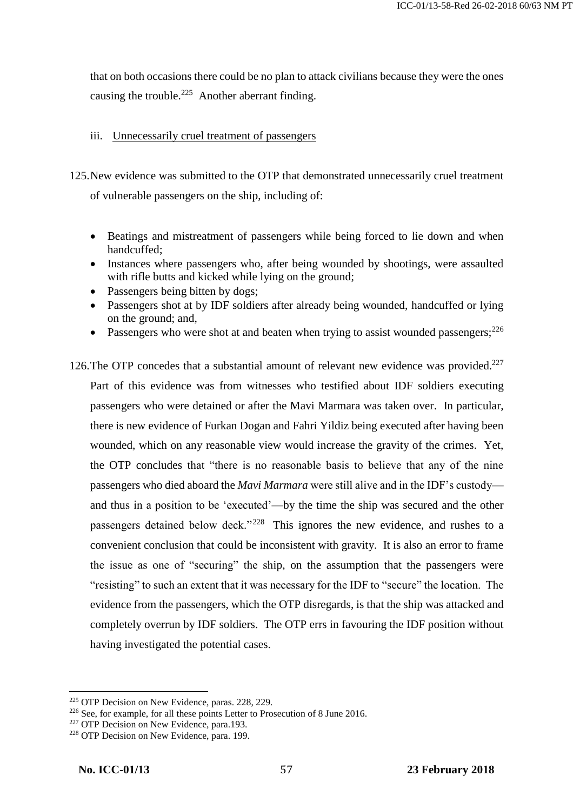that on both occasions there could be no plan to attack civilians because they were the ones causing the trouble.<sup>225</sup> Another aberrant finding.

### iii. Unnecessarily cruel treatment of passengers

125.New evidence was submitted to the OTP that demonstrated unnecessarily cruel treatment of vulnerable passengers on the ship, including of:

- Beatings and mistreatment of passengers while being forced to lie down and when handcuffed;
- Instances where passengers who, after being wounded by shootings, were assaulted with rifle butts and kicked while lying on the ground;
- Passengers being bitten by dogs;
- Passengers shot at by IDF soldiers after already being wounded, handcuffed or lying on the ground; and,
- Passengers who were shot at and beaten when trying to assist wounded passengers;  $226$
- 126. The OTP concedes that a substantial amount of relevant new evidence was provided.<sup>227</sup> Part of this evidence was from witnesses who testified about IDF soldiers executing passengers who were detained or after the Mavi Marmara was taken over. In particular, there is new evidence of Furkan Dogan and Fahri Yildiz being executed after having been wounded, which on any reasonable view would increase the gravity of the crimes. Yet, the OTP concludes that "there is no reasonable basis to believe that any of the nine passengers who died aboard the *Mavi Marmara* were still alive and in the IDF's custody and thus in a position to be 'executed'—by the time the ship was secured and the other passengers detained below deck."<sup>228</sup> This ignores the new evidence, and rushes to a convenient conclusion that could be inconsistent with gravity. It is also an error to frame the issue as one of "securing" the ship, on the assumption that the passengers were "resisting" to such an extent that it was necessary for the IDF to "secure" the location. The evidence from the passengers, which the OTP disregards, is that the ship was attacked and completely overrun by IDF soldiers. The OTP errs in favouring the IDF position without having investigated the potential cases.

<sup>225</sup> OTP Decision on New Evidence, paras. 228, 229.

<sup>&</sup>lt;sup>226</sup> See, for example, for all these points Letter to Prosecution of 8 June 2016.

<sup>&</sup>lt;sup>227</sup> OTP Decision on New Evidence, para.193.

<sup>&</sup>lt;sup>228</sup> OTP Decision on New Evidence, para. 199.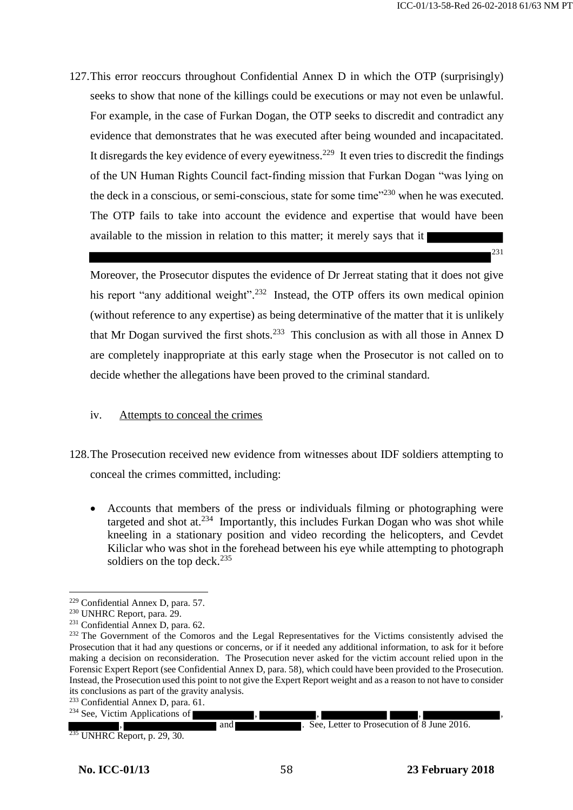231

127.This error reoccurs throughout Confidential Annex D in which the OTP (surprisingly) seeks to show that none of the killings could be executions or may not even be unlawful. For example, in the case of Furkan Dogan, the OTP seeks to discredit and contradict any evidence that demonstrates that he was executed after being wounded and incapacitated. It disregards the key evidence of every eyewitness.<sup>229</sup> It even tries to discredit the findings of the UN Human Rights Council fact-finding mission that Furkan Dogan "was lying on the deck in a conscious, or semi-conscious, state for some time"<sup>230</sup> when he was executed. The OTP fails to take into account the evidence and expertise that would have been available to the mission in relation to this matter; it merely says that it

Moreover, the Prosecutor disputes the evidence of Dr Jerreat stating that it does not give his report "any additional weight".<sup>232</sup> Instead, the OTP offers its own medical opinion (without reference to any expertise) as being determinative of the matter that it is unlikely that Mr Dogan survived the first shots.<sup>233</sup> This conclusion as with all those in Annex D are completely inappropriate at this early stage when the Prosecutor is not called on to decide whether the allegations have been proved to the criminal standard.

### iv. Attempts to conceal the crimes

- 128.The Prosecution received new evidence from witnesses about IDF soldiers attempting to conceal the crimes committed, including:
	- Accounts that members of the press or individuals filming or photographing were targeted and shot at. $234$  Importantly, this includes Furkan Dogan who was shot while kneeling in a stationary position and video recording the helicopters, and Cevdet Kiliclar who was shot in the forehead between his eye while attempting to photograph soldiers on the top deck. $235$

and **and** See, Letter to Prosecution of 8 June 2016.

 $\overline{a}$ <sup>229</sup> Confidential Annex D, para. 57.

<sup>230</sup> UNHRC Report, para. 29.

<sup>231</sup> Confidential Annex D, para. 62.

<sup>&</sup>lt;sup>232</sup> The Government of the Comoros and the Legal Representatives for the Victims consistently advised the Prosecution that it had any questions or concerns, or if it needed any additional information, to ask for it before making a decision on reconsideration. The Prosecution never asked for the victim account relied upon in the Forensic Expert Report (see Confidential Annex D, para. 58), which could have been provided to the Prosecution. Instead, the Prosecution used this point to not give the Expert Report weight and as a reason to not have to consider its conclusions as part of the gravity analysis.

<sup>&</sup>lt;sup>233</sup> Confidential Annex D, para. 61.

 $234$  See, Victim Applications of

 $<sup>5</sup>$  UNHRC Report, p. 29, 30.</sup>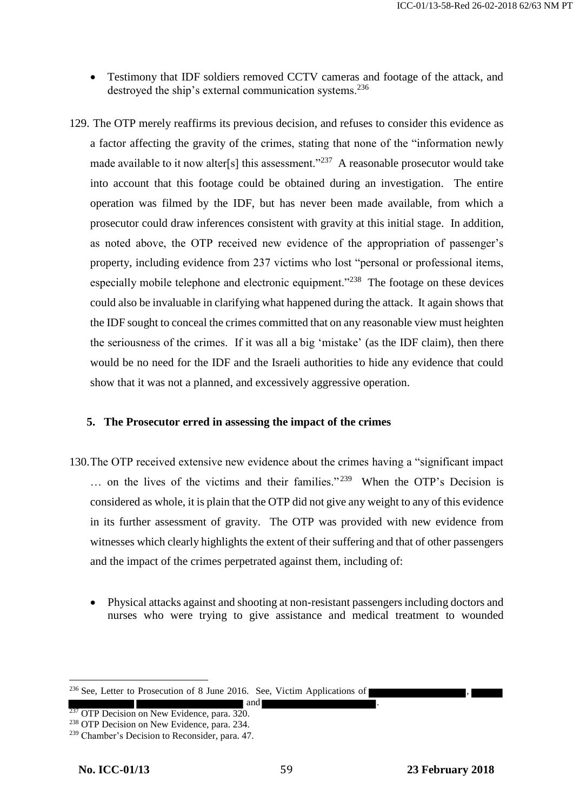- Testimony that IDF soldiers removed CCTV cameras and footage of the attack, and destroyed the ship's external communication systems.<sup>236</sup>
- 129. The OTP merely reaffirms its previous decision, and refuses to consider this evidence as a factor affecting the gravity of the crimes, stating that none of the "information newly made available to it now alter[s] this assessment."<sup>237</sup> A reasonable prosecutor would take into account that this footage could be obtained during an investigation. The entire operation was filmed by the IDF, but has never been made available, from which a prosecutor could draw inferences consistent with gravity at this initial stage. In addition, as noted above, the OTP received new evidence of the appropriation of passenger's property, including evidence from 237 victims who lost "personal or professional items, especially mobile telephone and electronic equipment."<sup>238</sup> The footage on these devices could also be invaluable in clarifying what happened during the attack. It again shows that the IDF sought to conceal the crimes committed that on any reasonable view must heighten the seriousness of the crimes. If it was all a big 'mistake' (as the IDF claim), then there would be no need for the IDF and the Israeli authorities to hide any evidence that could show that it was not a planned, and excessively aggressive operation.

#### **5. The Prosecutor erred in assessing the impact of the crimes**

- 130.The OTP received extensive new evidence about the crimes having a "significant impact ... on the lives of the victims and their families."<sup>239</sup> When the OTP's Decision is considered as whole, it is plain that the OTP did not give any weight to any of this evidence in its further assessment of gravity. The OTP was provided with new evidence from witnesses which clearly highlights the extent of their suffering and that of other passengers and the impact of the crimes perpetrated against them, including of:
	- Physical attacks against and shooting at non-resistant passengers including doctors and nurses who were trying to give assistance and medical treatment to wounded

 $236$  See, Letter to Prosecution of 8 June 2016. See, Victim Applications of

 $\blacksquare$  and <sup>237</sup> OTP Decision on New Evidence, para. 320.

<sup>&</sup>lt;sup>238</sup> OTP Decision on New Evidence, para. 234.

<sup>239</sup> Chamber's Decision to Reconsider, para. 47.